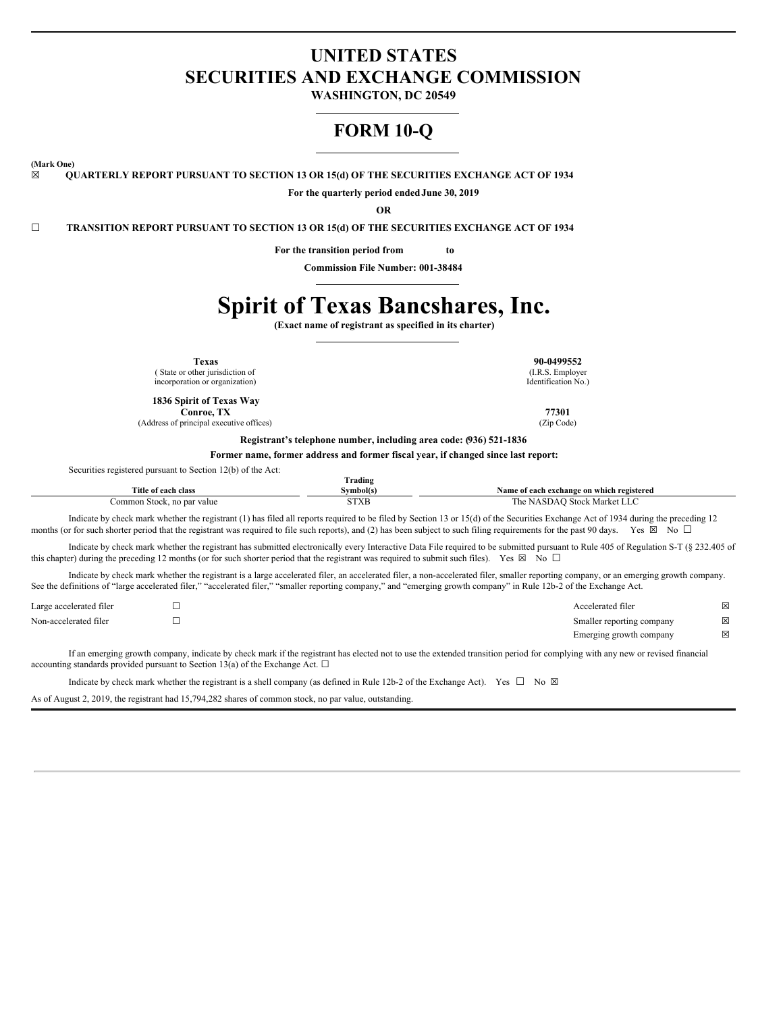# **UNITED STATES SECURITIES AND EXCHANGE COMMISSION**

**WASHINGTON, DC 20549**

# **FORM 10-Q**

**(Mark One)**

**☒ QUARTERLY REPORT PURSUANT TO SECTION 13 OR 15(d) OF THE SECURITIES EXCHANGE ACT OF 1934**

**For the quarterly period endedJune 30, 2019**

**OR**

**☐ TRANSITION REPORT PURSUANT TO SECTION 13 OR 15(d) OF THE SECURITIES EXCHANGE ACT OF 1934**

**For the transition period from to**

**Commission File Number: 001-38484**

# **Spirit of Texas Bancshares, Inc.**

**(Exact name of registrant as specified in its charter)**

**Texas 90-0499552**

( State or other jurisdiction of incorporation or organization)

**1836 Spirit of Texas Way Conroe, TX 77301**

(Address of principal executive offices) (Zip Code)

(I.R.S. Employer Identification No.)

**Registrant's telephone number, including area code: (936) 521-1836**

**Former name, former address and former fiscal year, if changed since last report:**

|  | Securities registered pursuant to Section 12(b) of the Act: |  |
|--|-------------------------------------------------------------|--|
|--|-------------------------------------------------------------|--|

|                            | <b>Trading</b> |                                           |
|----------------------------|----------------|-------------------------------------------|
| Title of each class        | Svmbol(s)      | Name of each exchange on which registered |
| Common Stock, no par value | SIXB           | The NASDAO Stock Market LLC               |

Indicate by check mark whether the registrant (1) has filed all reports required to be filed by Section 13 or 15(d) of the Securities Exchange Act of 1934 during the preceding 12 months (or for such shorter period that the registrant was required to file such reports), and (2) has been subject to such filing requirements for the past 90 days. Yes  $\boxtimes$  No  $\Box$ 

Indicate by check mark whether the registrant has submitted electronically every Interactive Data File required to be submitted pursuant to Rule 405 of Regulation S-T (§ 232.405 of this chapter) during the preceding 12 months (or for such shorter period that the registrant was required to submit such files). Yes  $\boxtimes$  No  $\Box$ 

Indicate by check mark whether the registrant is a large accelerated filer, an accelerated filer, a non-accelerated filer, smaller reporting company, or an emerging growth company. See the definitions of "large accelerated filer," "accelerated filer," "smaller reporting company," and "emerging growth company" in Rule 12b-2 of the Exchange Act.

| Large accelerated filer | Accelerated filer         | X |
|-------------------------|---------------------------|---|
| Non-accelerated filer   | Smaller reporting company | X |
|                         | Emerging growth company   | X |

If an emerging growth company, indicate by check mark if the registrant has elected not to use the extended transition period for complying with any new or revised financial accounting standards provided pursuant to Section 13(a) of the Exchange Act.  $\square$ 

Indicate by check mark whether the registrant is a shell company (as defined in Rule 12b-2 of the Exchange Act). Yes  $\Box$  No  $\boxtimes$ 

As of August 2, 2019, the registrant had 15,794,282 shares of common stock, no par value, outstanding.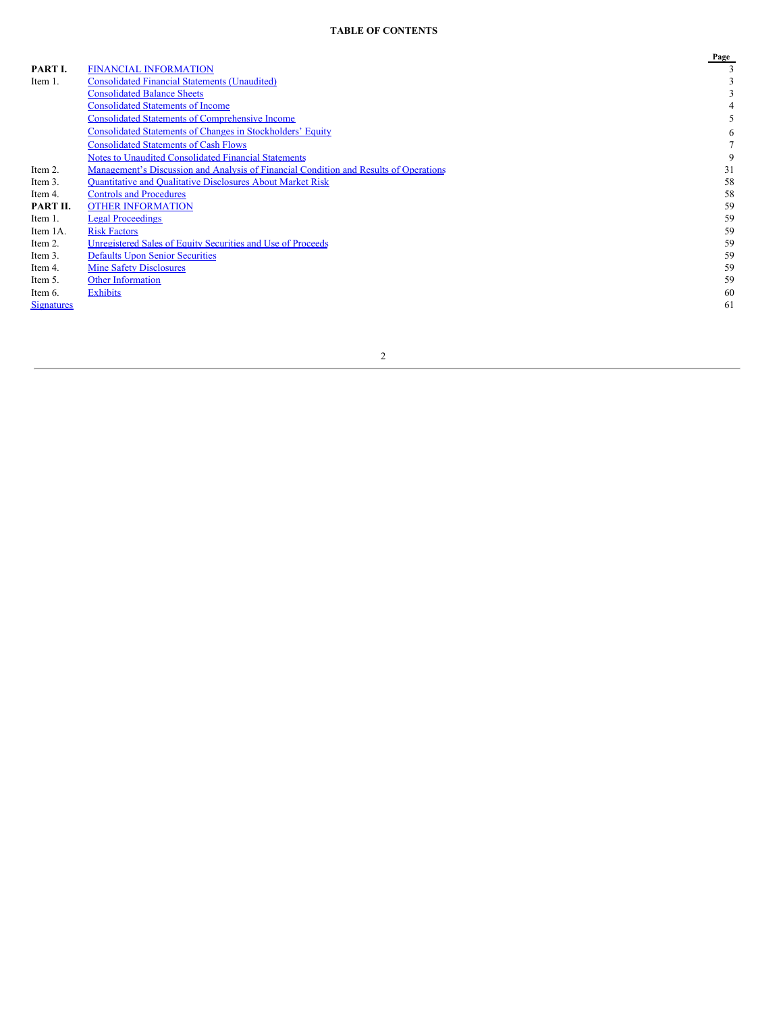# **TABLE OF CONTENTS**

|                   |                                                                                       | Page |
|-------------------|---------------------------------------------------------------------------------------|------|
| PART I.           | <b>FINANCIAL INFORMATION</b>                                                          |      |
| Item 1.           | <b>Consolidated Financial Statements (Unaudited)</b>                                  |      |
|                   | <b>Consolidated Balance Sheets</b>                                                    |      |
|                   | <b>Consolidated Statements of Income</b>                                              |      |
|                   | <b>Consolidated Statements of Comprehensive Income</b>                                |      |
|                   | <b>Consolidated Statements of Changes in Stockholders' Equity</b>                     | 6    |
|                   | <b>Consolidated Statements of Cash Flows</b>                                          |      |
|                   | <b>Notes to Unaudited Consolidated Financial Statements</b>                           | 9    |
| Item 2.           | Management's Discussion and Analysis of Financial Condition and Results of Operations | 31   |
| Item 3.           | <b>Ouantitative and Oualitative Disclosures About Market Risk</b>                     | 58   |
| Item 4.           | <b>Controls and Procedures</b>                                                        | 58   |
| PART II.          | <b>OTHER INFORMATION</b>                                                              | 59   |
| Item 1.           | <b>Legal Proceedings</b>                                                              | 59   |
| Item 1A.          | <b>Risk Factors</b>                                                                   | 59   |
| Item 2.           | Unregistered Sales of Equity Securities and Use of Proceeds                           | 59   |
| Item 3.           | <b>Defaults Upon Senior Securities</b>                                                | 59   |
| Item 4.           | <b>Mine Safety Disclosures</b>                                                        | 59   |
| Item 5.           | <b>Other Information</b>                                                              | 59   |
| Item 6.           | <b>Exhibits</b>                                                                       | 60   |
| <b>Signatures</b> |                                                                                       | 61   |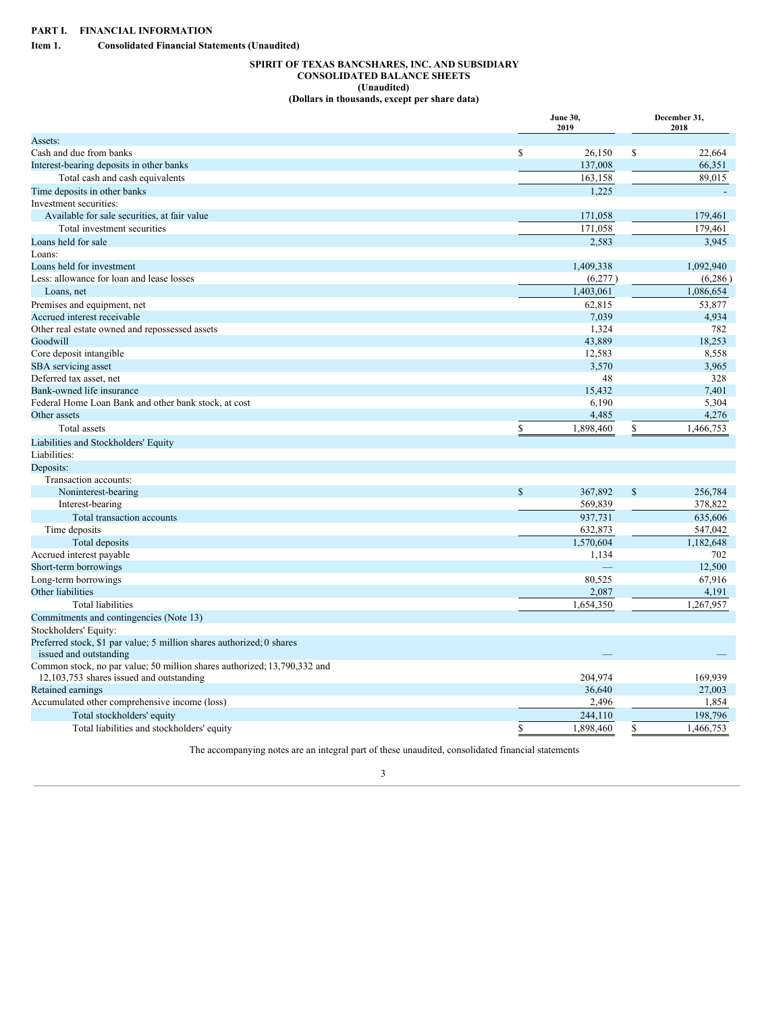<span id="page-2-2"></span><span id="page-2-1"></span><span id="page-2-0"></span>**Item 1. Consolidated Financial Statements (Unaudited)**

# **SPIRIT OF TEXAS BANCSHARES, INC. AND SUBSIDIARY CONSOLIDATED BALANCE SHEETS (Unaudited) (Dollars in thousands, except per share data)**

|                                                                          |              | June 30,<br>2019 | December 31,<br>2018 |  |
|--------------------------------------------------------------------------|--------------|------------------|----------------------|--|
| Assets:                                                                  |              |                  |                      |  |
| Cash and due from banks                                                  | \$           | 26,150           | \$<br>22.664         |  |
| Interest-bearing deposits in other banks                                 |              | 137,008          | 66,351               |  |
| Total cash and cash equivalents                                          |              | 163,158          | 89,015               |  |
| Time deposits in other banks                                             |              | 1.225            |                      |  |
| Investment securities:                                                   |              |                  |                      |  |
| Available for sale securities, at fair value                             |              | 171,058          | 179,461              |  |
| Total investment securities                                              |              | 171,058          | 179,461              |  |
| Loans held for sale                                                      |              | 2,583            | 3,945                |  |
| Loans:                                                                   |              |                  |                      |  |
| Loans held for investment                                                |              | 1,409,338        | 1,092,940            |  |
| Less: allowance for loan and lease losses                                |              | (6,277)          | (6,286)              |  |
| Loans, net                                                               |              | 1,403,061        | 1,086,654            |  |
| Premises and equipment, net                                              |              | 62,815           | 53,877               |  |
| Accrued interest receivable                                              |              | 7,039            | 4,934                |  |
| Other real estate owned and repossessed assets                           |              | 1.324            | 782                  |  |
| Goodwill                                                                 |              | 43,889           | 18,253               |  |
| Core deposit intangible                                                  |              | 12,583           | 8,558                |  |
| SBA servicing asset                                                      |              | 3,570            | 3,965                |  |
| Deferred tax asset, net                                                  |              | 48               | 328                  |  |
| Bank-owned life insurance                                                |              | 15,432           | 7,401                |  |
| Federal Home Loan Bank and other bank stock, at cost                     |              | 6,190            | 5,304                |  |
| Other assets                                                             |              | 4,485            | 4,276                |  |
| Total assets                                                             | \$           | 1,898,460        | \$<br>1,466,753      |  |
| Liabilities and Stockholders' Equity                                     |              |                  |                      |  |
| Liabilities:                                                             |              |                  |                      |  |
| Deposits:                                                                |              |                  |                      |  |
| Transaction accounts:                                                    |              |                  |                      |  |
| Noninterest-bearing                                                      | $\mathbb{S}$ | 367,892          | \$<br>256,784        |  |
| Interest-bearing                                                         |              | 569,839          | 378,822              |  |
|                                                                          |              | 937,731          | 635,606              |  |
| Total transaction accounts                                               |              |                  |                      |  |
| Time deposits                                                            |              | 632,873          | 547,042              |  |
| Total deposits                                                           |              | 1,570,604        | 1,182,648            |  |
| Accrued interest payable                                                 |              | 1,134            | 702                  |  |
| Short-term borrowings                                                    |              |                  | 12,500               |  |
| Long-term borrowings                                                     |              | 80,525           | 67,916               |  |
| Other liabilities                                                        |              | 2,087            | 4,191                |  |
| <b>Total liabilities</b>                                                 |              | 1,654,350        | 1,267,957            |  |
| Commitments and contingencies (Note 13)                                  |              |                  |                      |  |
| Stockholders' Equity:                                                    |              |                  |                      |  |
| Preferred stock, \$1 par value; 5 million shares authorized; 0 shares    |              |                  |                      |  |
| issued and outstanding                                                   |              |                  |                      |  |
| Common stock, no par value; 50 million shares authorized; 13,790,332 and |              |                  |                      |  |
| 12,103,753 shares issued and outstanding                                 |              | 204,974          | 169,939              |  |
| Retained earnings                                                        |              | 36,640           | 27,003               |  |
| Accumulated other comprehensive income (loss)                            |              | 2,496            | 1,854                |  |
| Total stockholders' equity                                               |              | 244,110          | 198,796              |  |
| Total liabilities and stockholders' equity                               | \$           | 1,898,460        | \$<br>1,466,753      |  |

The accompanying notes are an integral part of these unaudited, consolidated financial statements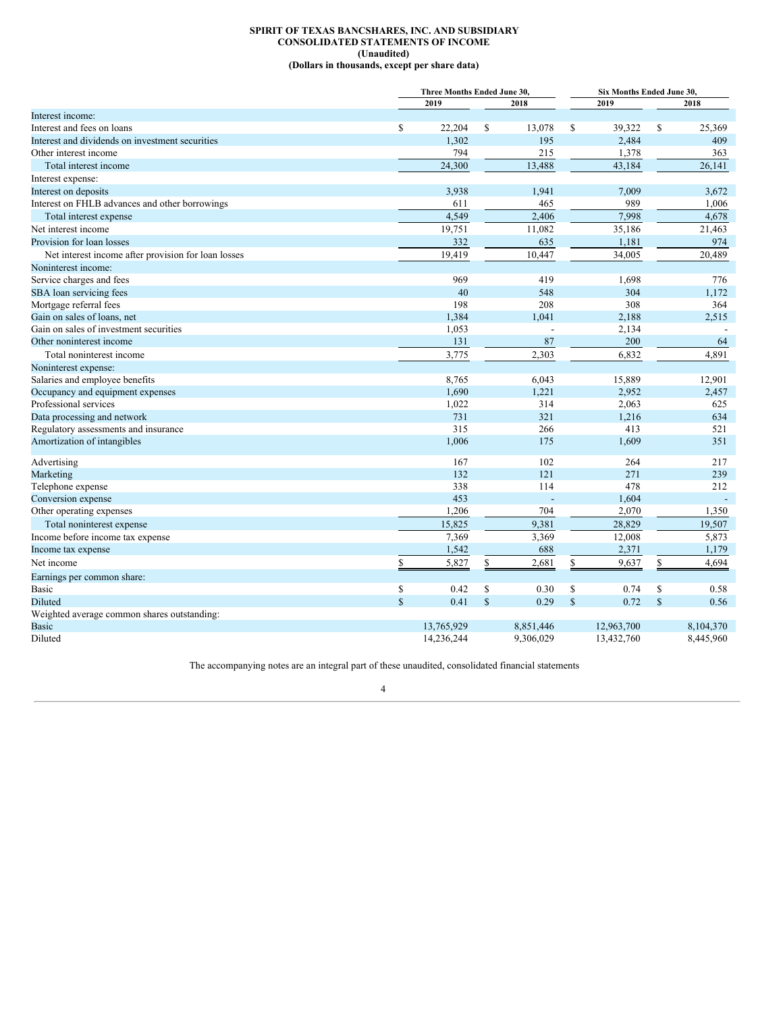# **SPIRIT OF TEXAS BANCSHARES, INC. AND SUBSIDIARY CONSOLIDATED STATEMENTS OF INCOME (Unaudited) (Dollars in thousands, except per share data)**

<span id="page-3-0"></span>

|                                                     |             | Three Months Ended June 30. |              |           |              | Six Months Ended June 30, |              |           |
|-----------------------------------------------------|-------------|-----------------------------|--------------|-----------|--------------|---------------------------|--------------|-----------|
|                                                     |             | 2019                        |              | 2018      |              | 2019                      |              | 2018      |
| Interest income:                                    |             |                             |              |           |              |                           |              |           |
| Interest and fees on loans                          | \$          | 22,204                      | \$           | 13,078    | \$           | 39,322                    | \$           | 25,369    |
| Interest and dividends on investment securities     |             | 1,302                       |              | 195       |              | 2,484                     |              | 409       |
| Other interest income                               |             | 794                         |              | 215       |              | 1,378                     |              | 363       |
| Total interest income                               |             | 24,300                      |              | 13,488    |              | 43,184                    |              | 26,141    |
| Interest expense:                                   |             |                             |              |           |              |                           |              |           |
| Interest on deposits                                |             | 3,938                       |              | 1,941     |              | 7,009                     |              | 3,672     |
| Interest on FHLB advances and other borrowings      |             | 611                         |              | 465       |              | 989                       |              | 1,006     |
| Total interest expense                              |             | 4.549                       |              | 2.406     |              | 7.998                     |              | 4,678     |
| Net interest income                                 |             | 19,751                      |              | 11,082    |              | 35,186                    |              | 21,463    |
| Provision for loan losses                           |             | 332                         |              | 635       |              | 1,181                     |              | 974       |
| Net interest income after provision for loan losses |             | 19,419                      |              | 10,447    |              | 34,005                    |              | 20,489    |
| Noninterest income:                                 |             |                             |              |           |              |                           |              |           |
| Service charges and fees                            |             | 969                         |              | 419       |              | 1,698                     |              | 776       |
| SBA loan servicing fees                             |             | 40                          |              | 548       |              | 304                       |              | 1,172     |
| Mortgage referral fees                              |             | 198                         |              | 208       |              | 308                       |              | 364       |
| Gain on sales of loans, net                         |             | 1,384                       |              | 1,041     |              | 2,188                     |              | 2,515     |
| Gain on sales of investment securities              |             | 1,053                       |              |           |              | 2,134                     |              |           |
| Other noninterest income                            |             | 131                         |              | 87        |              | 200                       |              | 64        |
| Total noninterest income                            |             | 3,775                       |              | 2,303     |              | 6.832                     |              | 4,891     |
| Noninterest expense:                                |             |                             |              |           |              |                           |              |           |
| Salaries and employee benefits                      |             | 8,765                       |              | 6,043     |              | 15,889                    |              | 12,901    |
| Occupancy and equipment expenses                    |             | 1,690                       |              | 1,221     |              | 2,952                     |              | 2,457     |
| Professional services                               |             | 1,022                       |              | 314       |              | 2,063                     |              | 625       |
| Data processing and network                         |             | 731                         |              | 321       |              | 1,216                     |              | 634       |
| Regulatory assessments and insurance                |             | 315                         |              | 266       |              | 413                       |              | 521       |
| Amortization of intangibles                         |             | 1,006                       |              | 175       |              | 1,609                     |              | 351       |
|                                                     |             |                             |              |           |              |                           |              |           |
| Advertising                                         |             | 167                         |              | 102       |              | 264                       |              | 217       |
| Marketing                                           |             | 132                         |              | 121       |              | 271                       |              | 239       |
| Telephone expense                                   |             | 338                         |              | 114       |              | 478                       |              | 212       |
| Conversion expense                                  |             | 453                         |              |           |              | 1,604                     |              |           |
| Other operating expenses                            |             | 1,206                       |              | 704       |              | 2,070                     |              | 1,350     |
| Total noninterest expense                           |             | 15,825                      |              | 9,381     |              | 28,829                    |              | 19,507    |
| Income before income tax expense                    |             | 7,369                       |              | 3,369     |              | 12,008                    |              | 5,873     |
| Income tax expense                                  |             | 1,542                       |              | 688       |              | 2,371                     |              | 1,179     |
| Net income                                          | \$          | 5,827                       | \$           | 2,681     | \$           | 9,637                     | \$           | 4,694     |
| Earnings per common share:                          |             |                             |              |           |              |                           |              |           |
| Basic                                               | \$          | 0.42                        | \$           | 0.30      | \$           | 0.74                      | \$           | 0.58      |
| <b>Diluted</b>                                      | $\mathbf S$ | 0.41                        | $\mathbb{S}$ | 0.29      | $\mathbb{S}$ | 0.72                      | $\mathbb{S}$ | 0.56      |
| Weighted average common shares outstanding:         |             |                             |              |           |              |                           |              |           |
| <b>Basic</b>                                        |             | 13,765,929                  |              | 8,851,446 |              | 12,963,700                |              | 8,104,370 |
| Diluted                                             |             | 14,236,244                  |              | 9,306,029 |              | 13,432,760                |              | 8,445,960 |

The accompanying notes are an integral part of these unaudited, consolidated financial statements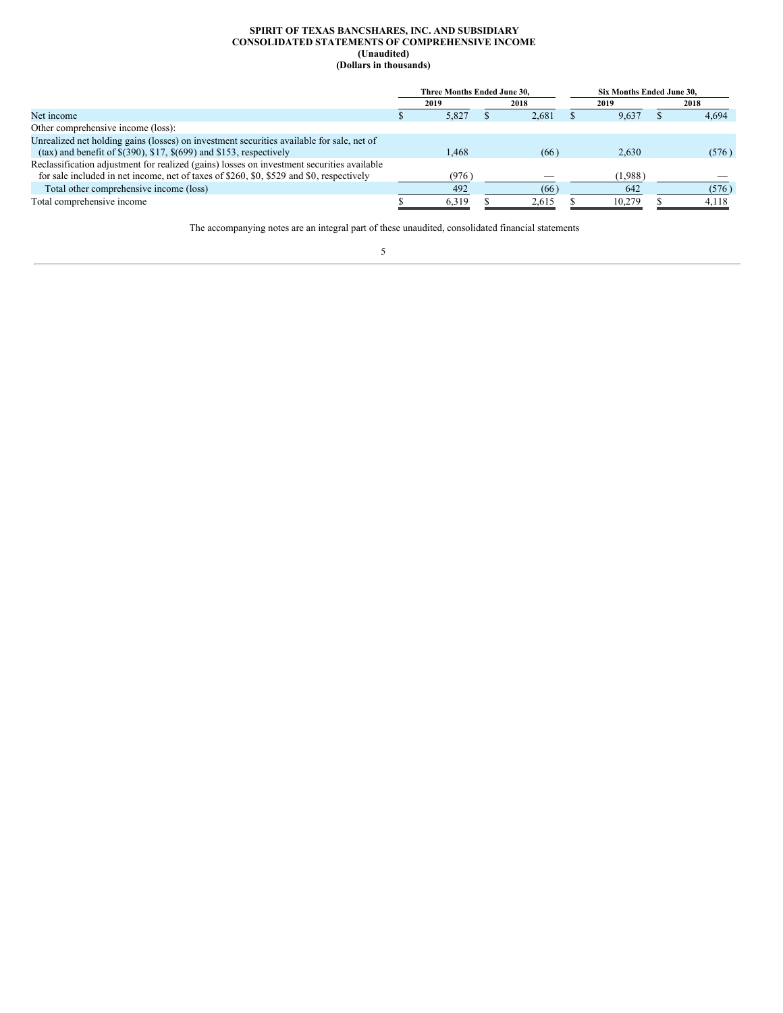### **SPIRIT OF TEXAS BANCSHARES, INC. AND SUBSIDIARY CONSOLIDATED STATEMENTS OF COMPREHENSIVE INCOME (Unaudited) (Dollars in thousands)**

<span id="page-4-0"></span>

|                                                                                            | Three Months Ended June 30. |       |  |       |  | Six Months Ended June 30. |  |       |  |  |
|--------------------------------------------------------------------------------------------|-----------------------------|-------|--|-------|--|---------------------------|--|-------|--|--|
|                                                                                            |                             | 2019  |  | 2018  |  | 2019                      |  | 2018  |  |  |
| Net income                                                                                 |                             | 5,827 |  | 2.681 |  | 9.637                     |  | 4.694 |  |  |
| Other comprehensive income (loss):                                                         |                             |       |  |       |  |                           |  |       |  |  |
| Unrealized net holding gains (losses) on investment securities available for sale, net of  |                             |       |  |       |  |                           |  |       |  |  |
| $(\text{tax})$ and benefit of $\$(390)$ , $\$17$ , $\$(699)$ and $\$153$ , respectively    |                             | .468  |  | (66)  |  | 2.630                     |  | (576) |  |  |
| Reclassification adjustment for realized (gains) losses on investment securities available |                             |       |  |       |  |                           |  |       |  |  |
| for sale included in net income, net of taxes of \$260, \$0, \$529 and \$0, respectively   |                             | (976) |  |       |  | (1,988)                   |  |       |  |  |
| Total other comprehensive income (loss)                                                    |                             | 492   |  | (66)  |  | 642                       |  | (576) |  |  |
| Total comprehensive income                                                                 |                             | 6,319 |  | 2,615 |  | 10,279                    |  | 4,118 |  |  |

The accompanying notes are an integral part of these unaudited, consolidated financial statements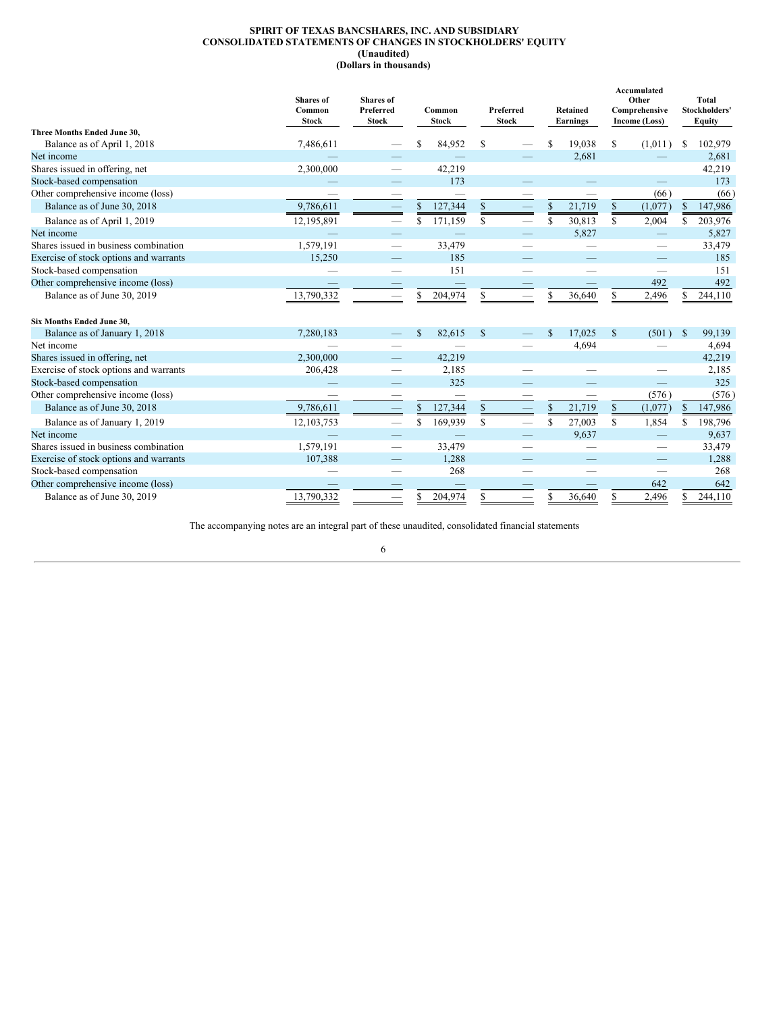# **SPIRIT OF TEXAS BANCSHARES, INC. AND SUBSIDIARY CONSOLIDATED STATEMENTS OF CHANGES IN STOCKHOLDERS' EQUITY (Unaudited) (Dollars in thousands)**

<span id="page-5-0"></span>

|                                        | <b>Shares</b> of<br>Common<br><b>Stock</b> | <b>Shares</b> of<br>Preferred<br><b>Stock</b> |               | Common<br><b>Stock</b> |               |  |                  |        |              |         |    |         |  |  |  |  |  |  |  | Preferred<br><b>Stock</b> |  |  |  |  |  |  |  |  |  |  |  | Retained<br>Earnings |  | Accumulated<br>Other<br>Comprehensive<br>Income (Loss) |  | <b>Total</b><br>Stockholders'<br>Equity |
|----------------------------------------|--------------------------------------------|-----------------------------------------------|---------------|------------------------|---------------|--|------------------|--------|--------------|---------|----|---------|--|--|--|--|--|--|--|---------------------------|--|--|--|--|--|--|--|--|--|--|--|----------------------|--|--------------------------------------------------------|--|-----------------------------------------|
| Three Months Ended June 30.            |                                            |                                               |               |                        |               |  |                  |        |              |         |    |         |  |  |  |  |  |  |  |                           |  |  |  |  |  |  |  |  |  |  |  |                      |  |                                                        |  |                                         |
| Balance as of April 1, 2018            | 7,486,611                                  |                                               | \$.           | 84,952                 | S.            |  | S                | 19,038 | S            | (1,011) | S  | 102,979 |  |  |  |  |  |  |  |                           |  |  |  |  |  |  |  |  |  |  |  |                      |  |                                                        |  |                                         |
| Net income                             |                                            |                                               |               |                        |               |  |                  | 2,681  |              |         |    | 2,681   |  |  |  |  |  |  |  |                           |  |  |  |  |  |  |  |  |  |  |  |                      |  |                                                        |  |                                         |
| Shares issued in offering, net         | 2,300,000                                  |                                               |               | 42,219                 |               |  |                  |        |              |         |    | 42,219  |  |  |  |  |  |  |  |                           |  |  |  |  |  |  |  |  |  |  |  |                      |  |                                                        |  |                                         |
| Stock-based compensation               |                                            |                                               |               | 173                    |               |  |                  |        |              |         |    | 173     |  |  |  |  |  |  |  |                           |  |  |  |  |  |  |  |  |  |  |  |                      |  |                                                        |  |                                         |
| Other comprehensive income (loss)      |                                            |                                               |               |                        |               |  |                  |        |              | (66)    |    | (66)    |  |  |  |  |  |  |  |                           |  |  |  |  |  |  |  |  |  |  |  |                      |  |                                                        |  |                                         |
| Balance as of June 30, 2018            | 9,786,611                                  |                                               | \$            | 127,344                | $\frac{1}{2}$ |  | $\underline{\$}$ | 21,719 | $\mathbb{S}$ | (1,077) | \$ | 147,986 |  |  |  |  |  |  |  |                           |  |  |  |  |  |  |  |  |  |  |  |                      |  |                                                        |  |                                         |
| Balance as of April 1, 2019            | 12,195,891                                 |                                               | <sup>\$</sup> | 171,159                | $\mathbb{S}$  |  | \$               | 30,813 | S            | 2,004   | S  | 203,976 |  |  |  |  |  |  |  |                           |  |  |  |  |  |  |  |  |  |  |  |                      |  |                                                        |  |                                         |
| Net income                             |                                            |                                               |               |                        |               |  |                  | 5,827  |              |         |    | 5,827   |  |  |  |  |  |  |  |                           |  |  |  |  |  |  |  |  |  |  |  |                      |  |                                                        |  |                                         |
| Shares issued in business combination  | 1,579,191                                  |                                               |               | 33,479                 |               |  |                  |        |              |         |    | 33,479  |  |  |  |  |  |  |  |                           |  |  |  |  |  |  |  |  |  |  |  |                      |  |                                                        |  |                                         |
| Exercise of stock options and warrants | 15,250                                     |                                               |               | 185                    |               |  |                  |        |              |         |    | 185     |  |  |  |  |  |  |  |                           |  |  |  |  |  |  |  |  |  |  |  |                      |  |                                                        |  |                                         |
| Stock-based compensation               |                                            |                                               |               | 151                    |               |  |                  |        |              |         |    | 151     |  |  |  |  |  |  |  |                           |  |  |  |  |  |  |  |  |  |  |  |                      |  |                                                        |  |                                         |
| Other comprehensive income (loss)      |                                            |                                               |               |                        |               |  |                  |        |              | 492     |    | 492     |  |  |  |  |  |  |  |                           |  |  |  |  |  |  |  |  |  |  |  |                      |  |                                                        |  |                                         |
| Balance as of June 30, 2019            | 13,790,332                                 | $\overline{\phantom{0}}$                      | S             | 204,974                | \$            |  | S                | 36,640 | S            | 2,496   | S. | 244,110 |  |  |  |  |  |  |  |                           |  |  |  |  |  |  |  |  |  |  |  |                      |  |                                                        |  |                                         |
| <b>Six Months Ended June 30.</b>       |                                            |                                               |               |                        |               |  |                  |        |              |         |    |         |  |  |  |  |  |  |  |                           |  |  |  |  |  |  |  |  |  |  |  |                      |  |                                                        |  |                                         |
| Balance as of January 1, 2018          | 7,280,183                                  |                                               | <sup>\$</sup> | 82,615                 | $\mathbb{S}$  |  | S                | 17.025 | $\mathbf S$  | (501)   | S  | 99,139  |  |  |  |  |  |  |  |                           |  |  |  |  |  |  |  |  |  |  |  |                      |  |                                                        |  |                                         |
| Net income                             |                                            |                                               |               |                        |               |  |                  | 4,694  |              |         |    | 4,694   |  |  |  |  |  |  |  |                           |  |  |  |  |  |  |  |  |  |  |  |                      |  |                                                        |  |                                         |
| Shares issued in offering, net         | 2,300,000                                  |                                               |               | 42,219                 |               |  |                  |        |              |         |    | 42,219  |  |  |  |  |  |  |  |                           |  |  |  |  |  |  |  |  |  |  |  |                      |  |                                                        |  |                                         |
| Exercise of stock options and warrants | 206,428                                    |                                               |               | 2,185                  |               |  |                  |        |              |         |    | 2,185   |  |  |  |  |  |  |  |                           |  |  |  |  |  |  |  |  |  |  |  |                      |  |                                                        |  |                                         |
| Stock-based compensation               |                                            |                                               |               | 325                    |               |  |                  |        |              |         |    | 325     |  |  |  |  |  |  |  |                           |  |  |  |  |  |  |  |  |  |  |  |                      |  |                                                        |  |                                         |
| Other comprehensive income (loss)      |                                            |                                               |               |                        |               |  |                  |        |              | (576)   |    | (576)   |  |  |  |  |  |  |  |                           |  |  |  |  |  |  |  |  |  |  |  |                      |  |                                                        |  |                                         |
| Balance as of June 30, 2018            | 9,786,611                                  |                                               | \$            | 127,344                | \$            |  | $\mathbb{S}$     | 21,719 | $\mathbb{S}$ | (1,077) | \$ | 147,986 |  |  |  |  |  |  |  |                           |  |  |  |  |  |  |  |  |  |  |  |                      |  |                                                        |  |                                         |
| Balance as of January 1, 2019          | 12, 103, 753                               |                                               | <sup>\$</sup> | 169,939                | \$            |  | \$               | 27,003 | S            | 1,854   | S  | 198,796 |  |  |  |  |  |  |  |                           |  |  |  |  |  |  |  |  |  |  |  |                      |  |                                                        |  |                                         |
| Net income                             |                                            |                                               |               |                        |               |  |                  | 9,637  |              |         |    | 9,637   |  |  |  |  |  |  |  |                           |  |  |  |  |  |  |  |  |  |  |  |                      |  |                                                        |  |                                         |
| Shares issued in business combination  | 1,579,191                                  |                                               |               | 33,479                 |               |  |                  |        |              |         |    | 33,479  |  |  |  |  |  |  |  |                           |  |  |  |  |  |  |  |  |  |  |  |                      |  |                                                        |  |                                         |
| Exercise of stock options and warrants | 107,388                                    |                                               |               | 1,288                  |               |  |                  |        |              |         |    | 1,288   |  |  |  |  |  |  |  |                           |  |  |  |  |  |  |  |  |  |  |  |                      |  |                                                        |  |                                         |
| Stock-based compensation               |                                            |                                               |               | 268                    |               |  |                  |        |              | -       |    | 268     |  |  |  |  |  |  |  |                           |  |  |  |  |  |  |  |  |  |  |  |                      |  |                                                        |  |                                         |
| Other comprehensive income (loss)      |                                            |                                               |               |                        |               |  |                  |        |              | 642     |    | 642     |  |  |  |  |  |  |  |                           |  |  |  |  |  |  |  |  |  |  |  |                      |  |                                                        |  |                                         |
| Balance as of June 30, 2019            | 13,790,332                                 | --                                            | \$.           | 204,974                | \$            |  | S                | 36.640 | S            | 2,496   | S  | 244,110 |  |  |  |  |  |  |  |                           |  |  |  |  |  |  |  |  |  |  |  |                      |  |                                                        |  |                                         |

The accompanying notes are an integral part of these unaudited, consolidated financial statements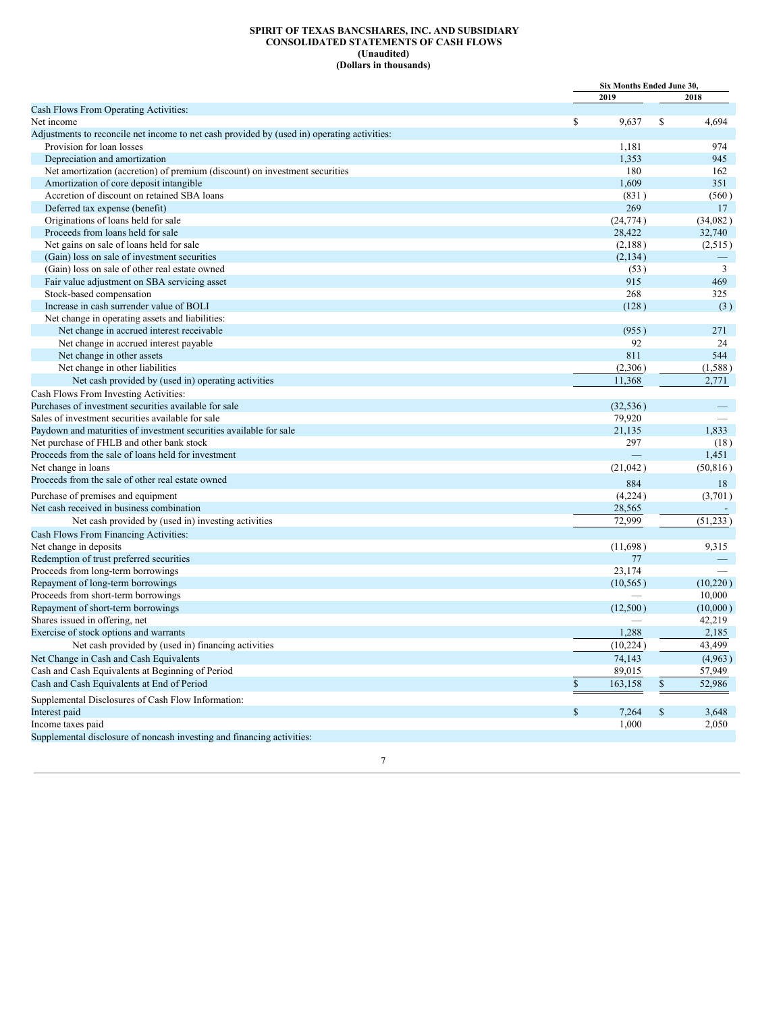### **SPIRIT OF TEXAS BANCSHARES, INC. AND SUBSIDIARY CONSOLIDATED STATEMENTS OF CASH FLOWS (Unaudited) (Dollars in thousands)**

<span id="page-6-0"></span>

|                                                                                             |                         | <b>Six Months Ended June 30.</b> |           |  |
|---------------------------------------------------------------------------------------------|-------------------------|----------------------------------|-----------|--|
|                                                                                             | 2019                    |                                  | 2018      |  |
| Cash Flows From Operating Activities:                                                       |                         |                                  |           |  |
| Net income                                                                                  | \$<br>9,637             | \$                               | 4,694     |  |
| Adjustments to reconcile net income to net cash provided by (used in) operating activities: |                         |                                  |           |  |
| Provision for loan losses                                                                   | 1,181                   |                                  | 974       |  |
| Depreciation and amortization                                                               | 1,353                   |                                  | 945       |  |
| Net amortization (accretion) of premium (discount) on investment securities                 |                         | 180                              | 162       |  |
| Amortization of core deposit intangible                                                     | 1,609                   |                                  | 351       |  |
| Accretion of discount on retained SBA loans                                                 |                         | (831)                            | (560)     |  |
| Deferred tax expense (benefit)                                                              |                         | 269                              | 17        |  |
| Originations of loans held for sale                                                         | (24, 774)               |                                  | (34,082)  |  |
| Proceeds from loans held for sale                                                           | 28,422                  |                                  | 32,740    |  |
| Net gains on sale of loans held for sale                                                    | (2,188)                 |                                  | (2,515)   |  |
| (Gain) loss on sale of investment securities                                                | (2,134)                 |                                  |           |  |
| (Gain) loss on sale of other real estate owned                                              |                         | (53)                             | 3         |  |
| Fair value adjustment on SBA servicing asset                                                |                         | 915                              | 469       |  |
| Stock-based compensation                                                                    |                         | 268                              | 325       |  |
| Increase in cash surrender value of BOLI                                                    |                         | (128)                            | (3)       |  |
| Net change in operating assets and liabilities:                                             |                         |                                  |           |  |
| Net change in accrued interest receivable                                                   |                         | (955)                            | 271       |  |
| Net change in accrued interest payable                                                      |                         | 92                               | 24        |  |
| Net change in other assets                                                                  |                         | 811                              | 544       |  |
| Net change in other liabilities                                                             | (2,306)                 |                                  | (1,588)   |  |
| Net cash provided by (used in) operating activities                                         | 11,368                  |                                  | 2,771     |  |
| Cash Flows From Investing Activities:                                                       |                         |                                  |           |  |
| Purchases of investment securities available for sale                                       | (32, 536)               |                                  |           |  |
| Sales of investment securities available for sale                                           | 79,920                  |                                  |           |  |
| Paydown and maturities of investment securities available for sale                          | 21,135                  |                                  | 1,833     |  |
| Net purchase of FHLB and other bank stock                                                   |                         | 297                              | (18)      |  |
| Proceeds from the sale of loans held for investment                                         |                         |                                  | 1,451     |  |
| Net change in loans                                                                         | (21, 042)               |                                  | (50, 816) |  |
| Proceeds from the sale of other real estate owned                                           |                         | 884                              | 18        |  |
| Purchase of premises and equipment                                                          | (4,224)                 |                                  | (3,701)   |  |
| Net cash received in business combination                                                   | 28,565                  |                                  |           |  |
| Net cash provided by (used in) investing activities                                         | 72,999                  |                                  | (51, 233) |  |
| Cash Flows From Financing Activities:                                                       |                         |                                  |           |  |
| Net change in deposits                                                                      | (11,698)                |                                  | 9,315     |  |
| Redemption of trust preferred securities                                                    |                         | 77                               |           |  |
| Proceeds from long-term borrowings                                                          | 23,174                  |                                  |           |  |
| Repayment of long-term borrowings                                                           | (10, 565)               |                                  | (10,220)  |  |
| Proceeds from short-term borrowings                                                         |                         |                                  | 10,000    |  |
| Repayment of short-term borrowings                                                          | (12,500)                |                                  | (10,000)  |  |
| Shares issued in offering, net                                                              |                         |                                  | 42,219    |  |
| Exercise of stock options and warrants                                                      | 1,288                   |                                  | 2,185     |  |
| Net cash provided by (used in) financing activities                                         | (10, 224)               |                                  | 43,499    |  |
| Net Change in Cash and Cash Equivalents                                                     | 74,143                  |                                  | (4,963)   |  |
| Cash and Cash Equivalents at Beginning of Period                                            | 89,015                  |                                  | 57,949    |  |
| Cash and Cash Equivalents at End of Period                                                  | $\mathbb{S}$<br>163,158 | $\mathbb{S}$                     | 52,986    |  |
| Supplemental Disclosures of Cash Flow Information:                                          |                         |                                  |           |  |
| Interest paid                                                                               | $\mathbb S$<br>7,264    | $\mathbb{S}$                     | 3,648     |  |
| Income taxes paid                                                                           | 1,000                   |                                  | 2,050     |  |
| Supplemental disclosure of noncash investing and financing activities:                      |                         |                                  |           |  |
|                                                                                             |                         |                                  |           |  |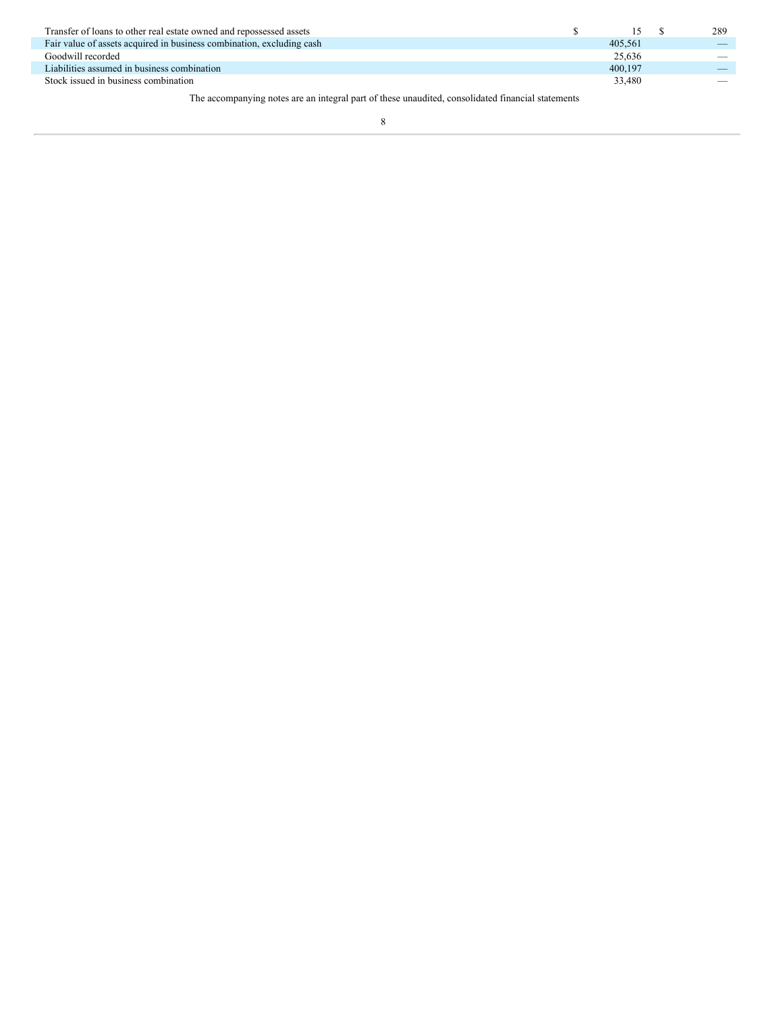| Transfer of loans to other real estate owned and repossessed assets                               |  |         |  | 289 |  |  |  |
|---------------------------------------------------------------------------------------------------|--|---------|--|-----|--|--|--|
| Fair value of assets acquired in business combination, excluding cash                             |  | 405.561 |  |     |  |  |  |
| Goodwill recorded                                                                                 |  | 25.636  |  |     |  |  |  |
| Liabilities assumed in business combination                                                       |  | 400.197 |  |     |  |  |  |
| Stock issued in business combination                                                              |  | 33,480  |  |     |  |  |  |
| The accompanying notes are an integral part of these unaudited, consolidated financial statements |  |         |  |     |  |  |  |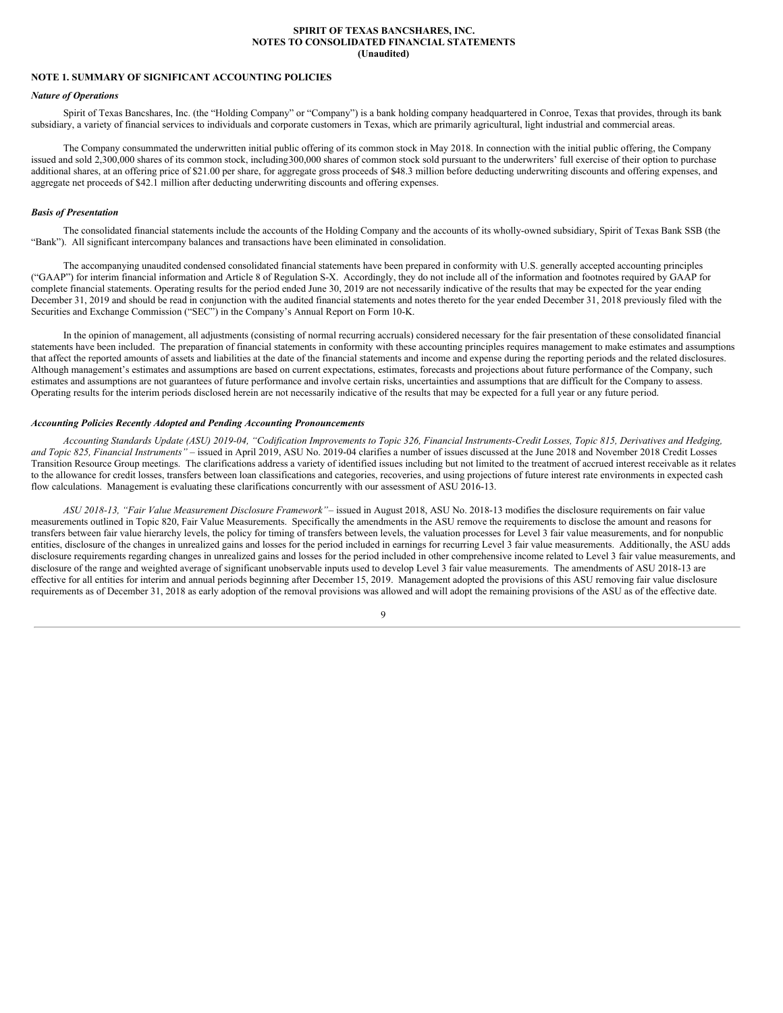### **SPIRIT OF TEXAS BANCSHARES, INC. NOTES TO CONSOLIDATED FINANCIAL STATEMENTS (Unaudited)**

# <span id="page-8-0"></span>**NOTE 1. SUMMARY OF SIGNIFICANT ACCOUNTING POLICIES**

### *Nature of Operations*

Spirit of Texas Bancshares, Inc. (the "Holding Company" or "Company") is a bank holding company headquartered in Conroe, Texas that provides, through its bank subsidiary, a variety of financial services to individuals and corporate customers in Texas, which are primarily agricultural, light industrial and commercial areas.

The Company consummated the underwritten initial public offering of its common stock in May 2018. In connection with the initial public offering, the Company issued and sold 2,300,000 shares of its common stock, including 300,000 shares of common stock sold pursuant to the underwriters' full exercise of their option to purchase additional shares, at an offering price of \$21.00 per share, for aggregate gross proceeds of \$48.3 million before deducting underwriting discounts and offering expenses, and aggregate net proceeds of \$42.1 million after deducting underwriting discounts and offering expenses.

### *Basis of Presentation*

The consolidated financial statements include the accounts of the Holding Company and the accounts of its wholly-owned subsidiary, Spirit of Texas Bank SSB (the "Bank"). All significant intercompany balances and transactions have been eliminated in consolidation.

The accompanying unaudited condensed consolidated financial statements have been prepared in conformity with U.S. generally accepted accounting principles ("GAAP") for interim financial information and Article 8 of Regulation S-X. Accordingly, they do not include all of the information and footnotes required by GAAP for complete financial statements. Operating results for the period ended June 30, 2019 are not necessarily indicative of the results that may be expected for the year ending December 31, 2019 and should be read in conjunction with the audited financial statements and notes thereto for the year ended December 31, 2018 previously filed with the Securities and Exchange Commission ("SEC") in the Company's Annual Report on Form 10-K.

In the opinion of management, all adjustments (consisting of normal recurring accruals) considered necessary for the fair presentation of these consolidated financial statements have been included. The preparation of financial statements in conformity with these accounting principles requires management to make estimates and assumptions that affect the reported amounts of assets and liabilities at the date of the financial statements and income and expense during the reporting periods and the related disclosures. Although management's estimates and assumptions are based on current expectations, estimates, forecasts and projections about future performance of the Company, such estimates and assumptions are not guarantees of future performance and involve certain risks, uncertainties and assumptions that are difficult for the Company to assess. Operating results for the interim periods disclosed herein are not necessarily indicative of the results that may be expected for a full year or any future period.

# *Accounting Policies Recently Adopted and Pending Accounting Pronouncements*

Accounting Standards Update (ASU) 2019-04, "Codification Improvements to Topic 326, Financial Instruments-Credit Losses, Topic 815, Derivatives and Hedging, *and Topic 825, Financial Instruments" –* issued in April 2019, ASU No. 2019-04 clarifies a number of issues discussed at the June 2018 and November 2018 Credit Losses Transition Resource Group meetings. The clarifications address a variety of identified issues including but not limited to the treatment of accrued interest receivable as it relates to the allowance for credit losses, transfers between loan classifications and categories, recoveries, and using projections of future interest rate environments in expected cash flow calculations. Management is evaluating these clarifications concurrently with our assessment of ASU 2016-13.

*ASU 2018-13, "Fair Value Measurement Disclosure Framework"*– issued in August 2018, ASU No. 2018-13 modifies the disclosure requirements on fair value measurements outlined in Topic 820, Fair Value Measurements. Specifically the amendments in the ASU remove the requirements to disclose the amount and reasons for transfers between fair value hierarchy levels, the policy for timing of transfers between levels, the valuation processes for Level 3 fair value measurements, and for nonpublic entities, disclosure of the changes in unrealized gains and losses for the period included in earnings for recurring Level 3 fair value measurements. Additionally, the ASU adds disclosure requirements regarding changes in unrealized gains and losses for the period included in other comprehensive income related to Level 3 fair value measurements, and disclosure of the range and weighted average of significant unobservable inputs used to develop Level 3 fair value measurements. The amendments of ASU 2018-13 are effective for all entities for interim and annual periods beginning after December 15, 2019. Management adopted the provisions of this ASU removing fair value disclosure requirements as of December 31, 2018 as early adoption of the removal provisions was allowed and will adopt the remaining provisions of the ASU as of the effective date.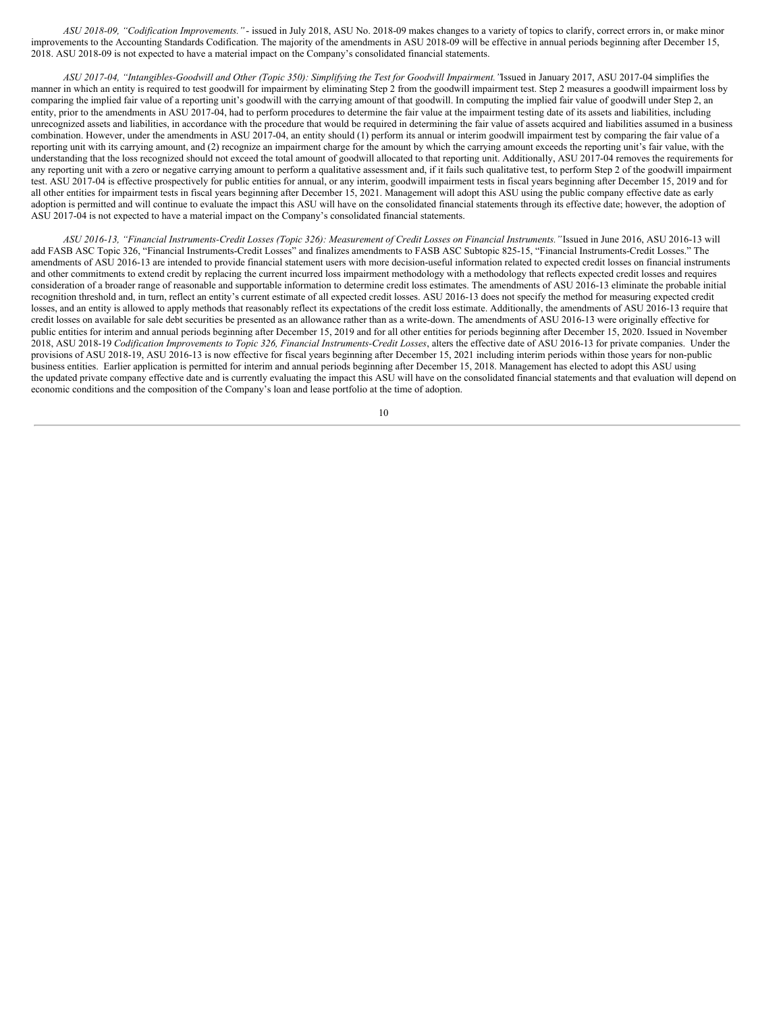*ASU 2018-09, "Codification Improvements."* - issued in July 2018, ASU No. 2018-09 makes changes to a variety of topics to clarify, correct errors in, or make minor improvements to the Accounting Standards Codification. The majority of the amendments in ASU 2018-09 will be effective in annual periods beginning after December 15, 2018. ASU 2018-09 is not expected to have a material impact on the Company's consolidated financial statements.

ASU 2017-04, "Intangibles-Goodwill and Other (Topic 350): Simplifying the Test for Goodwill Impairment. "Issued in January 2017, ASU 2017-04 simplifies the manner in which an entity is required to test goodwill for impairment by eliminating Step 2 from the goodwill impairment test. Step 2 measures a goodwill impairment loss by comparing the implied fair value of a reporting unit's goodwill with the carrying amount of that goodwill. In computing the implied fair value of goodwill under Step 2, an entity, prior to the amendments in ASU 2017-04, had to perform procedures to determine the fair value at the impairment testing date of its assets and liabilities, including unrecognized assets and liabilities, in accordance with the procedure that would be required in determining the fair value of assets acquired and liabilities assumed in a business combination. However, under the amendments in ASU 2017-04, an entity should (1) perform its annual or interim goodwill impairment test by comparing the fair value of a reporting unit with its carrying amount, and (2) recognize an impairment charge for the amount by which the carrying amount exceeds the reporting unit's fair value, with the understanding that the loss recognized should not exceed the total amount of goodwill allocated to that reporting unit. Additionally, ASU 2017-04 removes the requirements for any reporting unit with a zero or negative carrying amount to perform a qualitative assessment and, if it fails such qualitative test, to perform Step 2 of the goodwill impairment test. ASU 2017-04 is effective prospectively for public entities for annual, or any interim, goodwill impairment tests in fiscal years beginning after December 15, 2019 and for all other entities for impairment tests in fiscal years beginning after December 15, 2021. Management will adopt this ASU using the public company effective date as early adoption is permitted and will continue to evaluate the impact this ASU will have on the consolidated financial statements through its effective date; however, the adoption of ASU 2017-04 is not expected to have a material impact on the Company's consolidated financial statements.

ASU 2016-13, "Financial Instruments-Credit Losses (Topic 326): Measurement of Credit Losses on Financial Instruments." Issued in June 2016, ASU 2016-13 will add FASB ASC Topic 326, "Financial Instruments-Credit Losses" and finalizes amendments to FASB ASC Subtopic 825-15, "Financial Instruments-Credit Losses." The amendments of ASU 2016-13 are intended to provide financial statement users with more decision-useful information related to expected credit losses on financial instruments and other commitments to extend credit by replacing the current incurred loss impairment methodology with a methodology that reflects expected credit losses and requires consideration of a broader range of reasonable and supportable information to determine credit loss estimates. The amendments of ASU 2016-13 eliminate the probable initial recognition threshold and, in turn, reflect an entity's current estimate of all expected credit losses. ASU 2016-13 does not specify the method for measuring expected credit losses, and an entity is allowed to apply methods that reasonably reflect its expectations of the credit loss estimate. Additionally, the amendments of ASU 2016-13 require that credit losses on available for sale debt securities be presented as an allowance rather than as a write-down. The amendments of ASU 2016-13 were originally effective for public entities for interim and annual periods beginning after December 15, 2019 and for all other entities for periods beginning after December 15, 2020. Issued in November 2018, ASU 2018-19 *Codification Improvements to Topic 326, Financial Instruments-Credit Losses*, alters the effective date of ASU 2016-13 for private companies. Under the provisions of ASU 2018-19, ASU 2016-13 is now effective for fiscal years beginning after December 15, 2021 including interim periods within those years for non-public business entities. Earlier application is permitted for interim and annual periods beginning after December 15, 2018. Management has elected to adopt this ASU using the updated private company effective date and is currently evaluating the impact this ASU will have on the consolidated financial statements and that evaluation will depend on economic conditions and the composition of the Company's loan and lease portfolio at the time of adoption.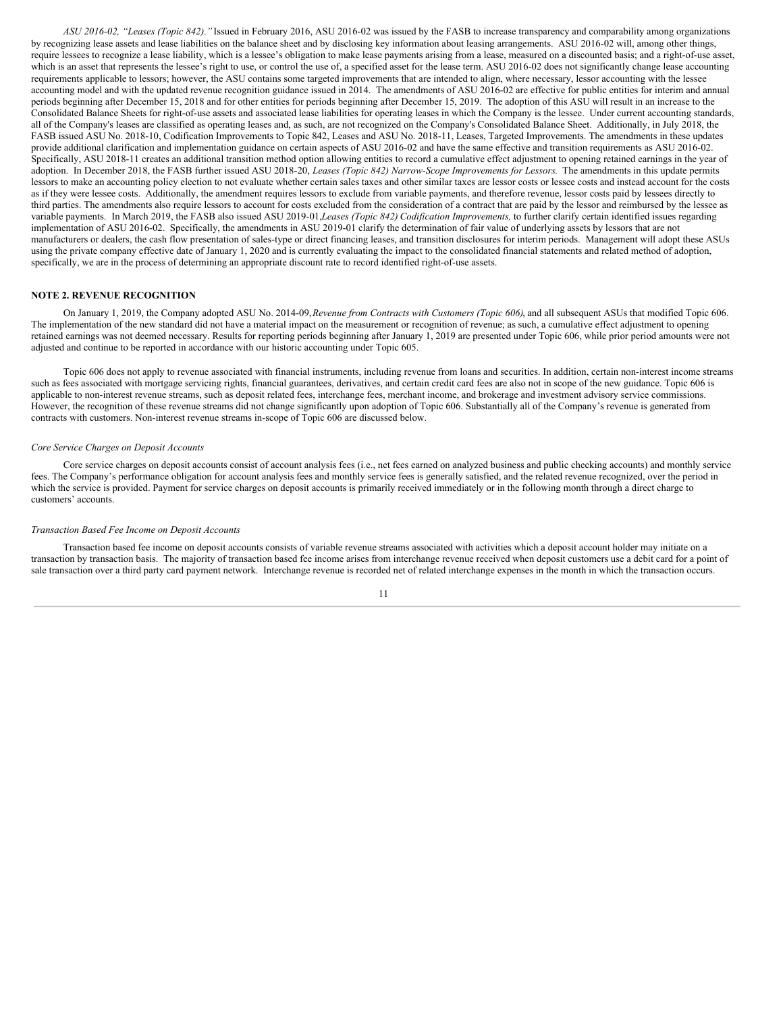*ASU 2016-02, "Leases (Topic 842)."* Issued in February 2016, ASU 2016-02 was issued by the FASB to increase transparency and comparability among organizations by recognizing lease assets and lease liabilities on the balance sheet and by disclosing key information about leasing arrangements. ASU 2016-02 will, among other things, require lessees to recognize a lease liability, which is a lessee's obligation to make lease payments arising from a lease, measured on a discounted basis; and a right-of-use asset, which is an asset that represents the lessee's right to use, or control the use of, a specified asset for the lease term. ASU 2016-02 does not significantly change lease accounting requirements applicable to lessors; however, the ASU contains some targeted improvements that are intended to align, where necessary, lessor accounting with the lessee accounting model and with the updated revenue recognition guidance issued in 2014. The amendments of ASU 2016-02 are effective for public entities for interim and annual periods beginning after December 15, 2018 and for other entities for periods beginning after December 15, 2019. The adoption of this ASU will result in an increase to the Consolidated Balance Sheets for right-of-use assets and associated lease liabilities for operating leases in which the Company is the lessee. Under current accounting standards, all of the Company's leases are classified as operating leases and, as such, are not recognized on the Company's Consolidated Balance Sheet. Additionally, in July 2018, the FASB issued ASU No. 2018-10, Codification Improvements to Topic 842, Leases and ASU No. 2018-11, Leases, Targeted Improvements. The amendments in these updates provide additional clarification and implementation guidance on certain aspects of ASU 2016-02 and have the same effective and transition requirements as ASU 2016-02. Specifically, ASU 2018-11 creates an additional transition method option allowing entities to record a cumulative effect adjustment to opening retained earnings in the year of adoption. In December 2018, the FASB further issued ASU 2018-20, *Leases (Topic 842) Narrow-Scope Improvements for Lessors*. The amendments in this update permits lessors to make an accounting policy election to not evaluate whether certain sales taxes and other similar taxes are lessor costs or lessee costs and instead account for the costs as if they were lessee costs. Additionally, the amendment requires lessors to exclude from variable payments, and therefore revenue, lessor costs paid by lessees directly to third parties. The amendments also require lessors to account for costs excluded from the consideration of a contract that are paid by the lessor and reimbursed by the lessee as variable payments. In March 2019, the FASB also issued ASU 2019-01,*Leases (Topic 842) Codification Improvements,* to further clarify certain identified issues regarding implementation of ASU 2016-02. Specifically, the amendments in ASU 2019-01 clarify the determination of fair value of underlying assets by lessors that are not manufacturers or dealers, the cash flow presentation of sales-type or direct financing leases, and transition disclosures for interim periods. Management will adopt these ASUs using the private company effective date of January 1, 2020 and is currently evaluating the impact to the consolidated financial statements and related method of adoption, specifically, we are in the process of determining an appropriate discount rate to record identified right-of-use assets.

### **NOTE 2. REVENUE RECOGNITION**

On January 1, 2019, the Company adopted ASU No. 2014-09,*Revenue from Contracts with Customers (Topic 606)*, and all subsequent ASUs that modified Topic 606. The implementation of the new standard did not have a material impact on the measurement or recognition of revenue; as such, a cumulative effect adjustment to opening retained earnings was not deemed necessary. Results for reporting periods beginning after January 1, 2019 are presented under Topic 606, while prior period amounts were not adjusted and continue to be reported in accordance with our historic accounting under Topic 605.

Topic 606 does not apply to revenue associated with financial instruments, including revenue from loans and securities. In addition, certain non-interest income streams such as fees associated with mortgage servicing rights, financial guarantees, derivatives, and certain credit card fees are also not in scope of the new guidance. Topic 606 is applicable to non-interest revenue streams, such as deposit related fees, interchange fees, merchant income, and brokerage and investment advisory service commissions. However, the recognition of these revenue streams did not change significantly upon adoption of Topic 606. Substantially all of the Company's revenue is generated from contracts with customers. Non-interest revenue streams in-scope of Topic 606 are discussed below.

#### *Core Service Charges on Deposit Accounts*

Core service charges on deposit accounts consist of account analysis fees (i.e., net fees earned on analyzed business and public checking accounts) and monthly service fees. The Company's performance obligation for account analysis fees and monthly service fees is generally satisfied, and the related revenue recognized, over the period in which the service is provided. Payment for service charges on deposit accounts is primarily received immediately or in the following month through a direct charge to customers' accounts.

#### *Transaction Based Fee Income on Deposit Accounts*

Transaction based fee income on deposit accounts consists of variable revenue streams associated with activities which a deposit account holder may initiate on a transaction by transaction basis. The majority of transaction based fee income arises from interchange revenue received when deposit customers use a debit card for a point of sale transaction over a third party card payment network. Interchange revenue is recorded net of related interchange expenses in the month in which the transaction occurs.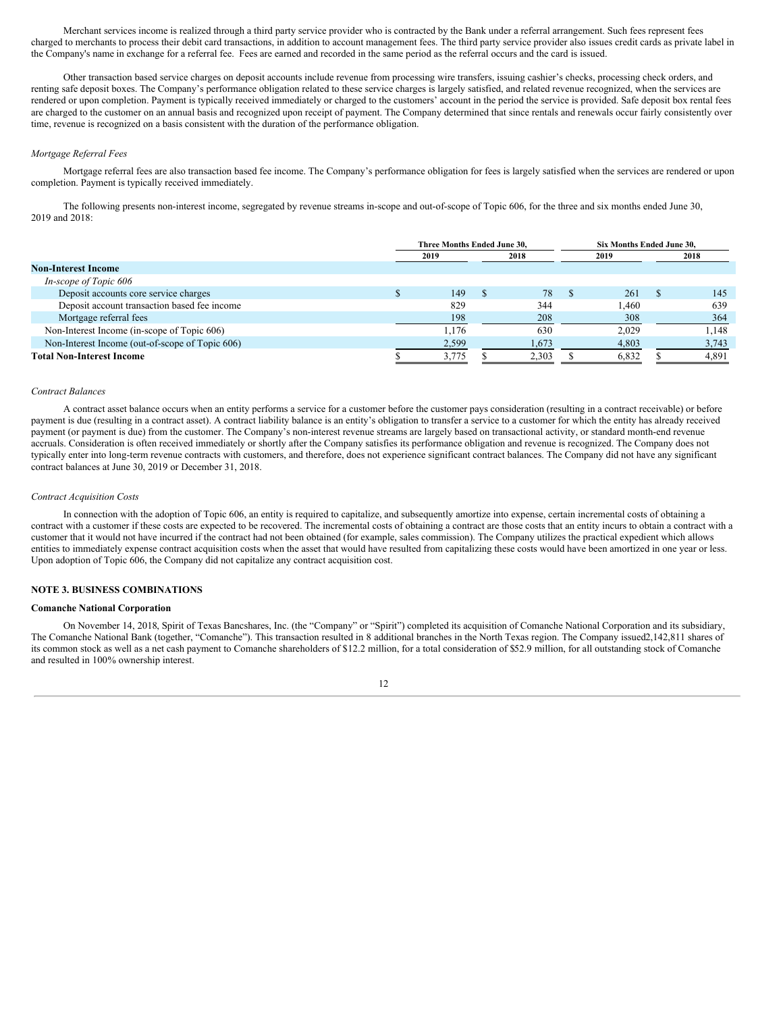Merchant services income is realized through a third party service provider who is contracted by the Bank under a referral arrangement. Such fees represent fees charged to merchants to process their debit card transactions, in addition to account management fees. The third party service provider also issues credit cards as private label in the Company's name in exchange for a referral fee. Fees are earned and recorded in the same period as the referral occurs and the card is issued.

Other transaction based service charges on deposit accounts include revenue from processing wire transfers, issuing cashier's checks, processing check orders, and renting safe deposit boxes. The Company's performance obligation related to these service charges is largely satisfied, and related revenue recognized, when the services are rendered or upon completion. Payment is typically received immediately or charged to the customers' account in the period the service is provided. Safe deposit box rental fees are charged to the customer on an annual basis and recognized upon receipt of payment. The Company determined that since rentals and renewals occur fairly consistently over time, revenue is recognized on a basis consistent with the duration of the performance obligation.

#### *Mortgage Referral Fees*

Mortgage referral fees are also transaction based fee income. The Company's performance obligation for fees is largely satisfied when the services are rendered or upon completion. Payment is typically received immediately.

The following presents non-interest income, segregated by revenue streams in-scope and out-of-scope of Topic 606, for the three and six months ended June 30, 2019 and 2018:

|                                                 | Three Months Ended June 30, |       |    |       |  | Six Months Ended June 30. |  |       |  |  |
|-------------------------------------------------|-----------------------------|-------|----|-------|--|---------------------------|--|-------|--|--|
|                                                 | 2018<br>2019                |       |    | 2019  |  | 2018                      |  |       |  |  |
| <b>Non-Interest Income</b>                      |                             |       |    |       |  |                           |  |       |  |  |
| In-scope of Topic 606                           |                             |       |    |       |  |                           |  |       |  |  |
| Deposit accounts core service charges           |                             | 149   | J. | 78    |  | 261                       |  | 145   |  |  |
| Deposit account transaction based fee income    |                             | 829   |    | 344   |  | .460                      |  | 639   |  |  |
| Mortgage referral fees                          |                             | 198   |    | 208   |  | 308                       |  | 364   |  |  |
| Non-Interest Income (in-scope of Topic 606)     |                             | 1.176 |    | 630   |  | 2.029                     |  | 1.148 |  |  |
| Non-Interest Income (out-of-scope of Topic 606) |                             | 2,599 |    | 1,673 |  | 4,803                     |  | 3,743 |  |  |
| <b>Total Non-Interest Income</b>                |                             | 3,775 |    | 2.303 |  | 6,832                     |  | 4,891 |  |  |

# *Contract Balances*

A contract asset balance occurs when an entity performs a service for a customer before the customer pays consideration (resulting in a contract receivable) or before payment is due (resulting in a contract asset). A contract liability balance is an entity's obligation to transfer a service to a customer for which the entity has already received payment (or payment is due) from the customer. The Company's non-interest revenue streams are largely based on transactional activity, or standard month-end revenue accruals. Consideration is often received immediately or shortly after the Company satisfies its performance obligation and revenue is recognized. The Company does not typically enter into long-term revenue contracts with customers, and therefore, does not experience significant contract balances. The Company did not have any significant contract balances at June 30, 2019 or December 31, 2018.

#### *Contract Acquisition Costs*

In connection with the adoption of Topic 606, an entity is required to capitalize, and subsequently amortize into expense, certain incremental costs of obtaining a contract with a customer if these costs are expected to be recovered. The incremental costs of obtaining a contract are those costs that an entity incurs to obtain a contract with a customer that it would not have incurred if the contract had not been obtained (for example, sales commission). The Company utilizes the practical expedient which allows entities to immediately expense contract acquisition costs when the asset that would have resulted from capitalizing these costs would have been amortized in one year or less. Upon adoption of Topic 606, the Company did not capitalize any contract acquisition cost.

# **NOTE 3. BUSINESS COMBINATIONS**

# **Comanche National Corporation**

On November 14, 2018, Spirit of Texas Bancshares, Inc. (the "Company" or "Spirit") completed its acquisition of Comanche National Corporation and its subsidiary, The Comanche National Bank (together, "Comanche"). This transaction resulted in 8 additional branches in the North Texas region. The Company issued2,142,811 shares of its common stock as well as a net cash payment to Comanche shareholders of \$12.2 million, for a total consideration of \$52.9 million, for all outstanding stock of Comanche and resulted in 100% ownership interest.

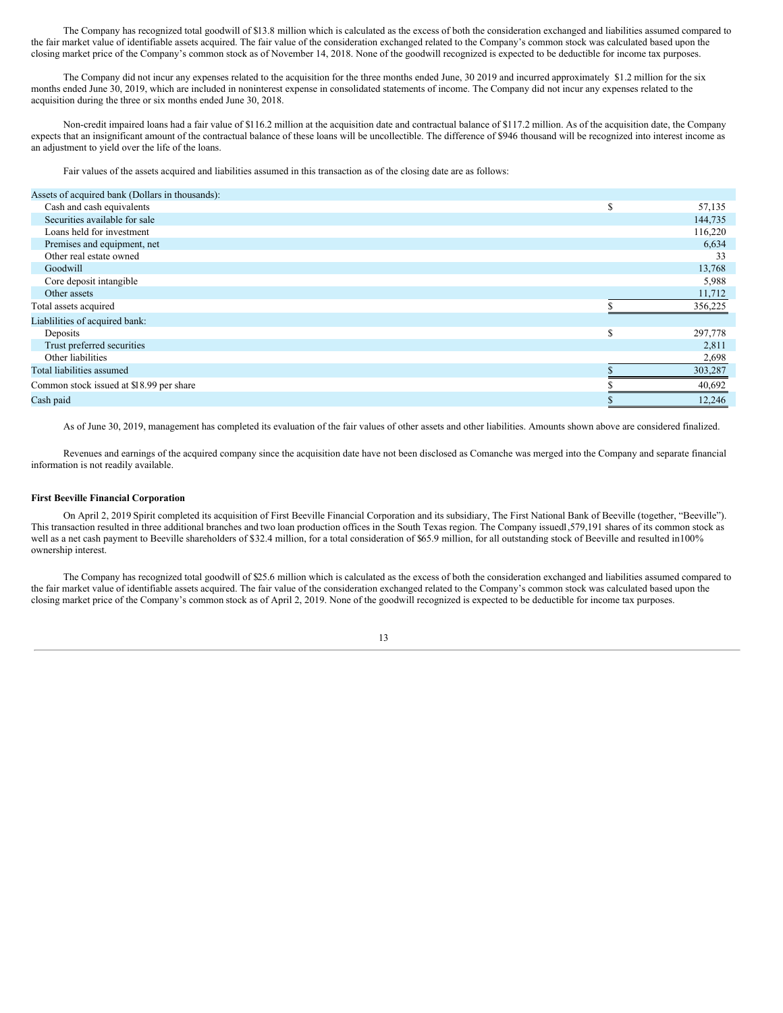The Company has recognized total goodwill of \$13.8 million which is calculated as the excess of both the consideration exchanged and liabilities assumed compared to the fair market value of identifiable assets acquired. The fair value of the consideration exchanged related to the Company's common stock was calculated based upon the closing market price of the Company's common stock as of November 14, 2018. None of the goodwill recognized is expected to be deductible for income tax purposes.

The Company did not incur any expenses related to the acquisition for the three months ended June, 30 2019 and incurred approximately \$1.2 million for the six months ended June 30, 2019, which are included in noninterest expense in consolidated statements of income. The Company did not incur any expenses related to the acquisition during the three or six months ended June 30, 2018.

Non-credit impaired loans had a fair value of \$116.2 million at the acquisition date and contractual balance of \$117.2 million. As of the acquisition date, the Company expects that an insignificant amount of the contractual balance of these loans will be uncollectible. The difference of \$946 thousand will be recognized into interest income as an adjustment to yield over the life of the loans.

Fair values of the assets acquired and liabilities assumed in this transaction as of the closing date are as follows:

| Assets of acquired bank (Dollars in thousands): |   |         |
|-------------------------------------------------|---|---------|
| Cash and cash equivalents                       | S | 57,135  |
| Securities available for sale                   |   | 144,735 |
| Loans held for investment                       |   | 116,220 |
| Premises and equipment, net                     |   | 6,634   |
| Other real estate owned                         |   | 33      |
| Goodwill                                        |   | 13,768  |
| Core deposit intangible                         |   | 5,988   |
| Other assets                                    |   | 11,712  |
| Total assets acquired                           |   | 356,225 |
| Liablilities of acquired bank:                  |   |         |
| Deposits                                        | S | 297,778 |
| Trust preferred securities                      |   | 2,811   |
| Other liabilities                               |   | 2,698   |
| Total liabilities assumed                       |   | 303,287 |
| Common stock issued at \$18.99 per share        |   | 40,692  |
| Cash paid                                       |   | 12,246  |

As of June 30, 2019, management has completed its evaluation of the fair values of other assets and other liabilities. Amounts shown above are considered finalized.

Revenues and earnings of the acquired company since the acquisition date have not been disclosed as Comanche was merged into the Company and separate financial information is not readily available.

# **First Beeville Financial Corporation**

On April 2, 2019 Spirit completed its acquisition of First Beeville Financial Corporation and its subsidiary, The First National Bank of Beeville (together, "Beeville"). This transaction resulted in three additional branches and two loan production offices in the South Texas region. The Company issued1,579,191 shares of its common stock as well as a net cash payment to Beeville shareholders of \$32.4 million, for a total consideration of \$65.9 million, for all outstanding stock of Beeville and resulted in100% ownership interest.

The Company has recognized total goodwill of \$25.6 million which is calculated as the excess of both the consideration exchanged and liabilities assumed compared to the fair market value of identifiable assets acquired. The fair value of the consideration exchanged related to the Company's common stock was calculated based upon the closing market price of the Company's common stock as of April 2, 2019. None of the goodwill recognized is expected to be deductible for income tax purposes.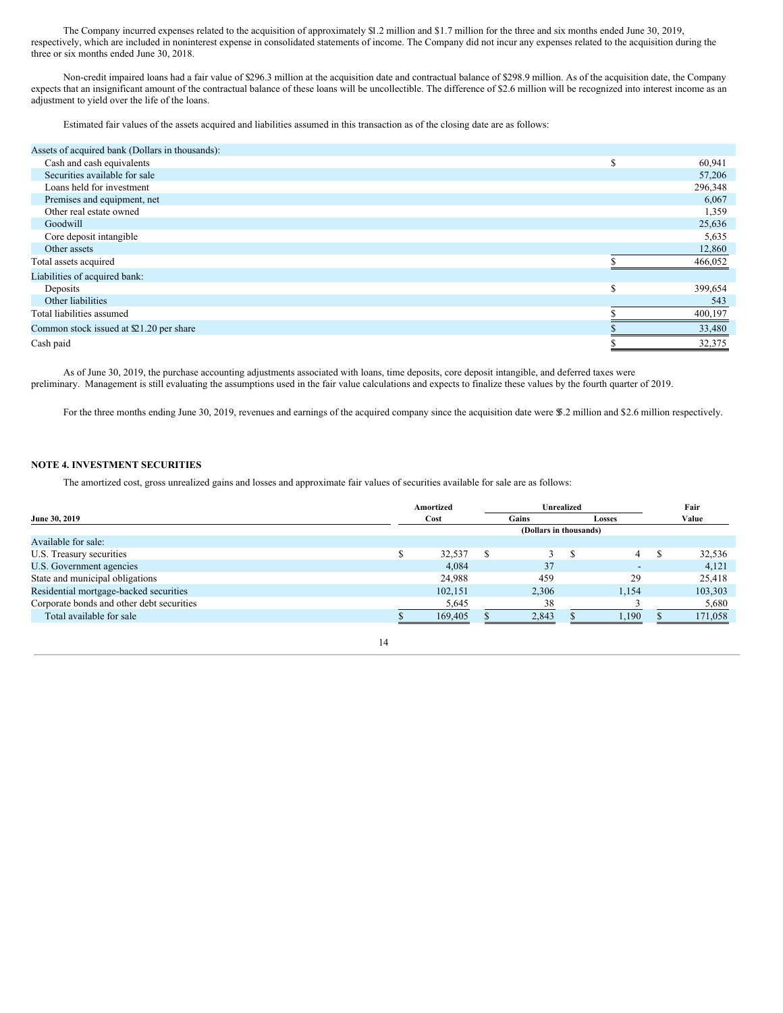The Company incurred expenses related to the acquisition of approximately \$1.2 million and \$1.7 million for the three and six months ended June 30, 2019, respectively, which are included in noninterest expense in consolidated statements of income. The Company did not incur any expenses related to the acquisition during the three or six months ended June 30, 2018.

Non-credit impaired loans had a fair value of \$296.3 million at the acquisition date and contractual balance of \$298.9 million. As of the acquisition date, the Company expects that an insignificant amount of the contractual balance of these loans will be uncollectible. The difference of \$2.6 million will be recognized into interest income as an adjustment to yield over the life of the loans.

Estimated fair values of the assets acquired and liabilities assumed in this transaction as of the closing date are as follows:

| Assets of acquired bank (Dollars in thousands): |               |         |
|-------------------------------------------------|---------------|---------|
| Cash and cash equivalents                       | $\triangle$   | 60,941  |
| Securities available for sale                   |               | 57,206  |
| Loans held for investment                       |               | 296,348 |
| Premises and equipment, net                     |               | 6,067   |
| Other real estate owned                         |               | 1,359   |
| Goodwill                                        |               | 25,636  |
| Core deposit intangible                         |               | 5,635   |
| Other assets                                    |               | 12,860  |
| Total assets acquired                           |               | 466,052 |
| Liabilities of acquired bank:                   |               |         |
| Deposits                                        | $\sigma$<br>ж | 399,654 |
| Other liabilities                               |               | 543     |
| Total liabilities assumed                       |               | 400,197 |
| Common stock issued at \$21.20 per share        |               | 33,480  |
| Cash paid                                       |               | 32,375  |

As of June 30, 2019, the purchase accounting adjustments associated with loans, time deposits, core deposit intangible, and deferred taxes were preliminary. Management is still evaluating the assumptions used in the fair value calculations and expects to finalize these values by the fourth quarter of 2019.

For the three months ending June 30, 2019, revenues and earnings of the acquired company since the acquisition date were \$.2 million and \$2.6 million respectively.

# **NOTE 4. INVESTMENT SECURITIES**

The amortized cost, gross unrealized gains and losses and approximate fair values of securities available for sale are as follows:

|                                           | Amortized |  | <b>Unrealized</b>      |      | Fair                     |         |  |
|-------------------------------------------|-----------|--|------------------------|------|--------------------------|---------|--|
| June 30, 2019                             | Cost      |  | Gains                  |      | <b>Losses</b>            | Value   |  |
|                                           |           |  | (Dollars in thousands) |      |                          |         |  |
| Available for sale:                       |           |  |                        |      |                          |         |  |
| U.S. Treasury securities                  | 32,537    |  |                        |      | 4                        | 32,536  |  |
| U.S. Government agencies                  | 4,084     |  | 37                     |      | $\overline{\phantom{a}}$ | 4,121   |  |
| State and municipal obligations           | 24,988    |  | 459                    |      | 29                       | 25,418  |  |
| Residential mortgage-backed securities    | 102,151   |  | 2,306                  |      | 1,154                    | 103,303 |  |
| Corporate bonds and other debt securities | 5,645     |  | 38                     |      |                          | 5,680   |  |
| Total available for sale                  | 169,405   |  | 2,843                  | .190 |                          | 171,058 |  |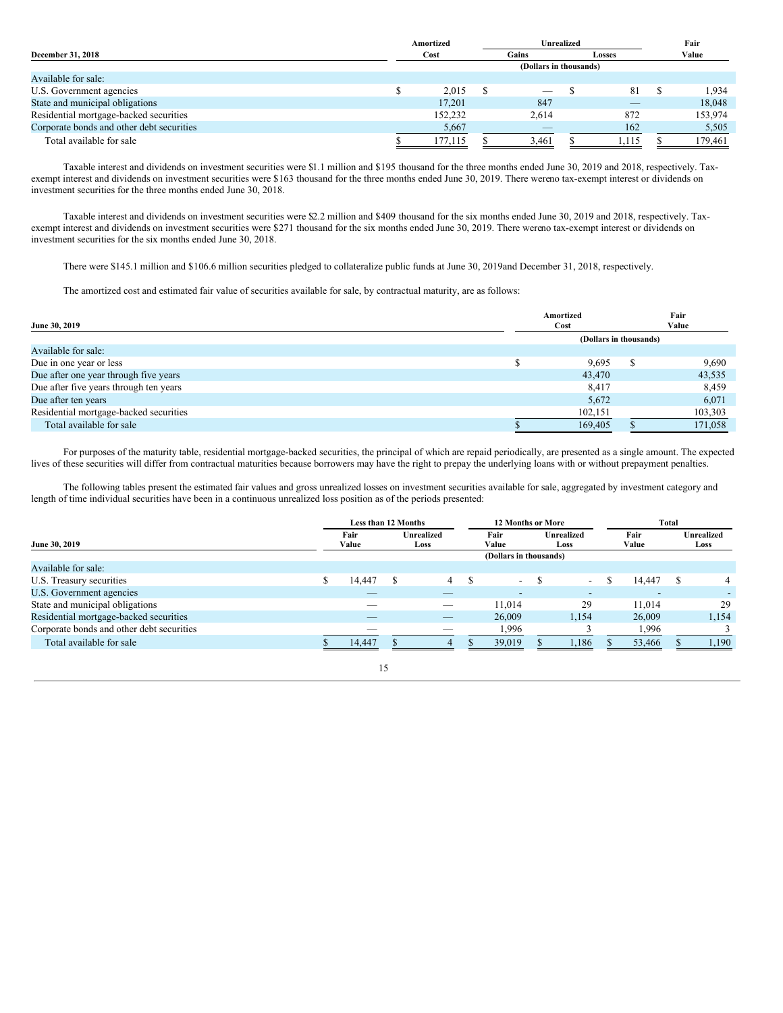|                                           | Amortized | Unrealized               | Fair |                          |         |
|-------------------------------------------|-----------|--------------------------|------|--------------------------|---------|
| <b>December 31, 2018</b>                  | Cost      | Gains<br><b>Losses</b>   |      |                          | Value   |
|                                           |           | (Dollars in thousands)   |      |                          |         |
| Available for sale:                       |           |                          |      |                          |         |
| U.S. Government agencies                  | 2.015     | $\overline{\phantom{a}}$ |      | 81                       | 1.934   |
| State and municipal obligations           | 17.201    | 847                      |      | $\overline{\phantom{a}}$ | 18.048  |
| Residential mortgage-backed securities    | 152,232   | 2,614                    |      | 872                      | 153,974 |
| Corporate bonds and other debt securities | 5,667     | $\overline{\phantom{a}}$ |      | 162                      | 5,505   |
| Total available for sale                  | 177,115   | 3,461                    |      | 1,115                    | 179,461 |

Taxable interest and dividends on investment securities were \$1.1 million and \$195 thousand for the three months ended June 30, 2019 and 2018, respectively. Taxexempt interest and dividends on investment securities were \$163 thousand for the three months ended June 30, 2019. There wereno tax-exempt interest or dividends on investment securities for the three months ended June 30, 2018.

Taxable interest and dividends on investment securities were \$2.2 million and \$409 thousand for the six months ended June 30, 2019 and 2018, respectively. Taxexempt interest and dividends on investment securities were \$271 thousand for the six months ended June 30, 2019. There wereno tax-exempt interest or dividends on investment securities for the six months ended June 30, 2018.

There were \$145.1 million and \$106.6 million securities pledged to collateralize public funds at June 30, 2019and December 31, 2018, respectively.

The amortized cost and estimated fair value of securities available for sale, by contractual maturity, are as follows:

|                                        | Amortized              | Fair    |  |  |  |  |
|----------------------------------------|------------------------|---------|--|--|--|--|
| June 30, 2019                          | Cost                   | Value   |  |  |  |  |
|                                        | (Dollars in thousands) |         |  |  |  |  |
| Available for sale:                    |                        |         |  |  |  |  |
| Due in one year or less                | 9,695                  | 9,690   |  |  |  |  |
| Due after one year through five years  | 43,470                 | 43,535  |  |  |  |  |
| Due after five years through ten years | 8,417                  | 8,459   |  |  |  |  |
| Due after ten years                    | 5.672                  | 6.071   |  |  |  |  |
| Residential mortgage-backed securities | 102,151                | 103,303 |  |  |  |  |
| Total available for sale               | 169,405                | 171,058 |  |  |  |  |

For purposes of the maturity table, residential mortgage-backed securities, the principal of which are repaid periodically, are presented as a single amount. The expected lives of these securities will differ from contractual maturities because borrowers may have the right to prepay the underlying loans with or without prepayment penalties.

The following tables present the estimated fair values and gross unrealized losses on investment securities available for sale, aggregated by investment category and length of time individual securities have been in a continuous unrealized loss position as of the periods presented:

|                                           | <b>Less than 12 Months</b><br><b>12 Months or More</b> |        |  |                          |                           |                          |  | Total                    |  |                           |  |       |
|-------------------------------------------|--------------------------------------------------------|--------|--|--------------------------|---------------------------|--------------------------|--|--------------------------|--|---------------------------|--|-------|
| June 30, 2019                             | <b>Unrealized</b><br>Fair<br>Value<br>Loss             |        |  | Fair<br>Value            | <b>Unrealized</b><br>Loss |                          |  | Fair<br>Value            |  | <b>Unrealized</b><br>Loss |  |       |
|                                           |                                                        |        |  |                          | (Dollars in thousands)    |                          |  |                          |  |                           |  |       |
| Available for sale:                       |                                                        |        |  |                          |                           |                          |  |                          |  |                           |  |       |
| U.S. Treasury securities                  |                                                        | 14.447 |  | 4                        |                           | $\sim$                   |  | $\overline{\phantom{0}}$ |  | 14.447                    |  | 4     |
| U.S. Government agencies                  |                                                        | _      |  | _                        |                           | $\overline{\phantom{a}}$ |  | $\overline{\phantom{a}}$ |  |                           |  |       |
| State and municipal obligations           |                                                        | _      |  |                          |                           | 11.014                   |  | 29                       |  | 11.014                    |  | 29    |
| Residential mortgage-backed securities    |                                                        | _      |  | $\overline{\phantom{a}}$ |                           | 26,009                   |  | 1.154                    |  | 26,009                    |  | 1,154 |
| Corporate bonds and other debt securities |                                                        |        |  | __                       |                           | 1,996                    |  |                          |  | 1,996                     |  |       |
| Total available for sale                  |                                                        | 14.447 |  | 4                        |                           | 39,019                   |  | 1,186                    |  | 53,466                    |  | 1.190 |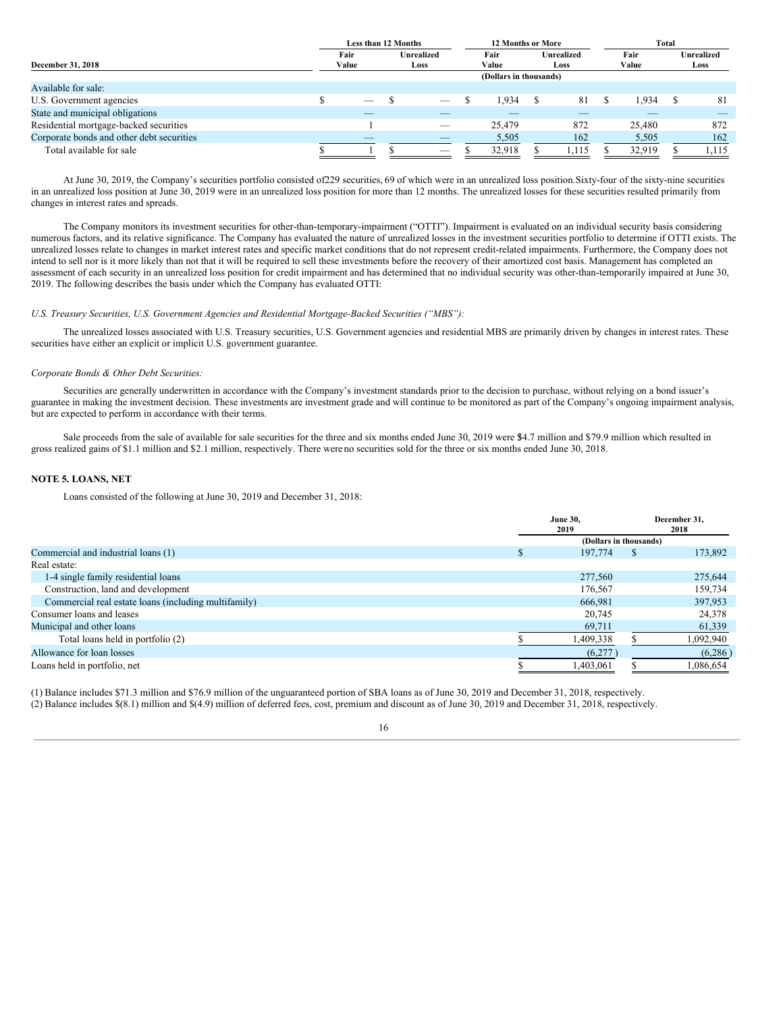|                                           | Less than 12 Months             |  |                          | <b>12 Months or More</b> |        |            |       |  |        |  |                   |
|-------------------------------------------|---------------------------------|--|--------------------------|--------------------------|--------|------------|-------|--|--------|--|-------------------|
|                                           | Fair                            |  | Unrealized               |                          | Fair   | Unrealized |       |  | Fair   |  | <b>Unrealized</b> |
| <b>December 31, 2018</b>                  | Value                           |  | Loss                     |                          | Value  |            | Loss  |  | Value  |  | Loss              |
|                                           | (Dollars in thousands)          |  |                          |                          |        |            |       |  |        |  |                   |
| Available for sale:                       |                                 |  |                          |                          |        |            |       |  |        |  |                   |
| U.S. Government agencies                  | $\hspace{0.1mm}-\hspace{0.1mm}$ |  | _                        |                          | 1.934  |            | 81    |  | .934   |  | 81                |
| State and municipal obligations           | _                               |  |                          |                          |        |            |       |  |        |  |                   |
| Residential mortgage-backed securities    |                                 |  | $\overline{\phantom{a}}$ |                          | 25.479 |            | 872   |  | 25,480 |  | 872               |
| Corporate bonds and other debt securities | $-$                             |  | _                        |                          | 5,505  |            | 162   |  | 5,505  |  | 162               |
| Total available for sale                  |                                 |  | $-$                      |                          | 32,918 |            | l,115 |  | 32,919 |  | 1,115             |

At June 30, 2019, the Company's securities portfolio consisted of229 securities, 69 of which were in an unrealized loss position.Sixty-four of the sixty-nine securities in an unrealized loss position at June 30, 2019 were in an unrealized loss position for more than 12 months. The unrealized losses for these securities resulted primarily from changes in interest rates and spreads.

The Company monitors its investment securities for other-than-temporary-impairment ("OTTI"). Impairment is evaluated on an individual security basis considering numerous factors, and its relative significance. The Company has evaluated the nature of unrealized losses in the investment securities portfolio to determine if OTTI exists. The unrealized losses relate to changes in market interest rates and specific market conditions that do not represent credit-related impairments. Furthermore, the Company does not intend to sell nor is it more likely than not that it will be required to sell these investments before the recovery of their amortized cost basis. Management has completed an assessment of each security in an unrealized loss position for credit impairment and has determined that no individual security was other-than-temporarily impaired at June 30, 2019. The following describes the basis under which the Company has evaluated OTTI:

# *U.S. Treasury Securities, U.S. Government Agencies and Residential Mortgage-Backed Securities ("MBS"):*

The unrealized losses associated with U.S. Treasury securities, U.S. Government agencies and residential MBS are primarily driven by changes in interest rates. These securities have either an explicit or implicit U.S. government guarantee.

# *Corporate Bonds & Other Debt Securities:*

Securities are generally underwritten in accordance with the Company's investment standards prior to the decision to purchase, without relying on a bond issuer's guarantee in making the investment decision. These investments are investment grade and will continue to be monitored as part of the Company's ongoing impairment analysis, but are expected to perform in accordance with their terms.

Sale proceeds from the sale of available for sale securities for the three and six months ended June 30, 2019 were \$4.7 million and \$79.9 million which resulted in gross realized gains of \$1.1 million and \$2.1 million, respectively. There were no securities sold for the three or six months ended June 30, 2018.

# **NOTE 5. LOANS, NET**

Loans consisted of the following at June 30, 2019 and December 31, 2018:

|                                                      |    | <b>June 30.</b><br>2019 |              | December 31,<br>2018 |  |  |
|------------------------------------------------------|----|-------------------------|--------------|----------------------|--|--|
|                                                      |    | (Dollars in thousands)  |              |                      |  |  |
| Commercial and industrial loans (1)                  | ъ. | 197,774                 | <sup>8</sup> | 173,892              |  |  |
| Real estate:                                         |    |                         |              |                      |  |  |
| 1-4 single family residential loans                  |    | 277,560                 |              | 275,644              |  |  |
| Construction, land and development                   |    | 176,567                 |              | 159,734              |  |  |
| Commercial real estate loans (including multifamily) |    | 666,981                 |              | 397,953              |  |  |
| Consumer loans and leases                            |    | 20,745                  |              | 24,378               |  |  |
| Municipal and other loans                            |    | 69,711                  |              | 61,339               |  |  |
| Total loans held in portfolio (2)                    |    | 1,409,338               |              | 1,092,940            |  |  |
| Allowance for loan losses                            |    | (6,277)                 |              | (6,286)              |  |  |
| Loans held in portfolio, net                         |    | 1,403,061               |              | 1,086,654            |  |  |

(1) Balance includes \$71.3 million and \$76.9 million of the unguaranteed portion of SBA loans as of June 30, 2019 and December 31, 2018, respectively. (2) Balance includes \$(8.1) million and \$(4.9) million of deferred fees, cost, premium and discount as of June 30, 2019 and December 31, 2018, respectively.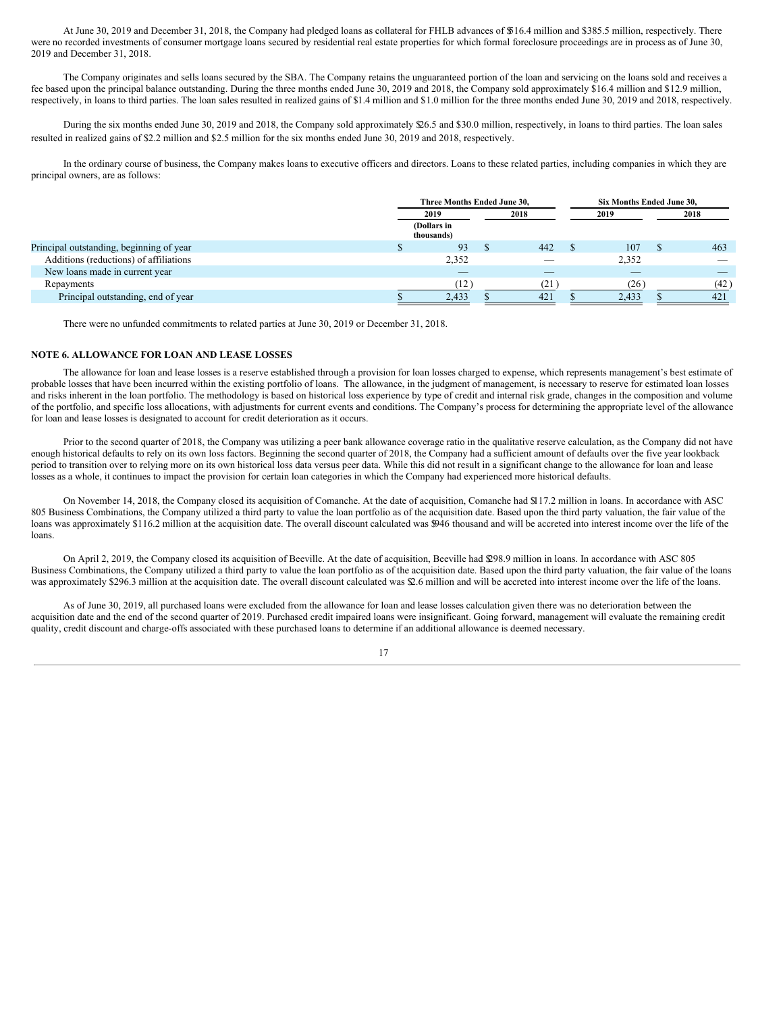At June 30, 2019 and December 31, 2018, the Company had pledged loans as collateral for FHLB advances of \$516.4 million and \$385.5 million, respectively. There were no recorded investments of consumer mortgage loans secured by residential real estate properties for which formal foreclosure proceedings are in process as of June 30, 2019 and December 31, 2018.

The Company originates and sells loans secured by the SBA. The Company retains the unguaranteed portion of the loan and servicing on the loans sold and receives a fee based upon the principal balance outstanding. During the three months ended June 30, 2019 and 2018, the Company sold approximately \$16.4 million and \$12.9 million, respectively, in loans to third parties. The loan sales resulted in realized gains of \$1.4 million and \$1.0 million for the three months ended June 30, 2019 and 2018, respectively.

During the six months ended June 30, 2019 and 2018, the Company sold approximately \$26.5 and \$30.0 million, respectively, in loans to third parties. The loan sales resulted in realized gains of \$2.2 million and \$2.5 million for the six months ended June 30, 2019 and 2018, respectively.

In the ordinary course of business, the Company makes loans to executive officers and directors. Loans to these related parties, including companies in which they are principal owners, are as follows:

|                                          | Three Months Ended June 30. |      | Six Months Ended June 30. |  |        |
|------------------------------------------|-----------------------------|------|---------------------------|--|--------|
|                                          | 2019                        | 2018 | 2019                      |  | 2018   |
|                                          | (Dollars in<br>thousands)   |      |                           |  |        |
| Principal outstanding, beginning of year | 93                          | 442  | 107                       |  | 463    |
| Additions (reductions) of affiliations   | 2,352                       |      | 2,352                     |  | $\sim$ |
| New loans made in current year           | $-$                         |      | $-$                       |  |        |
| Repayments                               | (12)                        | (21) | (26)                      |  | (42)   |
| Principal outstanding, end of year       | 2,433                       | 421  | 2,433                     |  | 421    |

There were no unfunded commitments to related parties at June 30, 2019 or December 31, 2018.

# **NOTE 6. ALLOWANCE FOR LOAN AND LEASE LOSSES**

The allowance for loan and lease losses is a reserve established through a provision for loan losses charged to expense, which represents management's best estimate of probable losses that have been incurred within the existing portfolio of loans. The allowance, in the judgment of management, is necessary to reserve for estimated loan losses and risks inherent in the loan portfolio. The methodology is based on historical loss experience by type of credit and internal risk grade, changes in the composition and volume of the portfolio, and specific loss allocations, with adjustments for current events and conditions. The Company's process for determining the appropriate level of the allowance for loan and lease losses is designated to account for credit deterioration as it occurs.

Prior to the second quarter of 2018, the Company was utilizing a peer bank allowance coverage ratio in the qualitative reserve calculation, as the Company did not have enough historical defaults to rely on its own loss factors. Beginning the second quarter of 2018, the Company had a sufficient amount of defaults over the five year lookback period to transition over to relying more on its own historical loss data versus peer data. While this did not result in a significant change to the allowance for loan and lease losses as a whole, it continues to impact the provision for certain loan categories in which the Company had experienced more historical defaults.

On November 14, 2018, the Company closed its acquisition of Comanche. At the date of acquisition, Comanche had \$117.2 million in loans. In accordance with ASC 805 Business Combinations, the Company utilized a third party to value the loan portfolio as of the acquisition date. Based upon the third party valuation, the fair value of the loans was approximately \$116.2 million at the acquisition date. The overall discount calculated was \$946 thousand and will be accreted into interest income over the life of the loans.

On April 2, 2019, the Company closed its acquisition of Beeville. At the date of acquisition, Beeville had \$298.9 million in loans. In accordance with ASC 805 Business Combinations, the Company utilized a third party to value the loan portfolio as of the acquisition date. Based upon the third party valuation, the fair value of the loans was approximately \$296.3 million at the acquisition date. The overall discount calculated was \$2.6 million and will be accreted into interest income over the life of the loans.

As of June 30, 2019, all purchased loans were excluded from the allowance for loan and lease losses calculation given there was no deterioration between the acquisition date and the end of the second quarter of 2019. Purchased credit impaired loans were insignificant. Going forward, management will evaluate the remaining credit quality, credit discount and charge-offs associated with these purchased loans to determine if an additional allowance is deemed necessary.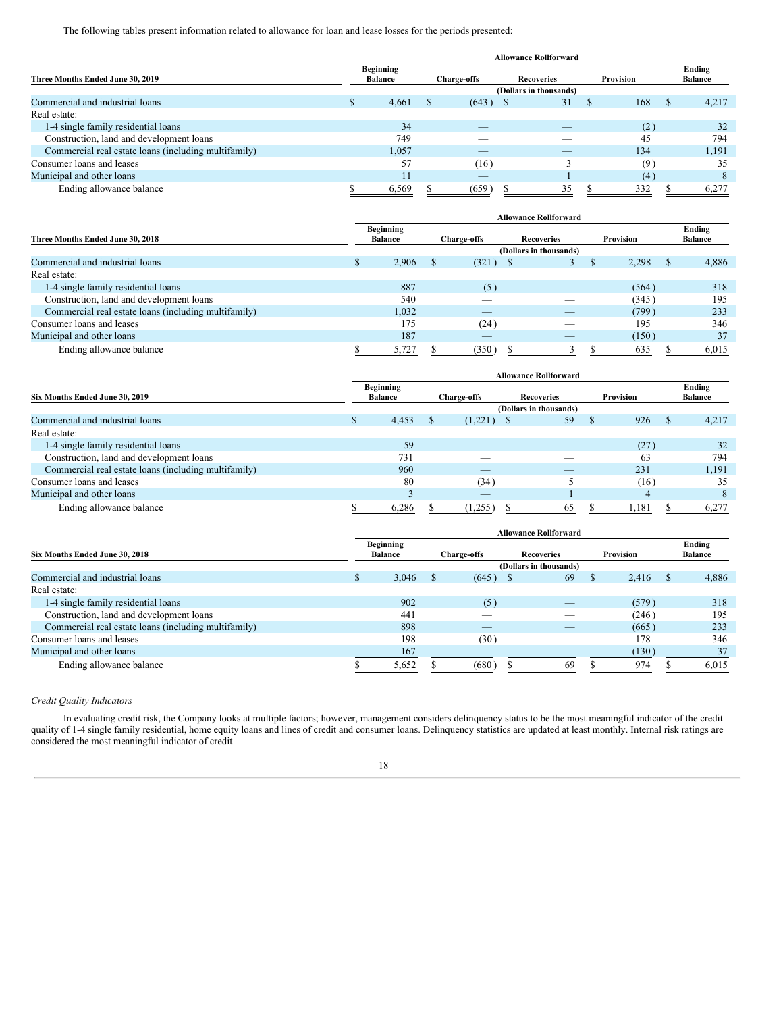The following tables present information related to allowance for loan and lease losses for the periods presented:

|                                                      | <b>Allowance Rollforward</b> |                             |                    |                          |                   |    |               |     |          |                          |  |  |  |
|------------------------------------------------------|------------------------------|-----------------------------|--------------------|--------------------------|-------------------|----|---------------|-----|----------|--------------------------|--|--|--|
| Three Months Ended June 30, 2019                     |                              | Beginning<br><b>Balance</b> | <b>Charge-offs</b> |                          | <b>Recoveries</b> |    | Provision     |     |          | Ending<br><b>Balance</b> |  |  |  |
|                                                      | (Dollars in thousands)       |                             |                    |                          |                   |    |               |     |          |                          |  |  |  |
| Commercial and industrial loans                      | - 12                         | 4,661                       | <sup>2</sup>       | (643)                    | - S               | 31 | <sup>\$</sup> | 168 | <b>S</b> | 4,217                    |  |  |  |
| Real estate:                                         |                              |                             |                    |                          |                   |    |               |     |          |                          |  |  |  |
| 1-4 single family residential loans                  |                              | 34                          |                    | $-$                      |                   | _  |               | (2) |          | 32                       |  |  |  |
| Construction, land and development loans             |                              | 749                         |                    | __                       |                   |    |               | 45  |          | 794                      |  |  |  |
| Commercial real estate loans (including multifamily) |                              | 1,057                       |                    |                          |                   |    |               | 134 |          | 1,191                    |  |  |  |
| Consumer loans and leases                            |                              | 57                          |                    | (16)                     |                   |    |               | (9) |          | 35                       |  |  |  |
| Municipal and other loans                            |                              | 11                          |                    | $\overline{\phantom{a}}$ |                   |    |               | (4) |          |                          |  |  |  |
| Ending allowance balance                             |                              | 6.569                       |                    | (659)                    |                   | 35 |               | 332 |          | 6.277                    |  |  |  |

|                                                      | <b>Allowance Rollforward</b> |                                    |  |                    |                          |           |       |          |                          |  |  |  |
|------------------------------------------------------|------------------------------|------------------------------------|--|--------------------|--------------------------|-----------|-------|----------|--------------------------|--|--|--|
| Three Months Ended June 30, 2018                     |                              | <b>Beginning</b><br><b>Balance</b> |  | <b>Charge-offs</b> | <b>Recoveries</b>        | Provision |       |          | Ending<br><b>Balance</b> |  |  |  |
|                                                      |                              | (Dollars in thousands)             |  |                    |                          |           |       |          |                          |  |  |  |
| Commercial and industrial loans                      | $\mathbf{B}$                 | 2,906                              |  | $(321)$ \$         | $\mathfrak{I}$           | Ð         | 2,298 | <b>S</b> | 4,886                    |  |  |  |
| Real estate:                                         |                              |                                    |  |                    |                          |           |       |          |                          |  |  |  |
| 1-4 single family residential loans                  |                              | 887                                |  | (5)                | _                        |           | (564) |          | 318                      |  |  |  |
| Construction, land and development loans             |                              | 540                                |  |                    |                          |           | (345) |          | 195                      |  |  |  |
| Commercial real estate loans (including multifamily) |                              | 1.032                              |  | _                  |                          |           | (799) |          | 233                      |  |  |  |
| Consumer loans and leases                            |                              | 175                                |  | (24)               | __                       |           | 195   |          | 346                      |  |  |  |
| Municipal and other loans                            |                              | 187                                |  |                    | $\overline{\phantom{a}}$ |           | (150) |          | 37                       |  |  |  |
| Ending allowance balance                             |                              | 5,727                              |  | (350)              |                          |           | 635   |          | 6,015                    |  |  |  |

|                                                      |          |                             |  |                                         | <b>Allowance Rollforward</b> |    |           |       |   |                          |
|------------------------------------------------------|----------|-----------------------------|--|-----------------------------------------|------------------------------|----|-----------|-------|---|--------------------------|
| Six Months Ended June 30, 2019                       |          | Beginning<br><b>Balance</b> |  | <b>Recoveries</b><br><b>Charge-offs</b> |                              |    | Provision |       |   | Ending<br><b>Balance</b> |
|                                                      |          | (Dollars in thousands)      |  |                                         |                              |    |           |       |   |                          |
| Commercial and industrial loans                      | <b>S</b> | 4,453                       |  | $(1,221)$ \$                            |                              | 59 | <b>S</b>  | 926   | S | 4,217                    |
| Real estate:                                         |          |                             |  |                                         |                              |    |           |       |   |                          |
| 1-4 single family residential loans                  |          | 59                          |  |                                         |                              |    |           | (27)  |   | 32                       |
| Construction, land and development loans             |          | 731                         |  | _                                       |                              |    |           | 63    |   | 794                      |
| Commercial real estate loans (including multifamily) |          | 960                         |  | _                                       |                              |    |           | 231   |   | 1,191                    |
| Consumer loans and leases                            |          | 80                          |  | (34)                                    |                              |    |           | (16)  |   | 35                       |
| Municipal and other loans                            |          |                             |  | $\overline{\phantom{a}}$                |                              |    |           |       |   |                          |
| Ending allowance balance                             |          | 6,286                       |  | (1,255)                                 |                              | 65 |           | 1,181 |   | 6,277                    |

|                                                      | <b>Allowance Rollforward</b> |                                    |  |                          |  |                        |    |           |    |                          |
|------------------------------------------------------|------------------------------|------------------------------------|--|--------------------------|--|------------------------|----|-----------|----|--------------------------|
| Six Months Ended June 30, 2018                       |                              | <b>Beginning</b><br><b>Balance</b> |  | <b>Charge-offs</b>       |  | <b>Recoveries</b>      |    | Provision |    | Ending<br><b>Balance</b> |
|                                                      |                              |                                    |  |                          |  | (Dollars in thousands) |    |           |    |                          |
| Commercial and industrial loans                      | <b>S</b>                     | 3,046                              |  | $(645)$ \$               |  | 69                     | S. | 2,416     | -8 | 4,886                    |
| Real estate:                                         |                              |                                    |  |                          |  |                        |    |           |    |                          |
| 1-4 single family residential loans                  |                              | 902                                |  | (5)                      |  |                        |    | (579)     |    | 318                      |
| Construction, land and development loans             |                              | 441                                |  |                          |  |                        |    | (246)     |    | 195                      |
| Commercial real estate loans (including multifamily) |                              | 898                                |  | $\overline{\phantom{a}}$ |  | _                      |    | (665)     |    | 233                      |
| Consumer loans and leases                            |                              | 198                                |  | (30)                     |  |                        |    | 178       |    | 346                      |
| Municipal and other loans                            |                              | 167                                |  | _                        |  |                        |    | (130)     |    | 37                       |
| Ending allowance balance                             |                              | 5,652                              |  | (680)                    |  | 69                     |    | 974       |    | 6,015                    |

# *Credit Quality Indicators*

In evaluating credit risk, the Company looks at multiple factors; however, management considers delinquency status to be the most meaningful indicator of the credit quality of 1-4 single family residential, home equity loans and lines of credit and consumer loans. Delinquency statistics are updated at least monthly. Internal risk ratings are considered the most meaningful indicator of credit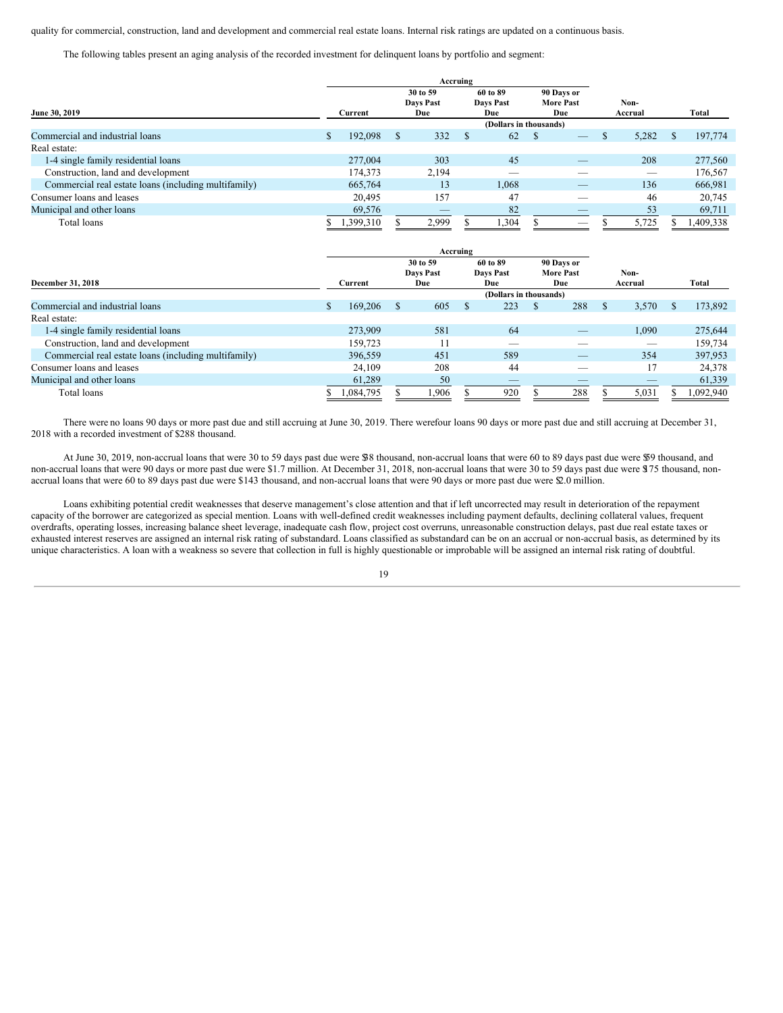quality for commercial, construction, land and development and commercial real estate loans. Internal risk ratings are updated on a continuous basis.

The following tables present an aging analysis of the recorded investment for delinquent loans by portfolio and segment:

|                                                      |                              |  | Accruing                 |  |                                |   |                                 |  |                          |     |           |
|------------------------------------------------------|------------------------------|--|--------------------------|--|--------------------------------|---|---------------------------------|--|--------------------------|-----|-----------|
|                                                      | 30 to 59<br><b>Davs Past</b> |  | 60 to 89<br>Davs Past    |  | 90 Days or<br><b>More Past</b> |   | Non-                            |  |                          |     |           |
| June 30, 2019                                        | Current                      |  | Due                      |  | Due                            |   | Due                             |  | Accrual                  |     | Total     |
|                                                      |                              |  |                          |  | (Dollars in thousands)         |   |                                 |  |                          |     |           |
| Commercial and industrial loans                      | 192,098                      |  | 332                      |  | 62                             | S | $\hspace{0.1mm}-\hspace{0.1mm}$ |  | 5,282                    | \$. | 197,774   |
| Real estate:                                         |                              |  |                          |  |                                |   |                                 |  |                          |     |           |
| 1-4 single family residential loans                  | 277,004                      |  | 303                      |  | 45                             |   |                                 |  | 208                      |     | 277,560   |
| Construction, land and development                   | 174,373                      |  | 2,194                    |  |                                |   |                                 |  | $\overline{\phantom{a}}$ |     | 176,567   |
| Commercial real estate loans (including multifamily) | 665,764                      |  | 13                       |  | 1,068                          |   |                                 |  | 136                      |     | 666,981   |
| Consumer loans and leases                            | 20,495                       |  | 157                      |  | 47                             |   | _                               |  | 46                       |     | 20,745    |
| Municipal and other loans                            | 69,576                       |  | $\overline{\phantom{a}}$ |  | 82                             |   | $-$                             |  | 53                       |     | 69,711    |
| Total loans                                          | 1,399,310                    |  | 2,999                    |  | 1,304                          |   | _                               |  | 5,725                    |     | 1,409,338 |

|                                                      |         |           |                                     | Accruing |                              |     |                                       |     |                 |       |    |           |
|------------------------------------------------------|---------|-----------|-------------------------------------|----------|------------------------------|-----|---------------------------------------|-----|-----------------|-------|----|-----------|
| December 31, 2018                                    | Current |           | 30 to 59<br><b>Davs Past</b><br>Due |          | 60 to 89<br>Days Past<br>Due |     | 90 Days or<br><b>More Past</b><br>Due |     | Non-<br>Accrual |       |    | Total     |
|                                                      |         |           | (Dollars in thousands)              |          |                              |     |                                       |     |                 |       |    |           |
| Commercial and industrial loans                      |         | 169,206   | \$.                                 | 605      | <b>S</b>                     | 223 | S.                                    | 288 |                 | 3,570 | S. | 173,892   |
| Real estate:                                         |         |           |                                     |          |                              |     |                                       |     |                 |       |    |           |
| 1-4 single family residential loans                  |         | 273,909   |                                     | 581      |                              | 64  |                                       |     |                 | 1.090 |    | 275,644   |
| Construction, land and development                   |         | 159.723   |                                     |          |                              | _   |                                       | __  |                 | $-$   |    | 159,734   |
| Commercial real estate loans (including multifamily) |         | 396,559   |                                     | 451      |                              | 589 |                                       | _   |                 | 354   |    | 397,953   |
| Consumer loans and leases                            |         | 24,109    |                                     | 208      |                              | 44  |                                       | _   |                 | 17    |    | 24,378    |
| Municipal and other loans                            |         | 61,289    |                                     | 50       |                              | _   |                                       | _   |                 | $-$   |    | 61,339    |
| Total loans                                          |         | 1,084,795 |                                     | .906     |                              | 920 |                                       | 288 |                 | 5,031 |    | 1,092,940 |

There were no loans 90 days or more past due and still accruing at June 30, 2019. There werefour loans 90 days or more past due and still accruing at December 31, 2018 with a recorded investment of \$288 thousand.

At June 30, 2019, non-accrual loans that were 30 to 59 days past due were \$38 thousand, non-accrual loans that were 60 to 89 days past due were \$59 thousand, and non-accrual loans that were 90 days or more past due were \$1.7 million. At December 31, 2018, non-accrual loans that were 30 to 59 days past due were \$75 thousand, nonaccrual loans that were 60 to 89 days past due were \$143 thousand, and non-accrual loans that were 90 days or more past due were \$2.0 million.

Loans exhibiting potential credit weaknesses that deserve management's close attention and that if left uncorrected may result in deterioration of the repayment capacity of the borrower are categorized as special mention. Loans with well-defined credit weaknesses including payment defaults, declining collateral values, frequent overdrafts, operating losses, increasing balance sheet leverage, inadequate cash flow, project cost overruns, unreasonable construction delays, past due real estate taxes or exhausted interest reserves are assigned an internal risk rating of substandard. Loans classified as substandard can be on an accrual or non-accrual basis, as determined by its unique characteristics. A loan with a weakness so severe that collection in full is highly questionable or improbable will be assigned an internal risk rating of doubtful.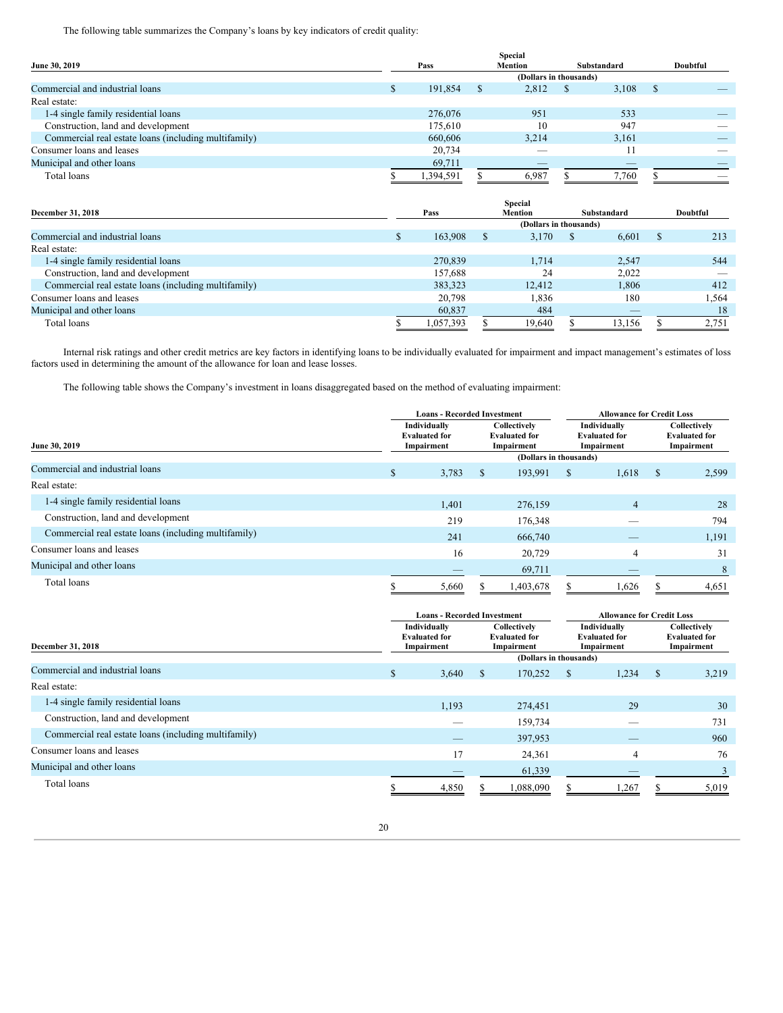The following table summarizes the Company's loans by key indicators of credit quality:

|                                                      |           |     | <b>Special</b> |    |             |    |          |
|------------------------------------------------------|-----------|-----|----------------|----|-------------|----|----------|
| June 30, 2019                                        | Pass      |     | <b>Mention</b> |    | Substandard |    | Doubtful |
|                                                      |           |     |                |    |             |    |          |
| Commercial and industrial loans                      | 191,854   | - S | 2,812          | -S | 3,108       | -8 |          |
| Real estate:                                         |           |     |                |    |             |    |          |
| 1-4 single family residential loans                  | 276,076   |     | 951            |    | 533         |    |          |
| Construction, land and development                   | 175,610   |     | 10             |    | 947         |    |          |
| Commercial real estate loans (including multifamily) | 660,606   |     | 3.214          |    | 3.161       |    |          |
| Consumer loans and leases                            | 20,734    |     | $\sim$         |    |             |    |          |
| Municipal and other loans                            | 69,711    |     | _              |    |             |    |          |
| Total loans                                          | 1,394,591 |     | 6.987          |    | .760        |    |          |

|                                                      |           |                        | <b>Special</b> |    |                          |   |          |
|------------------------------------------------------|-----------|------------------------|----------------|----|--------------------------|---|----------|
| <b>December 31, 2018</b>                             | Pass      |                        | Mention        |    | Substandard              |   | Doubtful |
|                                                      |           | (Dollars in thousands) |                |    |                          |   |          |
| Commercial and industrial loans                      | 163,908   | S                      | 3,170          | S. | 6,601                    | S | 213      |
| Real estate:                                         |           |                        |                |    |                          |   |          |
| 1-4 single family residential loans                  | 270,839   |                        | 1.714          |    | 2,547                    |   | 544      |
| Construction, land and development                   | 157.688   |                        | 24             |    | 2,022                    |   |          |
| Commercial real estate loans (including multifamily) | 383.323   |                        | 12.412         |    | 1.806                    |   | 412      |
| Consumer loans and leases                            | 20,798    |                        | 1,836          |    | 180                      |   | 1,564    |
| Municipal and other loans                            | 60,837    |                        | 484            |    | $\overline{\phantom{a}}$ |   | 18       |
| Total loans                                          | 1.057.393 |                        | 19,640         |    | 13.156                   |   | 2,751    |

Internal risk ratings and other credit metrics are key factors in identifying loans to be individually evaluated for impairment and impact management's estimates of loss factors used in determining the amount of the allowance for loan and lease losses.

The following table shows the Company's investment in loans disaggregated based on the method of evaluating impairment:

|                                                      |                                                    | <b>Loans - Recorded Investment</b> |    |                                                    | <b>Allowance for Credit Loss</b>                   |                |               |                                                    |  |
|------------------------------------------------------|----------------------------------------------------|------------------------------------|----|----------------------------------------------------|----------------------------------------------------|----------------|---------------|----------------------------------------------------|--|
| June 30, 2019                                        | Individually<br><b>Evaluated for</b><br>Impairment |                                    |    | Collectively<br><b>Evaluated for</b><br>Impairment | Individually<br><b>Evaluated for</b><br>Impairment |                |               | Collectively<br><b>Evaluated for</b><br>Impairment |  |
|                                                      |                                                    |                                    |    | (Dollars in thousands)                             |                                                    |                |               |                                                    |  |
| Commercial and industrial loans                      | \$                                                 | 3,783                              | \$ | 193,991                                            | \$                                                 | 1,618          | <sup>\$</sup> | 2,599                                              |  |
| Real estate:                                         |                                                    |                                    |    |                                                    |                                                    |                |               |                                                    |  |
| 1-4 single family residential loans                  |                                                    | 1,401                              |    | 276,159                                            |                                                    | $\overline{4}$ |               | 28                                                 |  |
| Construction, land and development                   |                                                    | 219                                |    | 176,348                                            |                                                    |                |               | 794                                                |  |
| Commercial real estate loans (including multifamily) |                                                    | 241                                |    | 666,740                                            |                                                    |                |               | 1,191                                              |  |
| Consumer loans and leases                            |                                                    | 16                                 |    | 20,729                                             |                                                    | 4              |               | 31                                                 |  |
| Municipal and other loans                            |                                                    |                                    |    | 69,711                                             |                                                    |                |               | 8                                                  |  |
| Total loans                                          |                                                    | 5,660                              |    | 1,403,678                                          |                                                    | 1,626          |               | 4,651                                              |  |

|                                                      | <b>Loans - Recorded Investment</b>                 |                                                    | <b>Allowance for Credit Loss</b> |                                                    |    |                                                    |  |  |
|------------------------------------------------------|----------------------------------------------------|----------------------------------------------------|----------------------------------|----------------------------------------------------|----|----------------------------------------------------|--|--|
| December 31, 2018                                    | Individually<br><b>Evaluated for</b><br>Impairment | Collectively<br><b>Evaluated for</b><br>Impairment |                                  | Individually<br><b>Evaluated for</b><br>Impairment |    | Collectively<br><b>Evaluated for</b><br>Impairment |  |  |
|                                                      |                                                    | (Dollars in thousands)                             |                                  |                                                    |    |                                                    |  |  |
| Commercial and industrial loans                      | \$<br>3,640                                        | 170,252<br><sup>S</sup>                            | <sup>S</sup>                     | 1,234                                              | -S | 3,219                                              |  |  |
| Real estate:                                         |                                                    |                                                    |                                  |                                                    |    |                                                    |  |  |
| 1-4 single family residential loans                  | 1,193                                              | 274,451                                            |                                  | 29                                                 |    | 30                                                 |  |  |
| Construction, land and development                   | __                                                 | 159,734                                            |                                  |                                                    |    | 731                                                |  |  |
| Commercial real estate loans (including multifamily) |                                                    | 397,953                                            |                                  | __                                                 |    | 960                                                |  |  |
| Consumer loans and leases                            | 17                                                 | 24,361                                             |                                  | 4                                                  |    | 76                                                 |  |  |
| Municipal and other loans                            |                                                    | 61,339                                             |                                  | _                                                  |    |                                                    |  |  |
| Total loans                                          | 4,850                                              | 1,088,090                                          |                                  | 1,267                                              |    | 5,019                                              |  |  |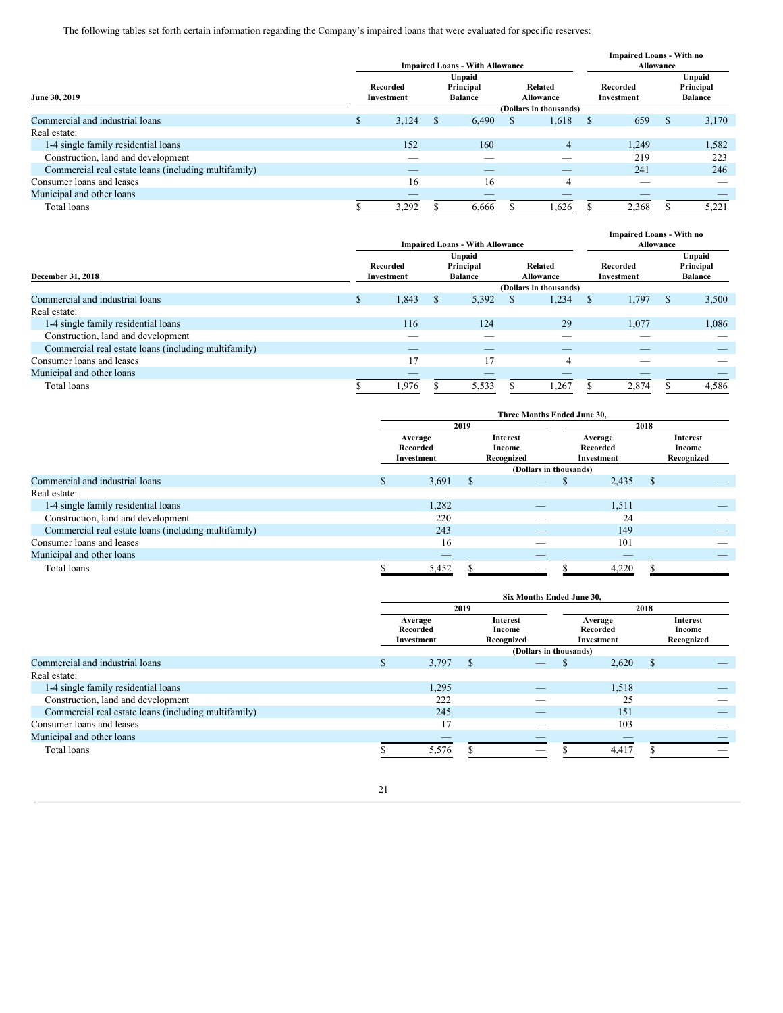The following tables set forth certain information regarding the Company's impaired loans that were evaluated for specific reserves:

|                                                      |                        |       |                                       | <b>Impaired Loans - With Allowance</b> | <b>Impaired Loans - With no</b><br>Allowance |                          |                        |       |                                       |       |
|------------------------------------------------------|------------------------|-------|---------------------------------------|----------------------------------------|----------------------------------------------|--------------------------|------------------------|-------|---------------------------------------|-------|
| June 30, 2019                                        | Recorded<br>Investment |       | Unpaid<br>Principal<br><b>Balance</b> |                                        | Related<br>Allowance                         |                          | Recorded<br>Investment |       | Unpaid<br>Principal<br><b>Balance</b> |       |
|                                                      |                        |       |                                       |                                        |                                              | (Dollars in thousands)   |                        |       |                                       |       |
| Commercial and industrial loans                      | S.                     | 3,124 | <sup>S</sup>                          | 6,490                                  | Ж                                            | 1,618                    | S                      | 659   | <b>S</b>                              | 3,170 |
| Real estate:                                         |                        |       |                                       |                                        |                                              |                          |                        |       |                                       |       |
| 1-4 single family residential loans                  |                        | 152   |                                       | 160                                    |                                              | 4                        |                        | 1,249 |                                       | 1,582 |
| Construction, land and development                   |                        |       |                                       |                                        |                                              |                          |                        | 219   |                                       | 223   |
| Commercial real estate loans (including multifamily) |                        |       |                                       |                                        |                                              | $\overline{\phantom{a}}$ |                        | 241   |                                       | 246   |
| Consumer loans and leases                            |                        | 16    |                                       | 16                                     |                                              | 4                        |                        | ___   |                                       | _     |
| Municipal and other loans                            |                        | _     |                                       |                                        |                                              |                          |                        |       |                                       |       |
| Total loans                                          |                        | 3,292 |                                       | 6,666                                  |                                              | 1,626                    |                        | 2,368 |                                       | 5,221 |

|                                                      | <b>Impaired Loans - With Allowance</b> |                                                                                         |   |                          |  |                          |               | <b>Impaired Loans - With no</b><br>Allowance |   |                                       |  |
|------------------------------------------------------|----------------------------------------|-----------------------------------------------------------------------------------------|---|--------------------------|--|--------------------------|---------------|----------------------------------------------|---|---------------------------------------|--|
| December 31, 2018                                    |                                        | Unpaid<br>Principal<br>Related<br>Recorded<br><b>Balance</b><br>Allowance<br>Investment |   |                          |  |                          |               | Recorded<br>Investment                       |   | Unpaid<br>Principal<br><b>Balance</b> |  |
|                                                      |                                        |                                                                                         |   |                          |  | (Dollars in thousands)   |               |                                              |   |                                       |  |
| Commercial and industrial loans                      | S.                                     | 1,843                                                                                   | S | 5,392                    |  | 1,234                    | <sup>\$</sup> | 1,797                                        | S | 3,500                                 |  |
| Real estate:                                         |                                        |                                                                                         |   |                          |  |                          |               |                                              |   |                                       |  |
| 1-4 single family residential loans                  |                                        | 116                                                                                     |   | 124                      |  | 29                       |               | 1.077                                        |   | 1,086                                 |  |
| Construction, land and development                   |                                        | _                                                                                       |   |                          |  |                          |               |                                              |   |                                       |  |
| Commercial real estate loans (including multifamily) |                                        | $\overline{\phantom{a}}$                                                                |   | $\overline{\phantom{a}}$ |  | $\overline{\phantom{a}}$ |               | $\overline{\phantom{a}}$                     |   |                                       |  |
| Consumer loans and leases                            |                                        | 17                                                                                      |   |                          |  | 4                        |               | $\overline{\phantom{a}}$                     |   |                                       |  |
| Municipal and other loans                            |                                        | _                                                                                       |   |                          |  |                          |               |                                              |   |                                       |  |
| Total loans                                          |                                        | 1,976                                                                                   |   | 5,533                    |  | 1,267                    |               | 2,874                                        |   | 4,586                                 |  |

|                                                      | Three Months Ended June 30. |                                   |      |                                  |  |                                   |              |                                         |  |  |  |  |  |
|------------------------------------------------------|-----------------------------|-----------------------------------|------|----------------------------------|--|-----------------------------------|--------------|-----------------------------------------|--|--|--|--|--|
|                                                      |                             |                                   | 2019 |                                  |  |                                   | 2018         |                                         |  |  |  |  |  |
|                                                      |                             | Average<br>Recorded<br>Investment |      | Interest<br>Income<br>Recognized |  | Average<br>Recorded<br>Investment |              | <b>Interest</b><br>Income<br>Recognized |  |  |  |  |  |
|                                                      |                             |                                   |      |                                  |  |                                   |              |                                         |  |  |  |  |  |
| Commercial and industrial loans                      | ъ                           | 3,691                             | -S   | $-$                              |  | 2,435                             | $\mathbb{S}$ |                                         |  |  |  |  |  |
| Real estate:                                         |                             |                                   |      |                                  |  |                                   |              |                                         |  |  |  |  |  |
| 1-4 single family residential loans                  |                             | 1,282                             |      |                                  |  | 1,511                             |              |                                         |  |  |  |  |  |
| Construction, land and development                   |                             | 220                               |      | __                               |  | 24                                |              |                                         |  |  |  |  |  |
| Commercial real estate loans (including multifamily) |                             | 243                               |      | _                                |  | 149                               |              | $\overline{\phantom{a}}$                |  |  |  |  |  |
| Consumer loans and leases                            |                             | 16                                |      | _                                |  | 101                               |              | _                                       |  |  |  |  |  |
| Municipal and other loans                            |                             | _                                 |      |                                  |  | $\overline{\phantom{a}}$          |              |                                         |  |  |  |  |  |
| Total loans                                          |                             | 5,452                             |      | __                               |  | 4,220                             |              |                                         |  |  |  |  |  |

|                                                      | <b>Six Months Ended June 30.</b> |                                   |      |                                         |                                   |   |                                         |  |  |  |  |  |
|------------------------------------------------------|----------------------------------|-----------------------------------|------|-----------------------------------------|-----------------------------------|---|-----------------------------------------|--|--|--|--|--|
|                                                      |                                  | 2019                              | 2018 |                                         |                                   |   |                                         |  |  |  |  |  |
|                                                      |                                  | Average<br>Recorded<br>Investment |      | <b>Interest</b><br>Income<br>Recognized | Average<br>Recorded<br>Investment |   | <b>Interest</b><br>Income<br>Recognized |  |  |  |  |  |
|                                                      |                                  |                                   |      | (Dollars in thousands)                  |                                   |   |                                         |  |  |  |  |  |
| Commercial and industrial loans                      |                                  | 3,797                             | - \$ |                                         | 2,620                             | S |                                         |  |  |  |  |  |
| Real estate:                                         |                                  |                                   |      |                                         |                                   |   |                                         |  |  |  |  |  |
| 1-4 single family residential loans                  |                                  | 1,295                             |      | _                                       | 1,518                             |   |                                         |  |  |  |  |  |
| Construction, land and development                   |                                  | 222                               |      |                                         | 25                                |   |                                         |  |  |  |  |  |
| Commercial real estate loans (including multifamily) |                                  | 245                               |      | $-$                                     | 151                               |   |                                         |  |  |  |  |  |
| Consumer loans and leases                            |                                  | 17                                |      |                                         | 103                               |   |                                         |  |  |  |  |  |
| Municipal and other loans                            |                                  | $-$                               |      | $-$                                     | $\overline{\phantom{a}}$          |   |                                         |  |  |  |  |  |
| Total loans                                          |                                  | 5,576                             |      | _                                       | 4,417                             |   |                                         |  |  |  |  |  |

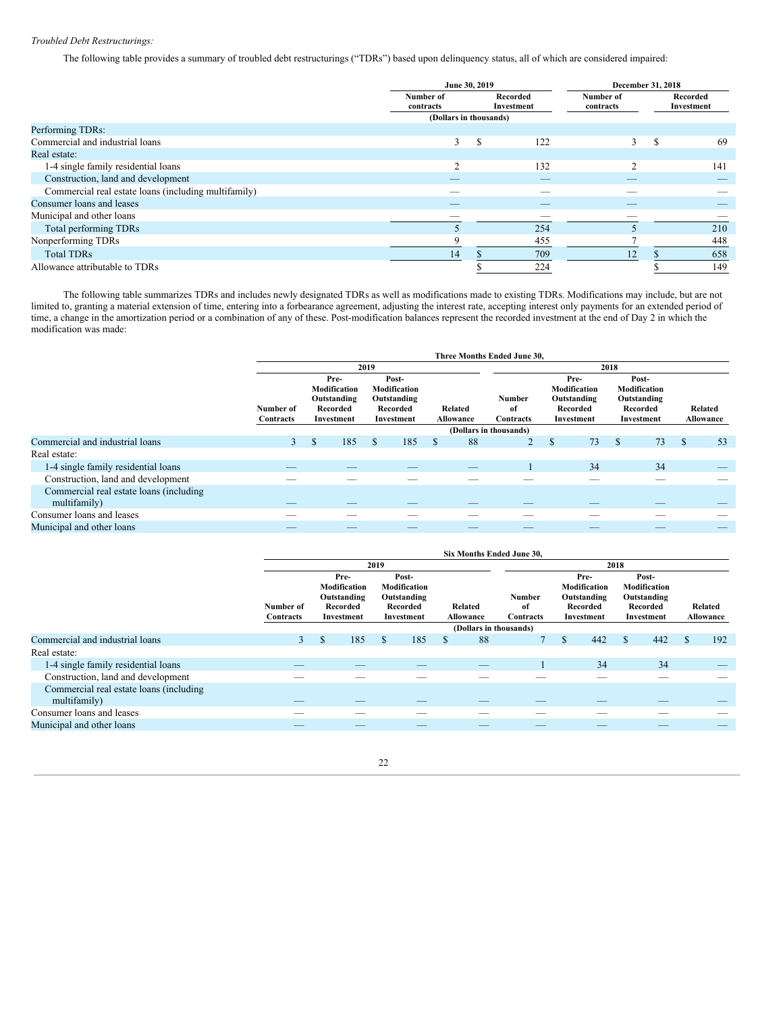# *Troubled Debt Restructurings:*

The following table provides a summary of troubled debt restructurings ("TDRs") based upon delinquency status, all of which are considered impaired:

|                                                      | June 30, 2019          |                        |                          |                        | December 31, 2018 |                        |  |
|------------------------------------------------------|------------------------|------------------------|--------------------------|------------------------|-------------------|------------------------|--|
|                                                      | Number of<br>contracts | Recorded<br>Investment |                          | Number of<br>contracts |                   | Recorded<br>Investment |  |
|                                                      | (Dollars in thousands) |                        |                          |                        |                   |                        |  |
| Performing TDRs:                                     |                        |                        |                          |                        |                   |                        |  |
| Commercial and industrial loans                      | 3                      | <sup>\$</sup>          | 122                      | 3                      | S                 | 69                     |  |
| Real estate:                                         |                        |                        |                          |                        |                   |                        |  |
| 1-4 single family residential loans                  |                        |                        | 132                      |                        |                   | 141                    |  |
| Construction, land and development                   |                        |                        |                          |                        |                   |                        |  |
| Commercial real estate loans (including multifamily) |                        |                        |                          |                        |                   |                        |  |
| Consumer loans and leases                            |                        |                        | $\overline{\phantom{a}}$ |                        |                   |                        |  |
| Municipal and other loans                            |                        |                        |                          |                        |                   |                        |  |
| Total performing TDRs                                |                        |                        | 254                      |                        |                   | 210                    |  |
| Nonperforming TDRs                                   |                        |                        | 455                      |                        |                   | 448                    |  |
| <b>Total TDRs</b>                                    | 14                     |                        | 709                      | 12                     |                   | 658                    |  |
| Allowance attributable to TDRs                       |                        |                        | 224                      |                        |                   | 149                    |  |

The following table summarizes TDRs and includes newly designated TDRs as well as modifications made to existing TDRs. Modifications may include, but are not limited to, granting a material extension of time, entering into a forbearance agreement, adjusting the interest rate, accepting interest only payments for an extended period of time, a change in the amortization period or a combination of any of these. Post-modification balances represent the recorded investment at the end of Day 2 in which the modification was made:

|                                                         |                        |                                                               |               |                                                                |   |                        | Three Months Ended June 30, |               |                                                               |      |                                                                |               |                      |
|---------------------------------------------------------|------------------------|---------------------------------------------------------------|---------------|----------------------------------------------------------------|---|------------------------|-----------------------------|---------------|---------------------------------------------------------------|------|----------------------------------------------------------------|---------------|----------------------|
|                                                         |                        |                                                               | 2019          |                                                                |   |                        |                             |               |                                                               | 2018 |                                                                |               |                      |
|                                                         | Number of<br>Contracts | Pre-<br>Modification<br>Outstanding<br>Recorded<br>Investment |               | Post-<br>Modification<br>Outstanding<br>Recorded<br>Investment |   | Related<br>Allowance   | Number<br>of<br>Contracts   |               | Pre-<br>Modification<br>Outstanding<br>Recorded<br>Investment |      | Post-<br>Modification<br>Outstanding<br>Recorded<br>Investment |               | Related<br>Allowance |
|                                                         |                        |                                                               |               |                                                                |   | (Dollars in thousands) |                             |               |                                                               |      |                                                                |               |                      |
| Commercial and industrial loans                         | 3 <sup>7</sup>         | \$<br>185                                                     | <sup>\$</sup> | 185                                                            | S | 88                     | $\overline{2}$              | <sup>\$</sup> | 73                                                            | S    | 73                                                             | <sup>\$</sup> | 53                   |
| Real estate:                                            |                        |                                                               |               |                                                                |   |                        |                             |               |                                                               |      |                                                                |               |                      |
| 1-4 single family residential loans                     |                        | $-$                                                           |               | _                                                              |   | _                      |                             |               | 34                                                            |      | 34                                                             |               | _                    |
| Construction, land and development                      |                        |                                                               |               |                                                                |   |                        |                             |               |                                                               |      |                                                                |               |                      |
| Commercial real estate loans (including<br>multifamily) |                        |                                                               |               |                                                                |   |                        |                             |               |                                                               |      |                                                                |               |                      |
| Consumer loans and leases                               |                        | __                                                            |               |                                                                |   |                        |                             |               |                                                               |      |                                                                |               |                      |
| Municipal and other loans                               |                        | _                                                             |               |                                                                |   |                        |                             |               |                                                               |      |                                                                |               |                      |

|                                                         |                          |          |                                                               |          |                                                                |          |                      | <b>Six Months Ended June 30.</b> |               |                                                               |      |                                                                |                      |
|---------------------------------------------------------|--------------------------|----------|---------------------------------------------------------------|----------|----------------------------------------------------------------|----------|----------------------|----------------------------------|---------------|---------------------------------------------------------------|------|----------------------------------------------------------------|----------------------|
|                                                         |                          |          |                                                               | 2019     |                                                                |          |                      |                                  |               |                                                               | 2018 |                                                                |                      |
|                                                         | Number of<br>Contracts   |          | Pre-<br>Modification<br>Outstanding<br>Recorded<br>Investment |          | Post-<br>Modification<br>Outstanding<br>Recorded<br>Investment |          | Related<br>Allowance | Number<br>of<br>Contracts        |               | Pre-<br>Modification<br>Outstanding<br>Recorded<br>Investment |      | Post-<br>Modification<br>Outstanding<br>Recorded<br>Investment | Related<br>Allowance |
|                                                         |                          |          |                                                               |          |                                                                |          |                      | (Dollars in thousands)           |               |                                                               |      |                                                                |                      |
| Commercial and industrial loans                         | 3 <sup>1</sup>           | <b>S</b> | 185                                                           | <b>S</b> | 185                                                            | <b>S</b> | 88                   |                                  | $\mathcal{S}$ | 442                                                           | \$   | 442                                                            | 192                  |
| Real estate:                                            |                          |          |                                                               |          |                                                                |          |                      |                                  |               |                                                               |      |                                                                |                      |
| 1-4 single family residential loans                     | _                        |          | _                                                             |          | $\overline{\phantom{a}}$                                       |          |                      |                                  |               | 34                                                            |      | 34                                                             |                      |
| Construction, land and development                      |                          |          |                                                               |          |                                                                |          |                      |                                  |               |                                                               |      |                                                                |                      |
| Commercial real estate loans (including<br>multifamily) |                          |          |                                                               |          |                                                                |          |                      |                                  |               |                                                               |      |                                                                |                      |
| Consumer loans and leases                               |                          |          |                                                               |          |                                                                |          |                      |                                  |               |                                                               |      |                                                                |                      |
| Municipal and other loans                               | $\overline{\phantom{a}}$ |          | __                                                            |          | $\overline{\phantom{a}}$                                       |          | __                   | __                               |               |                                                               |      |                                                                | $-$                  |

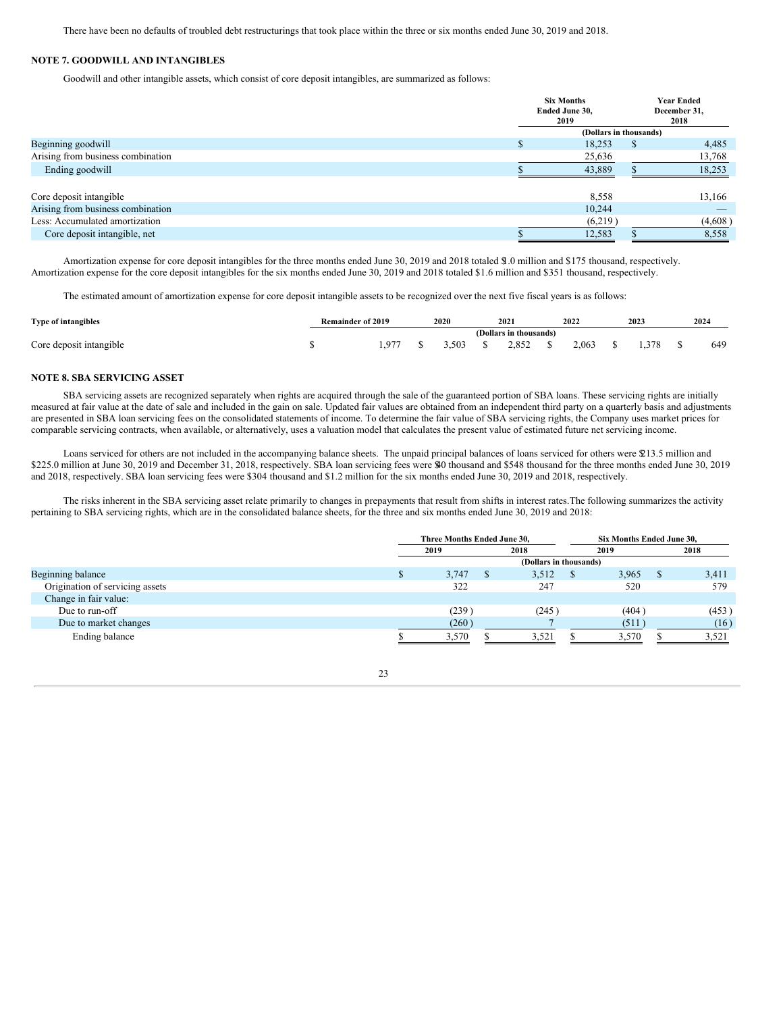There have been no defaults of troubled debt restructurings that took place within the three or six months ended June 30, 2019 and 2018.

# **NOTE 7. GOODWILL AND INTANGIBLES**

Goodwill and other intangible assets, which consist of core deposit intangibles, are summarized as follows:

|                                   |                        | <b>Six Months</b><br>Ended June 30,<br>2019 |    | <b>Year Ended</b><br>December 31,<br>2018 |  |  |  |  |  |
|-----------------------------------|------------------------|---------------------------------------------|----|-------------------------------------------|--|--|--|--|--|
|                                   | (Dollars in thousands) |                                             |    |                                           |  |  |  |  |  |
| Beginning goodwill                | D.                     | 18,253                                      | S. | 4,485                                     |  |  |  |  |  |
| Arising from business combination |                        | 25,636                                      |    | 13,768                                    |  |  |  |  |  |
| Ending goodwill                   |                        | 43,889                                      |    | 18,253                                    |  |  |  |  |  |
| Core deposit intangible           |                        | 8,558                                       |    | 13,166                                    |  |  |  |  |  |
| Arising from business combination |                        | 10,244                                      |    |                                           |  |  |  |  |  |
| Less: Accumulated amortization    |                        | (6,219)                                     |    | (4,608)                                   |  |  |  |  |  |
| Core deposit intangible, net      |                        | 12,583                                      |    | 8,558                                     |  |  |  |  |  |

Amortization expense for core deposit intangibles for the three months ended June 30, 2019 and 2018 totaled \$1.0 million and \$175 thousand, respectively. Amortization expense for the core deposit intangibles for the six months ended June 30, 2019 and 2018 totaled \$1.6 million and \$351 thousand, respectively.

The estimated amount of amortization expense for core deposit intangible assets to be recognized over the next five fiscal years is as follows:

| Type of intangibles     | Remainder of 2019 |      | 2020 | 2021                   | 2022  | 2023 | 2024 |
|-------------------------|-------------------|------|------|------------------------|-------|------|------|
|                         |                   |      |      | (Dollars in thousands) |       |      |      |
| Core deposit intangible |                   | .977 | .503 | 2.852                  | 2.063 | 378  | 649  |

# **NOTE 8. SBA SERVICING ASSET**

SBA servicing assets are recognized separately when rights are acquired through the sale of the guaranteed portion of SBA loans. These servicing rights are initially measured at fair value at the date of sale and included in the gain on sale. Updated fair values are obtained from an independent third party on a quarterly basis and adjustments are presented in SBA loan servicing fees on the consolidated statements of income. To determine the fair value of SBA servicing rights, the Company uses market prices for comparable servicing contracts, when available, or alternatively, uses a valuation model that calculates the present value of estimated future net servicing income.

Loans serviced for others are not included in the accompanying balance sheets. The unpaid principal balances of loans serviced for others were \$13.5 million and \$225.0 million at June 30, 2019 and December 31, 2018, respectively. SBA loan servicing fees were \$40 thousand and \$548 thousand for the three months ended June 30, 2019 and 2018, respectively. SBA loan servicing fees were \$304 thousand and \$1.2 million for the six months ended June 30, 2019 and 2018, respectively.

The risks inherent in the SBA servicing asset relate primarily to changes in prepayments that result from shifts in interest rates.The following summarizes the activity pertaining to SBA servicing rights, which are in the consolidated balance sheets, for the three and six months ended June 30, 2019 and 2018:

|                                 | Three Months Ended June 30. |  |                        | Six Months Ended June 30. |       |  |
|---------------------------------|-----------------------------|--|------------------------|---------------------------|-------|--|
|                                 | 2019                        |  | 2018                   | 2019                      | 2018  |  |
|                                 |                             |  | (Dollars in thousands) |                           |       |  |
| Beginning balance               | 3,747                       |  | 3,512                  | 3,965                     | 3,411 |  |
| Origination of servicing assets | 322                         |  | 247                    | 520                       | 579   |  |
| Change in fair value:           |                             |  |                        |                           |       |  |
| Due to run-off                  | (239)                       |  | (245)                  | (404)                     | (453) |  |
| Due to market changes           | (260)                       |  |                        | (511)                     | (16)  |  |
| Ending balance                  | 3,570                       |  | 3,521                  | 3,570                     | 3,521 |  |

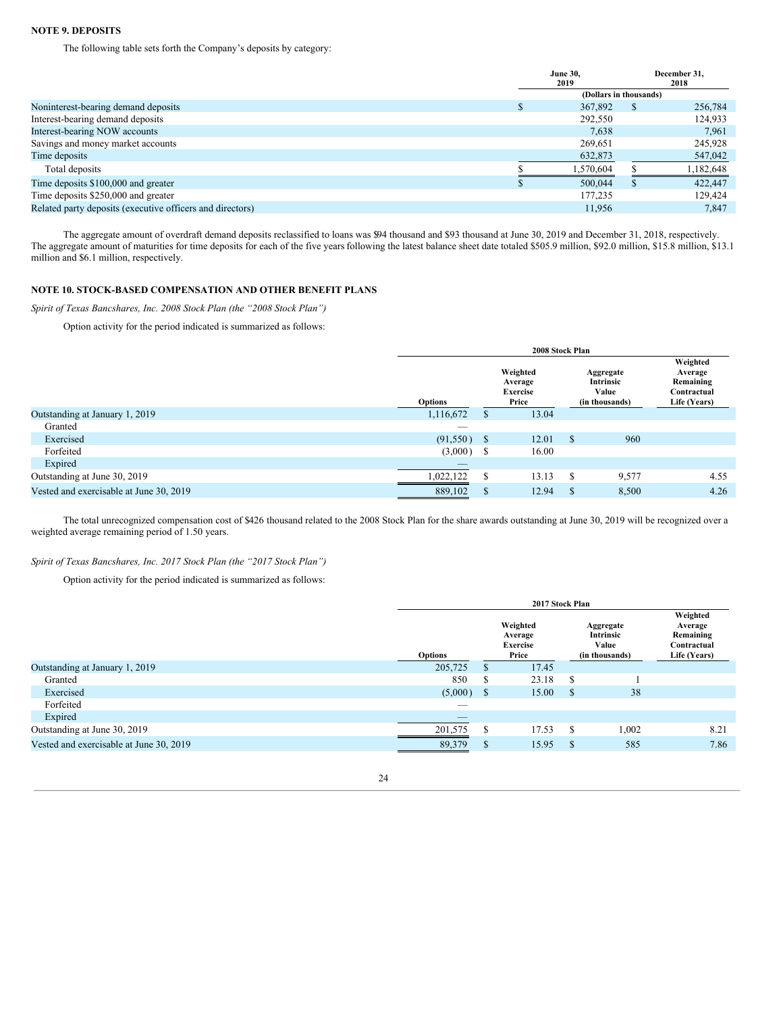# **NOTE 9. DEPOSITS**

The following table sets forth the Company's deposits by category:

|                                                           | <b>June 30.</b><br>2019 |              | December 31.<br>2018 |
|-----------------------------------------------------------|-------------------------|--------------|----------------------|
|                                                           | (Dollars in thousands)  |              |                      |
| Noninterest-bearing demand deposits                       | 367,892                 | <sup>8</sup> | 256,784              |
| Interest-bearing demand deposits                          | 292,550                 |              | 124.933              |
| Interest-bearing NOW accounts                             | 7.638                   |              | 7.961                |
| Savings and money market accounts                         | 269,651                 |              | 245,928              |
| Time deposits                                             | 632,873                 |              | 547,042              |
| Total deposits                                            | 1,570,604               |              | 1,182,648            |
| Time deposits \$100,000 and greater                       | 500,044                 |              | 422,447              |
| Time deposits \$250,000 and greater                       | 177,235                 |              | 129.424              |
| Related party deposits (executive officers and directors) | 11.956                  |              | 7.847                |

The aggregate amount of overdraft demand deposits reclassified to loans was \$94 thousand and \$93 thousand at June 30, 2019 and December 31, 2018, respectively. The aggregate amount of maturities for time deposits for each of the five years following the latest balance sheet date totaled \$505.9 million, \$92.0 million, \$15.8 million, \$15.8 million, \$13.1 million and \$6.1 million, respectively.

# **NOTE 10. STOCK-BASED COMPENSATION AND OTHER BENEFIT PLANS**

*Spirit of Texas Bancshares, Inc. 2008 Stock Plan (the "2008 Stock Plan")*

Option activity for the period indicated is summarized as follows:

|                                         | 2008 Stock Plan |              |                                                 |             |                                                   |                                                                 |  |  |  |  |
|-----------------------------------------|-----------------|--------------|-------------------------------------------------|-------------|---------------------------------------------------|-----------------------------------------------------------------|--|--|--|--|
|                                         | Options         |              | Weighted<br>Average<br><b>Exercise</b><br>Price |             | Aggregate<br>Intrinsic<br>Value<br>(in thousands) | Weighted<br>Average<br>Remaining<br>Contractual<br>Life (Years) |  |  |  |  |
| Outstanding at January 1, 2019          | 1,116,672       | $\mathbf{r}$ | 13.04                                           |             |                                                   |                                                                 |  |  |  |  |
| Granted                                 |                 |              |                                                 |             |                                                   |                                                                 |  |  |  |  |
| Exercised                               | (91, 550)       | -S           | 12.01                                           | $\mathbf S$ | 960                                               |                                                                 |  |  |  |  |
| Forfeited                               | (3,000)         | -S           | 16.00                                           |             |                                                   |                                                                 |  |  |  |  |
| Expired                                 |                 |              |                                                 |             |                                                   |                                                                 |  |  |  |  |
| Outstanding at June 30, 2019            | 1,022,122       | S            | 13.13                                           | \$          | 9,577                                             | 4.55                                                            |  |  |  |  |
| Vested and exercisable at June 30, 2019 | 889,102         | S            | 12.94                                           | \$          | 8,500                                             | 4.26                                                            |  |  |  |  |

The total unrecognized compensation cost of \$426 thousand related to the 2008 Stock Plan for the share awards outstanding at June 30, 2019 will be recognized over a weighted average remaining period of 1.50 years.

# *Spirit of Texas Bancshares, Inc. 2017 Stock Plan (the "2017 Stock Plan")*

Option activity for the period indicated is summarized as follows:

|                                         | 2017 Stock Plan |    |                                                 |    |                                                   |                                                                 |  |  |  |  |
|-----------------------------------------|-----------------|----|-------------------------------------------------|----|---------------------------------------------------|-----------------------------------------------------------------|--|--|--|--|
|                                         | <b>Options</b>  |    | Weighted<br>Average<br><b>Exercise</b><br>Price |    | Aggregate<br>Intrinsic<br>Value<br>(in thousands) | Weighted<br>Average<br>Remaining<br>Contractual<br>Life (Years) |  |  |  |  |
| Outstanding at January 1, 2019          | 205,725         | S  | 17.45                                           |    |                                                   |                                                                 |  |  |  |  |
| Granted                                 | 850             | S  | 23.18                                           | S  |                                                   |                                                                 |  |  |  |  |
| Exercised                               | (5,000)         | \$ | 15.00                                           | \$ | 38                                                |                                                                 |  |  |  |  |
| Forfeited                               |                 |    |                                                 |    |                                                   |                                                                 |  |  |  |  |
| Expired                                 |                 |    |                                                 |    |                                                   |                                                                 |  |  |  |  |
| Outstanding at June 30, 2019            | 201,575         | \$ | 17.53                                           | S  | 1,002                                             | 8.21                                                            |  |  |  |  |
| Vested and exercisable at June 30, 2019 | 89,379          | \$ | 15.95                                           | S  | 585                                               | 7.86                                                            |  |  |  |  |

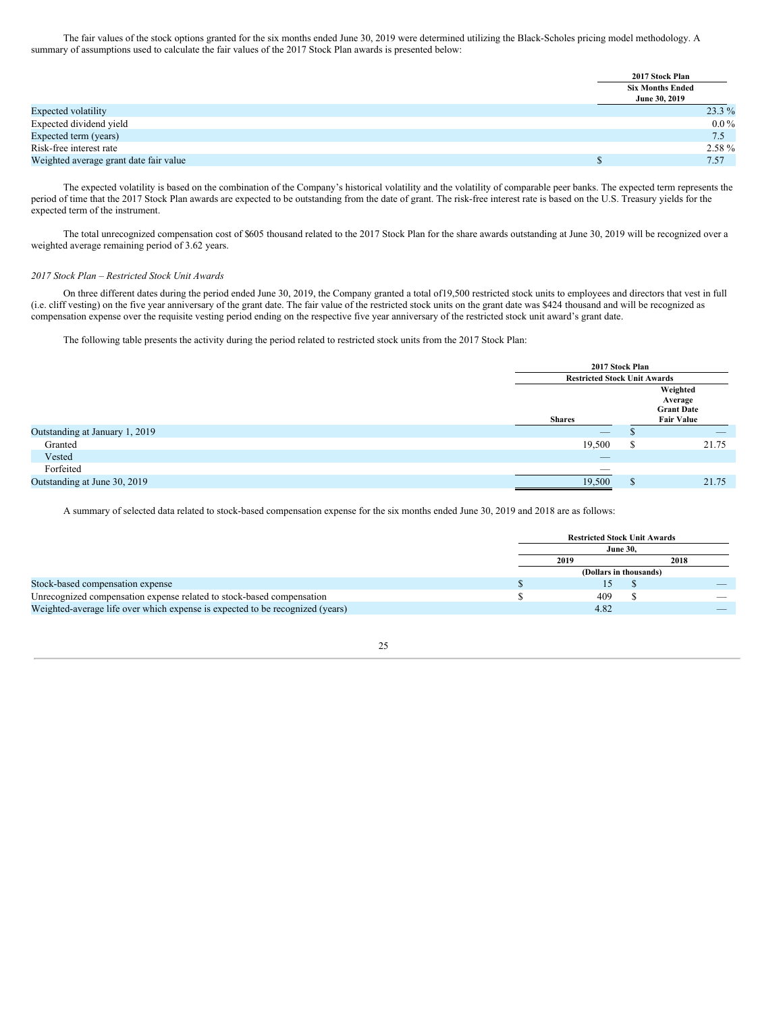The fair values of the stock options granted for the six months ended June 30, 2019 were determined utilizing the Black-Scholes pricing model methodology. A summary of assumptions used to calculate the fair values of the 2017 Stock Plan awards is presented below:

|                                        | 2017 Stock Plan         |           |
|----------------------------------------|-------------------------|-----------|
|                                        | <b>Six Months Ended</b> |           |
|                                        | June 30, 2019           |           |
| Expected volatility                    |                         | $23.3\%$  |
| Expected dividend yield                |                         | $0.0\,\%$ |
| Expected term (years)                  |                         | 7.5       |
| Risk-free interest rate                |                         | $2.58\%$  |
| Weighted average grant date fair value |                         | 7.57      |

The expected volatility is based on the combination of the Company's historical volatility and the volatility of comparable peer banks. The expected term represents the period of time that the 2017 Stock Plan awards are expected to be outstanding from the date of grant. The risk-free interest rate is based on the U.S. Treasury yields for the expected term of the instrument.

The total unrecognized compensation cost of \$605 thousand related to the 2017 Stock Plan for the share awards outstanding at June 30, 2019 will be recognized over a weighted average remaining period of 3.62 years.

### *2017 Stock Plan – Restricted Stock Unit Awards*

On three different dates during the period ended June 30, 2019, the Company granted a total of19,500 restricted stock units to employees and directors that vest in full (i.e. cliff vesting) on the five year anniversary of the grant date. The fair value of the restricted stock units on the grant date was \$424 thousand and will be recognized as compensation expense over the requisite vesting period ending on the respective five year anniversary of the restricted stock unit award's grant date.

The following table presents the activity during the period related to restricted stock units from the 2017 Stock Plan:

|                                |                                 | 2017 Stock Plan                     |                                                               |  |  |  |
|--------------------------------|---------------------------------|-------------------------------------|---------------------------------------------------------------|--|--|--|
|                                |                                 | <b>Restricted Stock Unit Awards</b> |                                                               |  |  |  |
|                                | <b>Shares</b>                   |                                     | Weighted<br>Average<br><b>Grant Date</b><br><b>Fair Value</b> |  |  |  |
| Outstanding at January 1, 2019 | $\hspace{0.1mm}-\hspace{0.1mm}$ | ۰D                                  |                                                               |  |  |  |
| Granted                        | 19,500                          | ¢<br>Ф                              | 21.75                                                         |  |  |  |
| Vested                         | $-$                             |                                     |                                                               |  |  |  |
| Forfeited                      | __                              |                                     |                                                               |  |  |  |
| Outstanding at June 30, 2019   | 19,500                          | Φ<br>P.                             | 21.75                                                         |  |  |  |
|                                |                                 |                                     |                                                               |  |  |  |

A summary of selected data related to stock-based compensation expense for the six months ended June 30, 2019 and 2018 are as follows:

|                                                                               | <b>Restricted Stock Unit Awards</b> |  |      |  |  |  |
|-------------------------------------------------------------------------------|-------------------------------------|--|------|--|--|--|
|                                                                               | <b>June 30.</b>                     |  |      |  |  |  |
|                                                                               | 2019                                |  | 2018 |  |  |  |
|                                                                               | (Dollars in thousands)              |  |      |  |  |  |
| Stock-based compensation expense                                              |                                     |  |      |  |  |  |
| Unrecognized compensation expense related to stock-based compensation         | 409                                 |  |      |  |  |  |
| Weighted-average life over which expense is expected to be recognized (years) | 4.82                                |  |      |  |  |  |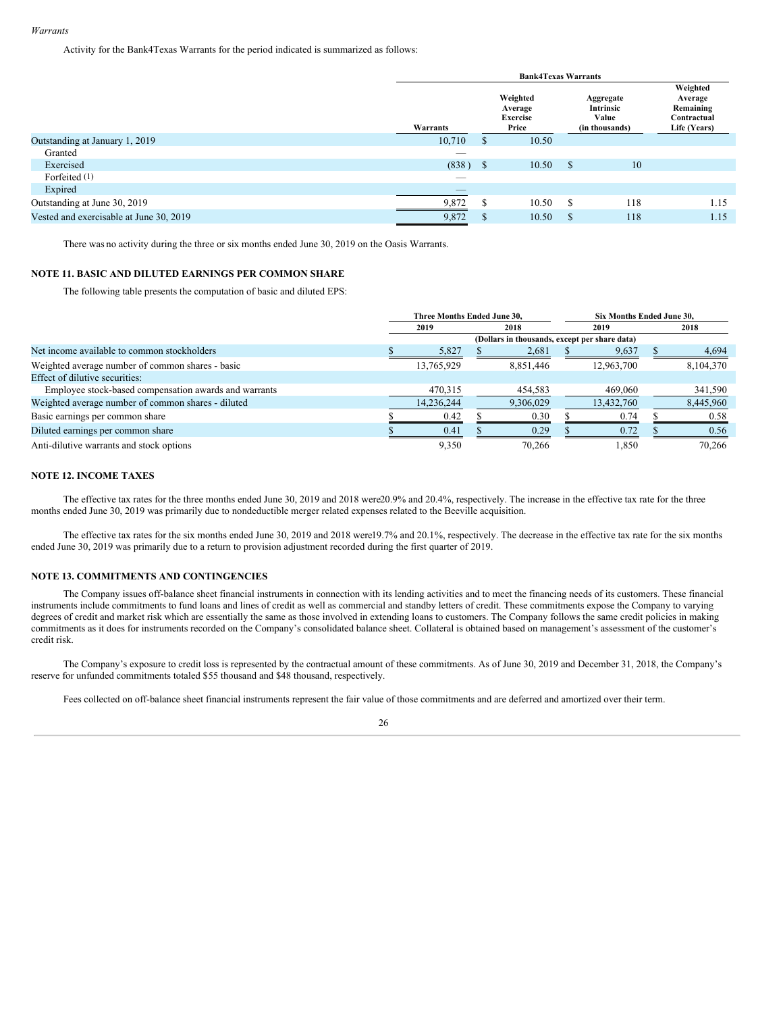Activity for the Bank4Texas Warrants for the period indicated is summarized as follows:

|                                         | <b>Bank4Texas Warrants</b> |               |                                                 |                                                   |     |                                                                 |  |  |  |  |
|-----------------------------------------|----------------------------|---------------|-------------------------------------------------|---------------------------------------------------|-----|-----------------------------------------------------------------|--|--|--|--|
|                                         | Warrants                   |               | Weighted<br>Average<br><b>Exercise</b><br>Price | Aggregate<br>Intrinsic<br>Value<br>(in thousands) |     | Weighted<br>Average<br>Remaining<br>Contractual<br>Life (Years) |  |  |  |  |
| Outstanding at January 1, 2019          | 10,710                     | <sup>S</sup>  | 10.50                                           |                                                   |     |                                                                 |  |  |  |  |
| Granted                                 | $\overline{\phantom{a}}$   |               |                                                 |                                                   |     |                                                                 |  |  |  |  |
| Exercised                               | $(838)$ \$                 |               | 10.50                                           | <sup>\$</sup>                                     | 10  |                                                                 |  |  |  |  |
| Forfeited (1)                           | $\overline{\phantom{a}}$   |               |                                                 |                                                   |     |                                                                 |  |  |  |  |
| Expired                                 |                            |               |                                                 |                                                   |     |                                                                 |  |  |  |  |
| Outstanding at June 30, 2019            | 9,872                      | S             | 10.50                                           | S                                                 | 118 | 1.15                                                            |  |  |  |  |
| Vested and exercisable at June 30, 2019 | 9,872                      | <sup>\$</sup> | 10.50                                           | S                                                 | 118 | 1.15                                                            |  |  |  |  |

There was no activity during the three or six months ended June 30, 2019 on the Oasis Warrants.

# **NOTE 11. BASIC AND DILUTED EARNINGS PER COMMON SHARE**

The following table presents the computation of basic and diluted EPS:

|                                                       | Three Months Ended June 30, |                                               |      | <b>Six Months Ended June 30.</b> |  |           |
|-------------------------------------------------------|-----------------------------|-----------------------------------------------|------|----------------------------------|--|-----------|
|                                                       | 2019                        | 2018                                          | 2019 |                                  |  | 2018      |
|                                                       |                             | (Dollars in thousands, except per share data) |      |                                  |  |           |
| Net income available to common stockholders           | 5,827                       | 2,681                                         |      | 9,637                            |  | 4,694     |
| Weighted average number of common shares - basic      | 13,765,929                  | 8,851,446                                     |      | 12,963,700                       |  | 8,104,370 |
| Effect of dilutive securities:                        |                             |                                               |      |                                  |  |           |
| Employee stock-based compensation awards and warrants | 470,315                     | 454,583                                       |      | 469,060                          |  | 341,590   |
| Weighted average number of common shares - diluted    | 14,236,244                  | 9,306,029                                     |      | 13,432,760                       |  | 8,445,960 |
| Basic earnings per common share                       | 0.42                        | 0.30                                          |      | 0.74                             |  | 0.58      |
| Diluted earnings per common share                     | 0.41                        | 0.29                                          |      | 0.72                             |  | 0.56      |
| Anti-dilutive warrants and stock options              | 9,350                       | 70.266                                        |      | 1.850                            |  | 70.266    |

# **NOTE 12. INCOME TAXES**

The effective tax rates for the three months ended June 30, 2019 and 2018 were20.9% and 20.4%, respectively. The increase in the effective tax rate for the three months ended June 30, 2019 was primarily due to nondeductible merger related expenses related to the Beeville acquisition.

The effective tax rates for the six months ended June 30, 2019 and 2018 were19.7% and 20.1%, respectively. The decrease in the effective tax rate for the six months ended June 30, 2019 was primarily due to a return to provision adjustment recorded during the first quarter of 2019.

# **NOTE 13. COMMITMENTS AND CONTINGENCIES**

The Company issues off-balance sheet financial instruments in connection with its lending activities and to meet the financing needs of its customers. These financial instruments include commitments to fund loans and lines of credit as well as commercial and standby letters of credit. These commitments expose the Company to varying degrees of credit and market risk which are essentially the same as those involved in extending loans to customers. The Company follows the same credit policies in making commitments as it does for instruments recorded on the Company's consolidated balance sheet. Collateral is obtained based on management's assessment of the customer's credit risk.

The Company's exposure to credit loss is represented by the contractual amount of these commitments. As of June 30, 2019 and December 31, 2018, the Company's reserve for unfunded commitments totaled \$55 thousand and \$48 thousand, respectively.

Fees collected on off-balance sheet financial instruments represent the fair value of those commitments and are deferred and amortized over their term.

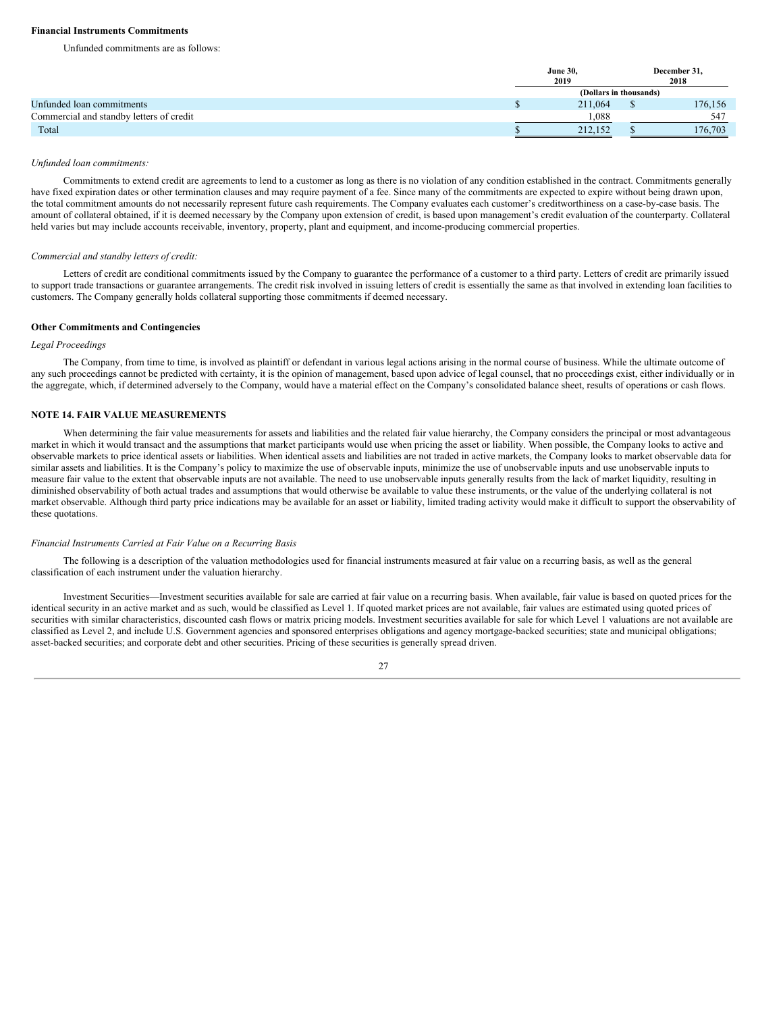# **Financial Instruments Commitments**

Unfunded commitments are as follows:

|                                          | <b>June 30,</b>        | December 31. |
|------------------------------------------|------------------------|--------------|
|                                          | 2019                   | 2018         |
|                                          | (Dollars in thousands) |              |
| Unfunded loan commitments                | 211,064                | 176,156      |
| Commercial and standby letters of credit | 1.088                  | 547          |
| Total                                    | 212.152                | 176,703      |

#### *Unfunded loan commitments:*

Commitments to extend credit are agreements to lend to a customer as long as there is no violation of any condition established in the contract. Commitments generally have fixed expiration dates or other termination clauses and may require payment of a fee. Since many of the commitments are expected to expire without being drawn upon, the total commitment amounts do not necessarily represent future cash requirements. The Company evaluates each customer's creditworthiness on a case-by-case basis. The amount of collateral obtained, if it is deemed necessary by the Company upon extension of credit, is based upon management's credit evaluation of the counterparty. Collateral held varies but may include accounts receivable, inventory, property, plant and equipment, and income-producing commercial properties.

### *Commercial and standby letters of credit:*

Letters of credit are conditional commitments issued by the Company to guarantee the performance of a customer to a third party. Letters of credit are primarily issued to support trade transactions or guarantee arrangements. The credit risk involved in issuing letters of credit is essentially the same as that involved in extending loan facilities to customers. The Company generally holds collateral supporting those commitments if deemed necessary.

#### **Other Commitments and Contingencies**

# *Legal Proceedings*

The Company, from time to time, is involved as plaintiff or defendant in various legal actions arising in the normal course of business. While the ultimate outcome of any such proceedings cannot be predicted with certainty, it is the opinion of management, based upon advice of legal counsel, that no proceedings exist, either individually or in the aggregate, which, if determined adversely to the Company, would have a material effect on the Company's consolidated balance sheet, results of operations or cash flows.

# **NOTE 14. FAIR VALUE MEASUREMENTS**

When determining the fair value measurements for assets and liabilities and the related fair value hierarchy, the Company considers the principal or most advantageous market in which it would transact and the assumptions that market participants would use when pricing the asset or liability. When possible, the Company looks to active and observable markets to price identical assets or liabilities. When identical assets and liabilities are not traded in active markets, the Company looks to market observable data for similar assets and liabilities. It is the Company's policy to maximize the use of observable inputs, minimize the use of unobservable inputs and use unobservable inputs to measure fair value to the extent that observable inputs are not available. The need to use unobservable inputs generally results from the lack of market liquidity, resulting in diminished observability of both actual trades and assumptions that would otherwise be available to value these instruments, or the value of the underlying collateral is not market observable. Although third party price indications may be available for an asset or liability, limited trading activity would make it difficult to support the observability of these quotations.

#### *Financial Instruments Carried at Fair Value on a Recurring Basis*

The following is a description of the valuation methodologies used for financial instruments measured at fair value on a recurring basis, as well as the general classification of each instrument under the valuation hierarchy.

Investment Securities—Investment securities available for sale are carried at fair value on a recurring basis. When available, fair value is based on quoted prices for the identical security in an active market and as such, would be classified as Level 1. If quoted market prices are not available, fair values are estimated using quoted prices of securities with similar characteristics, discounted cash flows or matrix pricing models. Investment securities available for sale for which Level 1 valuations are not available are classified as Level 2, and include U.S. Government agencies and sponsored enterprises obligations and agency mortgage-backed securities; state and municipal obligations; asset-backed securities; and corporate debt and other securities. Pricing of these securities is generally spread driven.

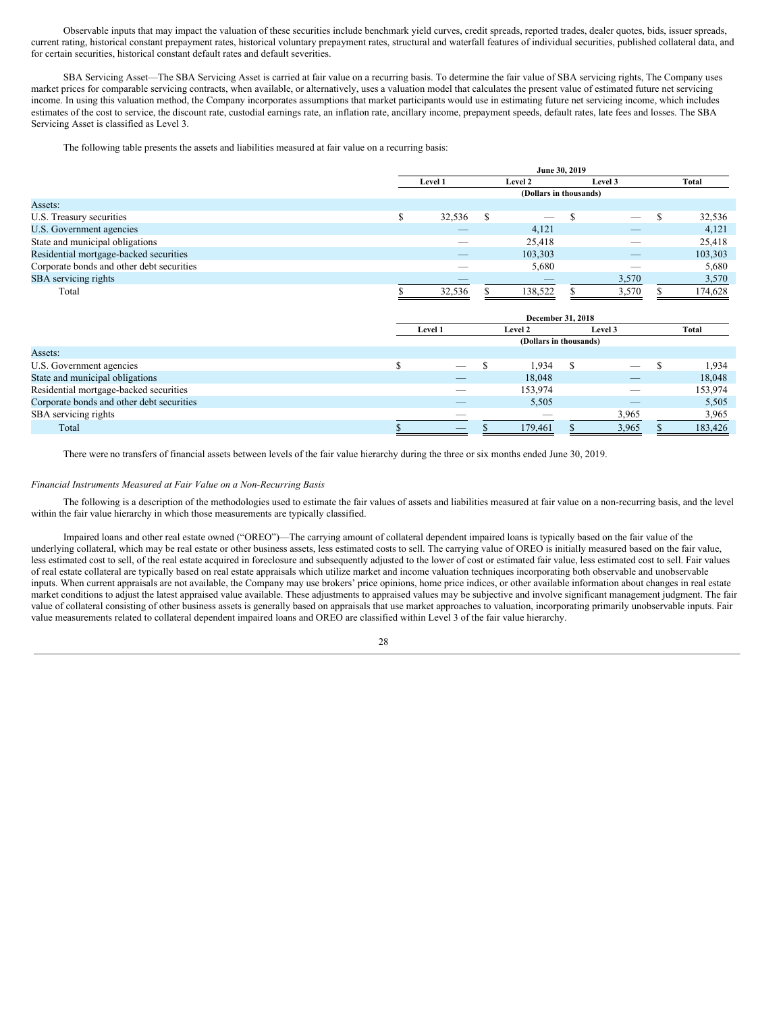Observable inputs that may impact the valuation of these securities include benchmark yield curves, credit spreads, reported trades, dealer quotes, bids, issuer spreads, current rating, historical constant prepayment rates, historical voluntary prepayment rates, structural and waterfall features of individual securities, published collateral data, and for certain securities, historical constant default rates and default severities.

SBA Servicing Asset—The SBA Servicing Asset is carried at fair value on a recurring basis. To determine the fair value of SBA servicing rights, The Company uses market prices for comparable servicing contracts, when available, or alternatively, uses a valuation model that calculates the present value of estimated future net servicing income. In using this valuation method, the Company incorporates assumptions that market participants would use in estimating future net servicing income, which includes estimates of the cost to service, the discount rate, custodial earnings rate, an inflation rate, ancillary income, prepayment speeds, default rates, late fees and losses. The SBA Servicing Asset is classified as Level 3.

The following table presents the assets and liabilities measured at fair value on a recurring basis:

|                                           |         |                        | June 30, 2019 |                          |         |
|-------------------------------------------|---------|------------------------|---------------|--------------------------|---------|
|                                           | Level 1 | Level 2                |               | Level 3                  | Total   |
|                                           |         | (Dollars in thousands) |               |                          |         |
| Assets:                                   |         |                        |               |                          |         |
| U.S. Treasury securities                  | 32,536  |                        |               |                          | 32,536  |
| U.S. Government agencies                  |         | 4,121                  |               | _                        | 4,121   |
| State and municipal obligations           |         | 25,418                 |               |                          | 25,418  |
| Residential mortgage-backed securities    | _       | 103,303                |               | $\qquad \qquad - \qquad$ | 103,303 |
| Corporate bonds and other debt securities |         | 5,680                  |               | __                       | 5,680   |
| SBA servicing rights                      |         |                        |               | 3,570                    | 3,570   |
| Total                                     | 32.536  | 138.522                |               | 3.570                    | 174.628 |

|                                           |  | Level 1                  |  | Level 2                  | Level 3                         | Total   |
|-------------------------------------------|--|--------------------------|--|--------------------------|---------------------------------|---------|
|                                           |  |                          |  | (Dollars in thousands)   |                                 |         |
| Assets:                                   |  |                          |  |                          |                                 |         |
| U.S. Government agencies                  |  |                          |  | 1,934                    | $\overline{\phantom{0}}$        | 1,934   |
| State and municipal obligations           |  |                          |  | 18,048                   |                                 | 18,048  |
| Residential mortgage-backed securities    |  | $\overline{\phantom{a}}$ |  | 153,974                  |                                 | 153,974 |
| Corporate bonds and other debt securities |  | $\overline{\phantom{a}}$ |  | 5,505                    | $\hspace{0.1mm}-\hspace{0.1mm}$ | 5,505   |
| SBA servicing rights                      |  |                          |  | $\overline{\phantom{a}}$ | 3,965                           | 3,965   |
| Total                                     |  | $\overline{\phantom{a}}$ |  | 179,461                  | 3,965                           | 183,426 |

There were no transfers of financial assets between levels of the fair value hierarchy during the three or six months ended June 30, 2019.

# *Financial Instruments Measured at Fair Value on a Non-Recurring Basis*

The following is a description of the methodologies used to estimate the fair values of assets and liabilities measured at fair value on a non-recurring basis, and the level within the fair value hierarchy in which those measurements are typically classified.

Impaired loans and other real estate owned ("OREO")—The carrying amount of collateral dependent impaired loans is typically based on the fair value of the underlying collateral, which may be real estate or other business assets, less estimated costs to sell. The carrying value of OREO is initially measured based on the fair value, less estimated cost to sell, of the real estate acquired in foreclosure and subsequently adjusted to the lower of cost or estimated fair value, less estimated cost to sell. Fair values of real estate collateral are typically based on real estate appraisals which utilize market and income valuation techniques incorporating both observable and unobservable inputs. When current appraisals are not available, the Company may use brokers' price opinions, home price indices, or other available information about changes in real estate market conditions to adjust the latest appraised value available. These adjustments to appraised values may be subjective and involve significant management judgment. The fair value of collateral consisting of other business assets is generally based on appraisals that use market approaches to valuation, incorporating primarily unobservable inputs. Fair value measurements related to collateral dependent impaired loans and OREO are classified within Level 3 of the fair value hierarchy.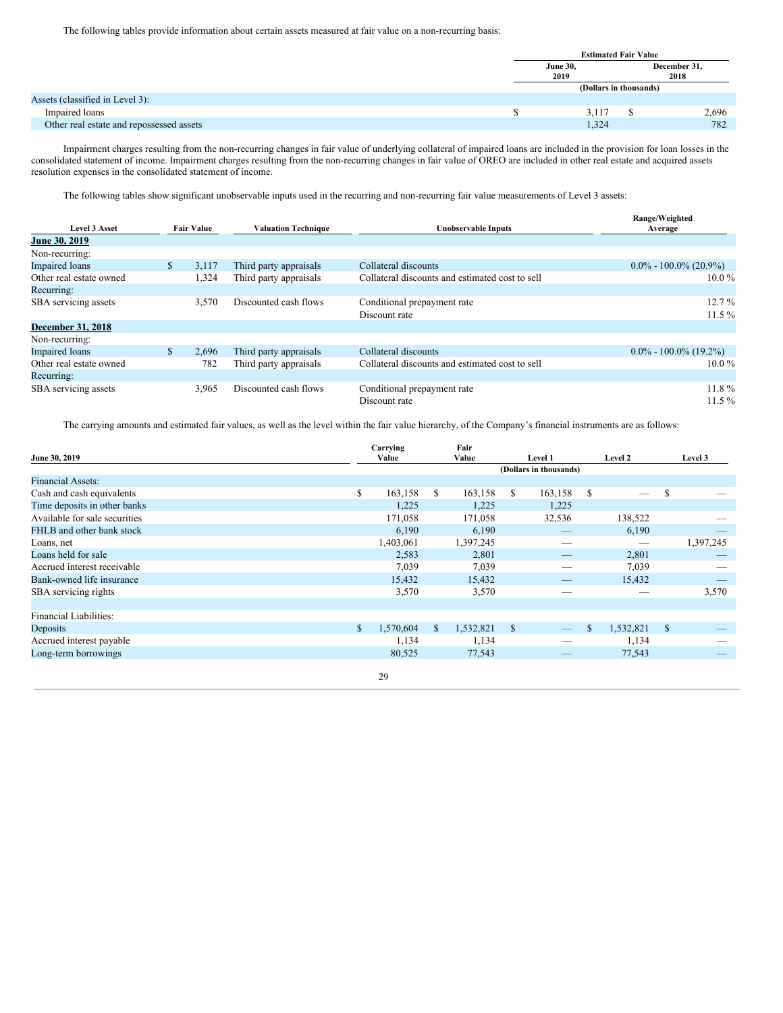The following tables provide information about certain assets measured at fair value on a non-recurring basis:

|                                          | <b>Estimated Fair Value</b><br><b>June 30,</b><br>December 31,<br>2019<br>2018 |  |       |  |  |  |  |  |
|------------------------------------------|--------------------------------------------------------------------------------|--|-------|--|--|--|--|--|
|                                          |                                                                                |  |       |  |  |  |  |  |
|                                          | (Dollars in thousands)                                                         |  |       |  |  |  |  |  |
| Assets (classified in Level 3):          |                                                                                |  |       |  |  |  |  |  |
| Impaired loans                           | 3,117                                                                          |  | 2,696 |  |  |  |  |  |
| Other real estate and repossessed assets | 1,324                                                                          |  | 782   |  |  |  |  |  |

Impairment charges resulting from the non-recurring changes in fair value of underlying collateral of impaired loans are included in the provision for loan losses in the consolidated statement of income. Impairment charges resulting from the non-recurring changes in fair value of OREO are included in other real estate and acquired assets resolution expenses in the consolidated statement of income.

The following tables show significant unobservable inputs used in the recurring and non-recurring fair value measurements of Level 3 assets:

|                          |              |                   |                            |                                                 | Range/Weighted            |
|--------------------------|--------------|-------------------|----------------------------|-------------------------------------------------|---------------------------|
| <b>Level 3 Asset</b>     |              | <b>Fair Value</b> | <b>Valuation Technique</b> | Unobservable Inputs                             | Average                   |
| June 30, 2019            |              |                   |                            |                                                 |                           |
| Non-recurring:           |              |                   |                            |                                                 |                           |
| <b>Impaired</b> loans    | $\mathbb{S}$ | 3,117             | Third party appraisals     | Collateral discounts                            | $0.0\% - 100.0\%$ (20.9%) |
| Other real estate owned  |              | 1,324             | Third party appraisals     | Collateral discounts and estimated cost to sell | $10.0\%$                  |
| Recurring:               |              |                   |                            |                                                 |                           |
| SBA servicing assets     |              | 3,570             | Discounted cash flows      | Conditional prepayment rate                     | $12.7\%$                  |
|                          |              |                   |                            | Discount rate                                   | $11.5\%$                  |
| <b>December 31, 2018</b> |              |                   |                            |                                                 |                           |
| Non-recurring:           |              |                   |                            |                                                 |                           |
| <b>Impaired</b> loans    | \$           | 2,696             | Third party appraisals     | Collateral discounts                            | $0.0\% - 100.0\%$ (19.2%) |
| Other real estate owned  |              | 782               | Third party appraisals     | Collateral discounts and estimated cost to sell | $10.0\%$                  |
| Recurring:               |              |                   |                            |                                                 |                           |
| SBA servicing assets     |              | 3,965             | Discounted cash flows      | Conditional prepayment rate                     | $11.8\%$                  |
|                          |              |                   |                            | Discount rate                                   | $11.5\%$                  |

The carrying amounts and estimated fair values, as well as the level within the fair value hierarchy, of the Company's financial instruments are as follows:

| June 30, 2019                 | Carrying<br>Value |    | Fair<br>Value |                        | Level 1 | Level 2                        |               | Level 3   |
|-------------------------------|-------------------|----|---------------|------------------------|---------|--------------------------------|---------------|-----------|
|                               |                   |    |               | (Dollars in thousands) |         |                                |               |           |
| <b>Financial Assets:</b>      |                   |    |               |                        |         |                                |               |           |
| Cash and cash equivalents     | \$<br>163,158     | S. | 163,158       | S.                     | 163,158 | \$<br>$\overline{\phantom{m}}$ | \$            |           |
| Time deposits in other banks  | 1,225             |    | 1,225         |                        | 1,225   |                                |               |           |
| Available for sale securities | 171,058           |    | 171,058       |                        | 32,536  | 138,522                        |               |           |
| FHLB and other bank stock     | 6,190             |    | 6,190         |                        |         | 6,190                          |               |           |
| Loans, net                    | 1,403,061         |    | 1,397,245     |                        |         |                                |               | 1,397,245 |
| Loans held for sale           | 2,583             |    | 2,801         |                        |         | 2,801                          |               |           |
| Accrued interest receivable   | 7,039             |    | 7,039         |                        |         | 7,039                          |               |           |
| Bank-owned life insurance     | 15,432            |    | 15,432        |                        |         | 15,432                         |               |           |
| SBA servicing rights          | 3,570             |    | 3,570         |                        |         |                                |               | 3,570     |
|                               |                   |    |               |                        |         |                                |               |           |
| <b>Financial Liabilities:</b> |                   |    |               |                        |         |                                |               |           |
| Deposits                      | \$<br>1,570,604   | \$ | 1,532,821     | $\mathbb{S}$           |         | \$<br>1,532,821                | <sup>\$</sup> |           |
| Accrued interest payable      | 1,134             |    | 1,134         |                        |         | 1,134                          |               |           |
| Long-term borrowings          | 80,525            |    | 77,543        |                        |         | 77,543                         |               |           |
|                               |                   |    |               |                        |         |                                |               |           |
|                               | 29                |    |               |                        |         |                                |               |           |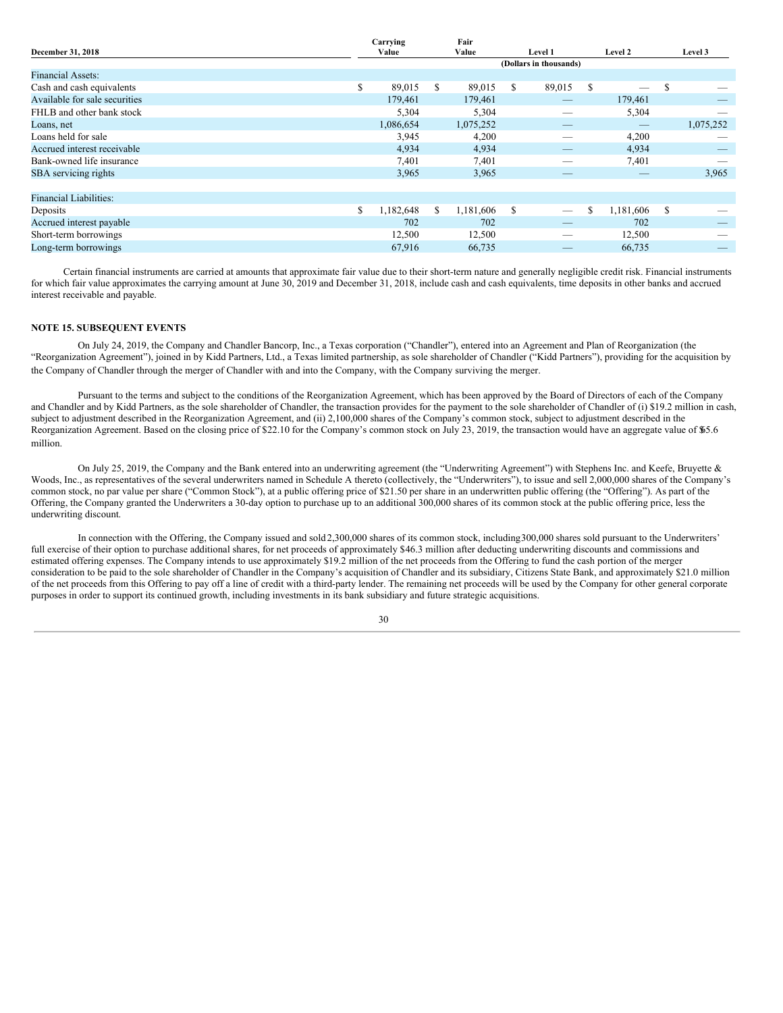| Carrying        |       | Fair      |       |        |         |                                 |         |           |
|-----------------|-------|-----------|-------|--------|---------|---------------------------------|---------|-----------|
|                 |       |           |       |        |         |                                 |         | Level 3   |
|                 |       |           |       |        |         |                                 |         |           |
|                 |       |           |       |        |         |                                 |         |           |
| \$<br>89,015    | S     | 89,015    | S.    | 89,015 | \$      |                                 | S.      |           |
| 179.461         |       | 179,461   |       |        |         | 179,461                         |         |           |
| 5,304           |       | 5,304     |       |        |         | 5,304                           |         | _         |
| 1,086,654       |       | 1,075,252 |       |        |         | $\hspace{0.1mm}-\hspace{0.1mm}$ |         | 1,075,252 |
| 3,945           |       | 4,200     |       |        |         | 4,200                           |         |           |
| 4,934           |       | 4,934     |       |        |         | 4,934                           |         |           |
| 7,401           |       | 7,401     |       | _      |         | 7,401                           |         |           |
| 3,965           |       | 3,965     |       | _      |         | $\qquad \qquad - \qquad$        |         | 3,965     |
|                 |       |           |       |        |         |                                 |         |           |
|                 |       |           |       |        |         |                                 |         |           |
| \$<br>1,182,648 | \$.   | 1,181,606 | S     |        | \$      | 1,181,606                       | \$.     |           |
| 702             |       | 702       |       |        |         | 702                             |         |           |
| 12,500          |       | 12,500    |       | –      |         | 12,500                          |         |           |
| 67,916          |       | 66,735    |       | _      |         | 66,735                          |         | $-$       |
|                 | Value |           | Value |        | Level 1 | (Dollars in thousands)          | Level 2 |           |

**Fair**

Certain financial instruments are carried at amounts that approximate fair value due to their short-term nature and generally negligible credit risk. Financial instruments for which fair value approximates the carrying amount at June 30, 2019 and December 31, 2018, include cash and cash equivalents, time deposits in other banks and accrued interest receivable and payable.

# **NOTE 15. SUBSEQUENT EVENTS**

On July 24, 2019, the Company and Chandler Bancorp, Inc., a Texas corporation ("Chandler"), entered into an Agreement and Plan of Reorganization (the "Reorganization Agreement"), joined in by Kidd Partners, Ltd., a Texas limited partnership, as sole shareholder of Chandler ("Kidd Partners"), providing for the acquisition by the Company of Chandler through the merger of Chandler with and into the Company, with the Company surviving the merger.

Pursuant to the terms and subject to the conditions of the Reorganization Agreement, which has been approved by the Board of Directors of each of the Company and Chandler and by Kidd Partners, as the sole shareholder of Chandler, the transaction provides for the payment to the sole shareholder of Chandler of (i) \$19.2 million in cash, subject to adjustment described in the Reorganization Agreement, and (ii) 2,100,000 shares of the Company's common stock, subject to adjustment described in the Reorganization Agreement. Based on the closing price of \$22.10 for the Company's common stock on July 23, 2019, the transaction would have an aggregate value of \$65.6 million.

On July 25, 2019, the Company and the Bank entered into an underwriting agreement (the "Underwriting Agreement") with Stephens Inc. and Keefe, Bruyette & Woods, Inc., as representatives of the several underwriters named in Schedule A thereto (collectively, the "Underwriters"), to issue and sell 2,000,000 shares of the Company's common stock, no par value per share ("Common Stock"), at a public offering price of \$21.50 per share in an underwritten public offering (the "Offering"). As part of the Offering, the Company granted the Underwriters a 30-day option to purchase up to an additional 300,000 shares of its common stock at the public offering price, less the underwriting discount.

In connection with the Offering, the Company issued and sold 2,300,000 shares of its common stock, including300,000 shares sold pursuant to the Underwriters' full exercise of their option to purchase additional shares, for net proceeds of approximately \$46.3 million after deducting underwriting discounts and commissions and estimated offering expenses. The Company intends to use approximately \$19.2 million of the net proceeds from the Offering to fund the cash portion of the merger consideration to be paid to the sole shareholder of Chandler in the Company's acquisition of Chandler and its subsidiary, Citizens State Bank, and approximately \$21.0 million of the net proceeds from this Offering to pay off a line of credit with a third-party lender. The remaining net proceeds will be used by the Company for other general corporate purposes in order to support its continued growth, including investments in its bank subsidiary and future strategic acquisitions.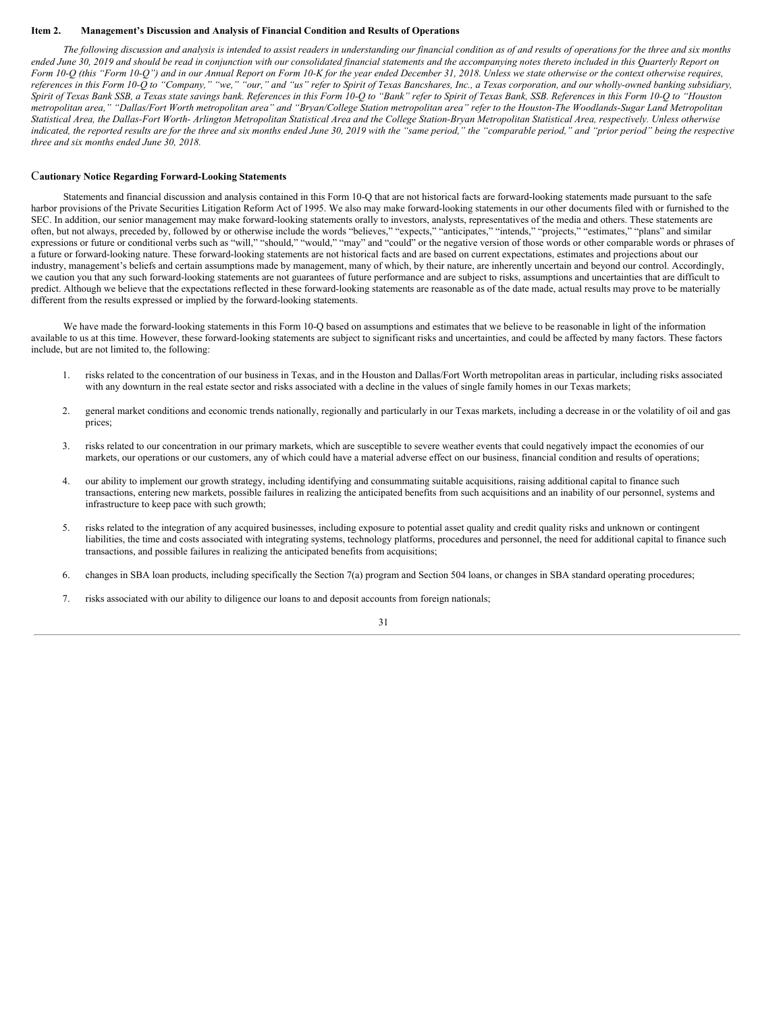### <span id="page-30-0"></span>**Item 2. Management's Discussion and Analysis of Financial Condition and Results of Operations**

The following discussion and analysis is intended to assist readers in understanding our financial condition as of and results of operations for the three and six months ended June 30, 2019 and should be read in conjunction with our consolidated financial statements and the accompanying notes thereto included in this Quarterly Report on Form 10-Q (this "Form 10-Q") and in our Annual Report on Form 10-K for the year ended December 31, 2018. Unless we state otherwise or the context otherwise requires, references in this Form 10-Q to "Company," "we," "our," and "us" refer to Spirit of Texas Bancshares, Inc., a Texas corporation, and our wholly-owned banking subsidiary, Spirit of Texas Bank SSB, a Texas state savings bank. References in this Form 10-Q to "Bank" refer to Spirit of Texas Bank, SSB. References in this Form 10-Q to "Houston metropolitan area," "Dallas/Fort Worth metropolitan area" and "Bryan/College Station metropolitan area" refer to the Houston-The Woodlands-Sugar Land Metropolitan Statistical Area, the Dallas-Fort Worth- Arlington Metropolitan Statistical Area and the College Station-Bryan Metropolitan Statistical Area, respectively. Unless otherwise indicated, the reported results are for the three and six months ended June 30, 2019 with the "same period," the "comparable period," and "prior period" being the respective *three and six months ended June 30, 2018.*

# C**autionary Notice Regarding Forward-Looking Statements**

Statements and financial discussion and analysis contained in this Form 10-Q that are not historical facts are forward-looking statements made pursuant to the safe harbor provisions of the Private Securities Litigation Reform Act of 1995. We also may make forward-looking statements in our other documents filed with or furnished to the SEC. In addition, our senior management may make forward-looking statements orally to investors, analysts, representatives of the media and others. These statements are often, but not always, preceded by, followed by or otherwise include the words "believes," "expects," "anticipates," "intends," "projects," "estimates," "plans" and similar expressions or future or conditional verbs such as "will," "should," "may" and "could" or the negative version of those words or other comparable words or phrases of expressions or future or conditional verbs such as "will a future or forward-looking nature. These forward-looking statements are not historical facts and are based on current expectations, estimates and projections about our industry, management's beliefs and certain assumptions made by management, many of which, by their nature, are inherently uncertain and beyond our control. Accordingly, we caution you that any such forward-looking statements are not guarantees of future performance and are subject to risks, assumptions and uncertainties that are difficult to predict. Although we believe that the expectations reflected in these forward-looking statements are reasonable as of the date made, actual results may prove to be materially different from the results expressed or implied by the forward-looking statements.

We have made the forward-looking statements in this Form 10-Q based on assumptions and estimates that we believe to be reasonable in light of the information available to us at this time. However, these forward-looking statements are subject to significant risks and uncertainties, and could be affected by many factors. These factors include, but are not limited to, the following:

- 1. risks related to the concentration of our business in Texas, and in the Houston and Dallas/Fort Worth metropolitan areas in particular, including risks associated with any downturn in the real estate sector and risks associated with a decline in the values of single family homes in our Texas markets;
- 2. general market conditions and economic trends nationally, regionally and particularly in our Texas markets, including a decrease in or the volatility of oil and gas prices;
- 3. risks related to our concentration in our primary markets, which are susceptible to severe weather events that could negatively impact the economies of our markets, our operations or our customers, any of which could have a material adverse effect on our business, financial condition and results of operations;
- 4. our ability to implement our growth strategy, including identifying and consummating suitable acquisitions, raising additional capital to finance such transactions, entering new markets, possible failures in realizing the anticipated benefits from such acquisitions and an inability of our personnel, systems and infrastructure to keep pace with such growth;
- 5. risks related to the integration of any acquired businesses, including exposure to potential asset quality and credit quality risks and unknown or contingent liabilities, the time and costs associated with integrating systems, technology platforms, procedures and personnel, the need for additional capital to finance such transactions, and possible failures in realizing the anticipated benefits from acquisitions;
- 6. changes in SBA loan products, including specifically the Section 7(a) program and Section 504 loans, or changes in SBA standard operating procedures;
- 7. risks associated with our ability to diligence our loans to and deposit accounts from foreign nationals;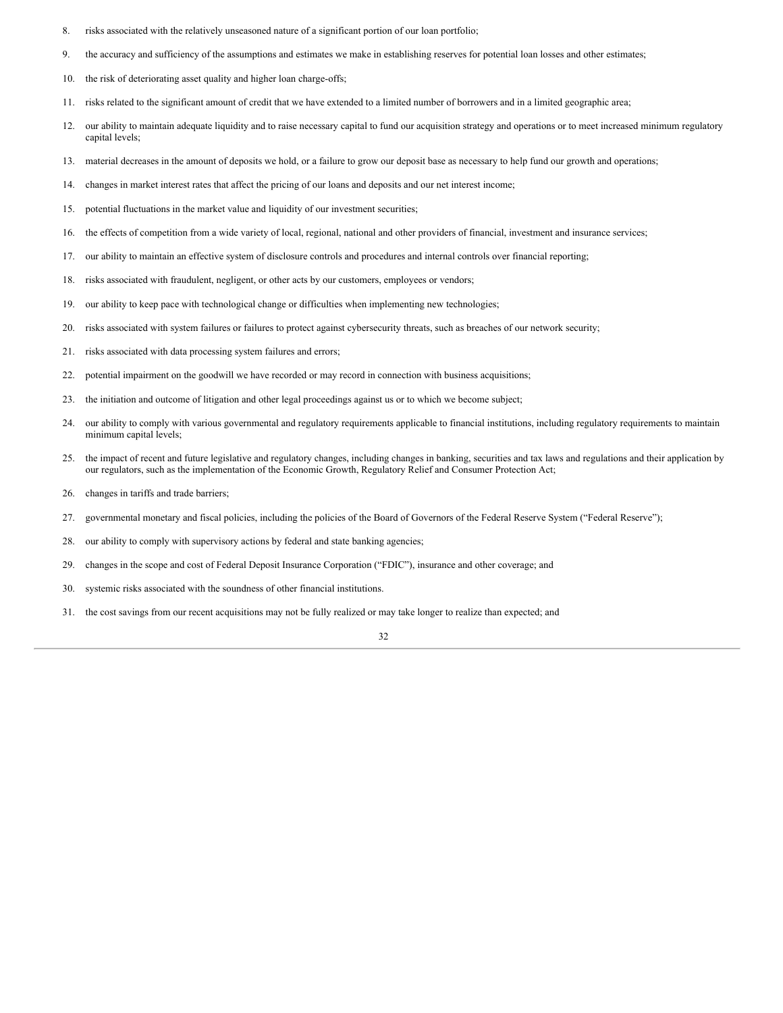- 8. risks associated with the relatively unseasoned nature of a significant portion of our loan portfolio;
- 9. the accuracy and sufficiency of the assumptions and estimates we make in establishing reserves for potential loan losses and other estimates;
- 10. the risk of deteriorating asset quality and higher loan charge-offs;
- 11. risks related to the significant amount of credit that we have extended to a limited number of borrowers and in a limited geographic area;
- 12. our ability to maintain adequate liquidity and to raise necessary capital to fund our acquisition strategy and operations or to meet increased minimum regulatory capital levels;
- 13. material decreases in the amount of deposits we hold, or a failure to grow our deposit base as necessary to help fund our growth and operations;
- 14. changes in market interest rates that affect the pricing of our loans and deposits and our net interest income;
- 15. potential fluctuations in the market value and liquidity of our investment securities;
- 16. the effects of competition from a wide variety of local, regional, national and other providers of financial, investment and insurance services;
- 17. our ability to maintain an effective system of disclosure controls and procedures and internal controls over financial reporting;
- 18. risks associated with fraudulent, negligent, or other acts by our customers, employees or vendors;
- 19. our ability to keep pace with technological change or difficulties when implementing new technologies;
- 20. risks associated with system failures or failures to protect against cybersecurity threats, such as breaches of our network security;
- 21. risks associated with data processing system failures and errors;
- 22. potential impairment on the goodwill we have recorded or may record in connection with business acquisitions;
- 23. the initiation and outcome of litigation and other legal proceedings against us or to which we become subject;
- 24. our ability to comply with various governmental and regulatory requirements applicable to financial institutions, including regulatory requirements to maintain minimum capital levels;
- 25. the impact of recent and future legislative and regulatory changes, including changes in banking, securities and tax laws and regulations and their application by our regulators, such as the implementation of the Economic Growth, Regulatory Relief and Consumer Protection Act;
- 26. changes in tariffs and trade barriers;
- 27. governmental monetary and fiscal policies, including the policies of the Board of Governors of the Federal Reserve System ("Federal Reserve");
- 28. our ability to comply with supervisory actions by federal and state banking agencies;
- 29. changes in the scope and cost of Federal Deposit Insurance Corporation ("FDIC"), insurance and other coverage; and
- 30. systemic risks associated with the soundness of other financial institutions.
- 31. the cost savings from our recent acquisitions may not be fully realized or may take longer to realize than expected; and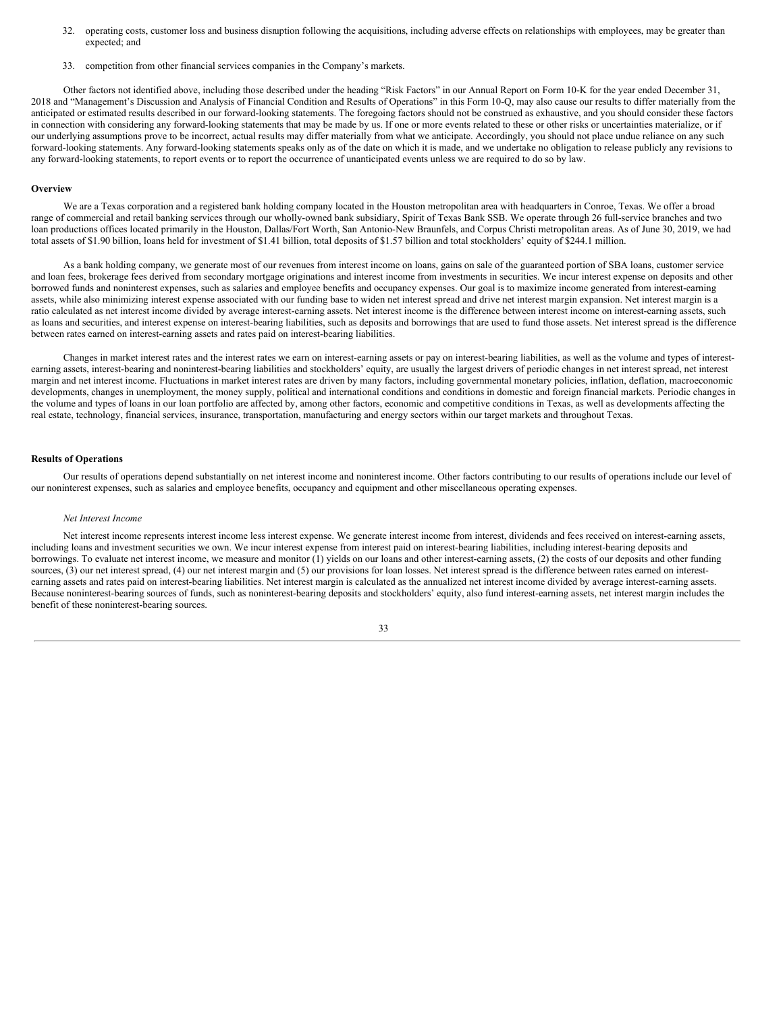- 32. operating costs, customer loss and business disruption following the acquisitions, including adverse effects on relationships with employees, may be greater than expected; and
- 33. competition from other financial services companies in the Company's markets.

Other factors not identified above, including those described under the heading "Risk Factors" in our Annual Report on Form 10-K for the year ended December 31, 2018 and "Management's Discussion and Analysis of Financial Condition and Results of Operations" in this Form 10-Q, may also cause our results to differ materially from the anticipated or estimated results described in our forward-looking statements. The foregoing factors should not be construed as exhaustive, and you should consider these factors in connection with considering any forward-looking statements that may be made by us. If one or more events related to these or other risks or uncertainties materialize, or if our underlying assumptions prove to be incorrect, actual results may differ materially from what we anticipate. Accordingly, you should not place undue reliance on any such forward-looking statements. Any forward-looking statements speaks only as of the date on which it is made, and we undertake no obligation to release publicly any revisions to any forward-looking statements, to report events or to report the occurrence of unanticipated events unless we are required to do so by law.

#### **Overview**

We are a Texas corporation and a registered bank holding company located in the Houston metropolitan area with headquarters in Conroe, Texas. We offer a broad range of commercial and retail banking services through our wholly-owned bank subsidiary, Spirit of Texas Bank SSB. We operate through 26 full-service branches and two loan productions offices located primarily in the Houston, Dallas/Fort Worth, San Antonio-New Braunfels, and Corpus Christi metropolitan areas. As of June 30, 2019, we had total assets of \$1.90 billion, loans held for investment of \$1.41 billion, total deposits of \$1.57 billion and total stockholders' equity of \$244.1 million.

As a bank holding company, we generate most of our revenues from interest income on loans, gains on sale of the guaranteed portion of SBA loans, customer service and loan fees, brokerage fees derived from secondary mortgage originations and interest income from investments in securities. We incur interest expense on deposits and other borrowed funds and noninterest expenses, such as salaries and employee benefits and occupancy expenses. Our goal is to maximize income generated from interest-earning assets, while also minimizing interest expense associated with our funding base to widen net interest spread and drive net interest margin expansion. Net interest margin is a ratio calculated as net interest income divided by average interest-earning assets. Net interest income is the difference between interest income on interest-earning assets, such as loans and securities, and interest expense on interest-bearing liabilities, such as deposits and borrowings that are used to fund those assets. Net interest spread is the difference between rates earned on interest-earning assets and rates paid on interest-bearing liabilities.

Changes in market interest rates and the interest rates we earn on interest-earning assets or pay on interest-bearing liabilities, as well as the volume and types of interestearning assets, interest-bearing and noninterest-bearing liabilities and stockholders' equity, are usually the largest drivers of periodic changes in net interest spread, net interest margin and net interest income. Fluctuations in market interest rates are driven by many factors, including governmental monetary policies, inflation, deflation, macroeconomic developments, changes in unemployment, the money supply, political and international conditions and conditions in domestic and foreign financial markets. Periodic changes in the volume and types of loans in our loan portfolio are affected by, among other factors, economic and competitive conditions in Texas, as well as developments affecting the real estate, technology, financial services, insurance, transportation, manufacturing and energy sectors within our target markets and throughout Texas.

# **Results of Operations**

Our results of operations depend substantially on net interest income and noninterest income. Other factors contributing to our results of operations include our level of our noninterest expenses, such as salaries and employee benefits, occupancy and equipment and other miscellaneous operating expenses.

#### *Net Interest Income*

Net interest income represents interest income less interest expense. We generate interest income from interest, dividends and fees received on interest-earning assets, including loans and investment securities we own. We incur interest expense from interest paid on interest-bearing liabilities, including interest-bearing deposits and borrowings. To evaluate net interest income, we measure and monitor (1) yields on our loans and other interest-earning assets, (2) the costs of our deposits and other funding sources, (3) our net interest spread, (4) our net interest margin and (5) our provisions for loan losses. Net interest spread is the difference between rates earned on interestearning assets and rates paid on interest-bearing liabilities. Net interest margin is calculated as the annualized net interest income divided by average interest-earning assets. Because noninterest-bearing sources of funds, such as noninterest-bearing deposits and stockholders' equity, also fund interest-earning assets, net interest margin includes the benefit of these noninterest-bearing sources.

33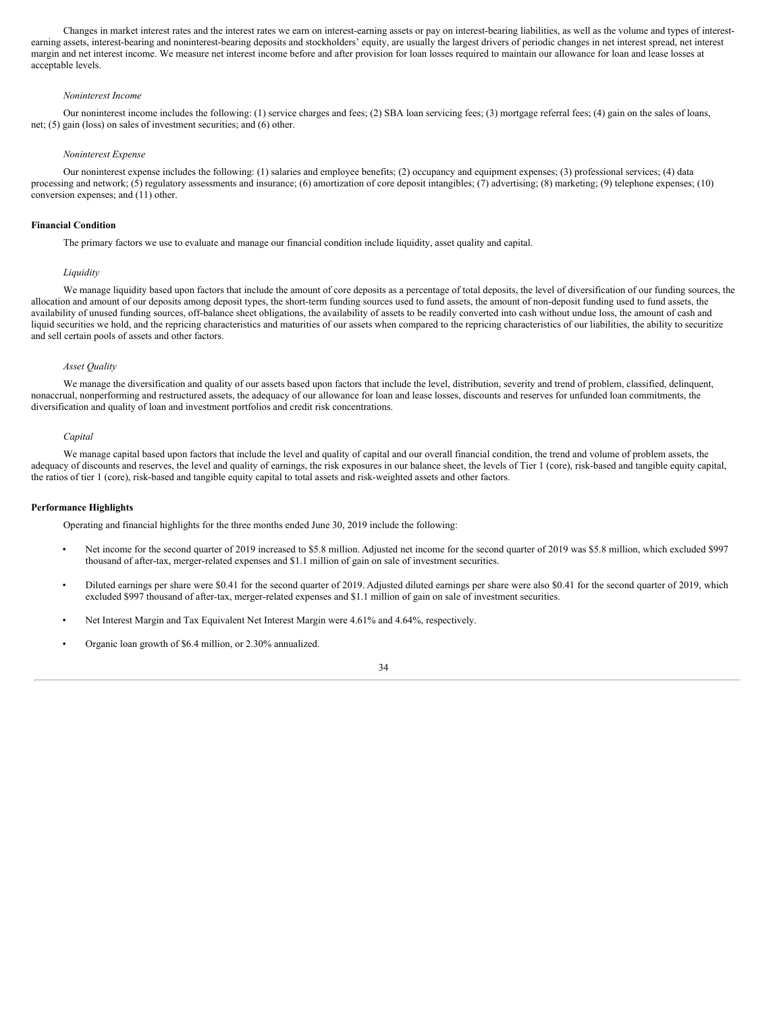Changes in market interest rates and the interest rates we earn on interest-earning assets or pay on interest-bearing liabilities, as well as the volume and types of interestearning assets, interest-bearing and noninterest-bearing deposits and stockholders' equity, are usually the largest drivers of periodic changes in net interest spread, net interest margin and net interest income. We measure net interest income before and after provision for loan losses required to maintain our allowance for loan and lease losses at acceptable levels.

#### *Noninterest Income*

Our noninterest income includes the following: (1) service charges and fees; (2) SBA loan servicing fees; (3) mortgage referral fees; (4) gain on the sales of loans, net; (5) gain (loss) on sales of investment securities; and (6) other.

#### *Noninterest Expense*

Our noninterest expense includes the following: (1) salaries and employee benefits; (2) occupancy and equipment expenses; (3) professional services; (4) data processing and network; (5) regulatory assessments and insurance; (6) amortization of core deposit intangibles; (7) advertising; (8) marketing; (9) telephone expenses; (10) conversion expenses; and (11) other.

#### **Financial Condition**

The primary factors we use to evaluate and manage our financial condition include liquidity, asset quality and capital.

#### *Liquidity*

We manage liquidity based upon factors that include the amount of core deposits as a percentage of total deposits, the level of diversification of our funding sources, the allocation and amount of our deposits among deposit types, the short-term funding sources used to fund assets, the amount of non-deposit funding used to fund assets, the availability of unused funding sources, off-balance sheet obligations, the availability of assets to be readily converted into cash without undue loss, the amount of cash and liquid securities we hold, and the repricing characteristics and maturities of our assets when compared to the repricing characteristics of our liabilities, the ability to securitize and sell certain pools of assets and other factors.

### *Asset Quality*

We manage the diversification and quality of our assets based upon factors that include the level, distribution, severity and trend of problem, classified, delinquent, nonaccrual, nonperforming and restructured assets, the adequacy of our allowance for loan and lease losses, discounts and reserves for unfunded loan commitments, the diversification and quality of loan and investment portfolios and credit risk concentrations.

#### *Capital*

We manage capital based upon factors that include the level and quality of capital and our overall financial condition, the trend and volume of problem assets, the adequacy of discounts and reserves, the level and quality of earnings, the risk exposures in our balance sheet, the levels of Tier 1 (core), risk-based and tangible equity capital, the ratios of tier 1 (core), risk-based and tangible equity capital to total assets and risk-weighted assets and other factors.

# **Performance Highlights**

Operating and financial highlights for the three months ended June 30, 2019 include the following:

- Net income for the second quarter of 2019 increased to \$5.8 million. Adjusted net income for the second quarter of 2019 was \$5.8 million, which excluded \$997 thousand of after-tax, merger-related expenses and \$1.1 million of gain on sale of investment securities.
- Diluted earnings per share were \$0.41 for the second quarter of 2019. Adjusted diluted earnings per share were also \$0.41 for the second quarter of 2019, which excluded \$997 thousand of after-tax, merger-related expenses and \$1.1 million of gain on sale of investment securities.
- Net Interest Margin and Tax Equivalent Net Interest Margin were 4.61% and 4.64%, respectively.
- Organic loan growth of \$6.4 million, or 2.30% annualized.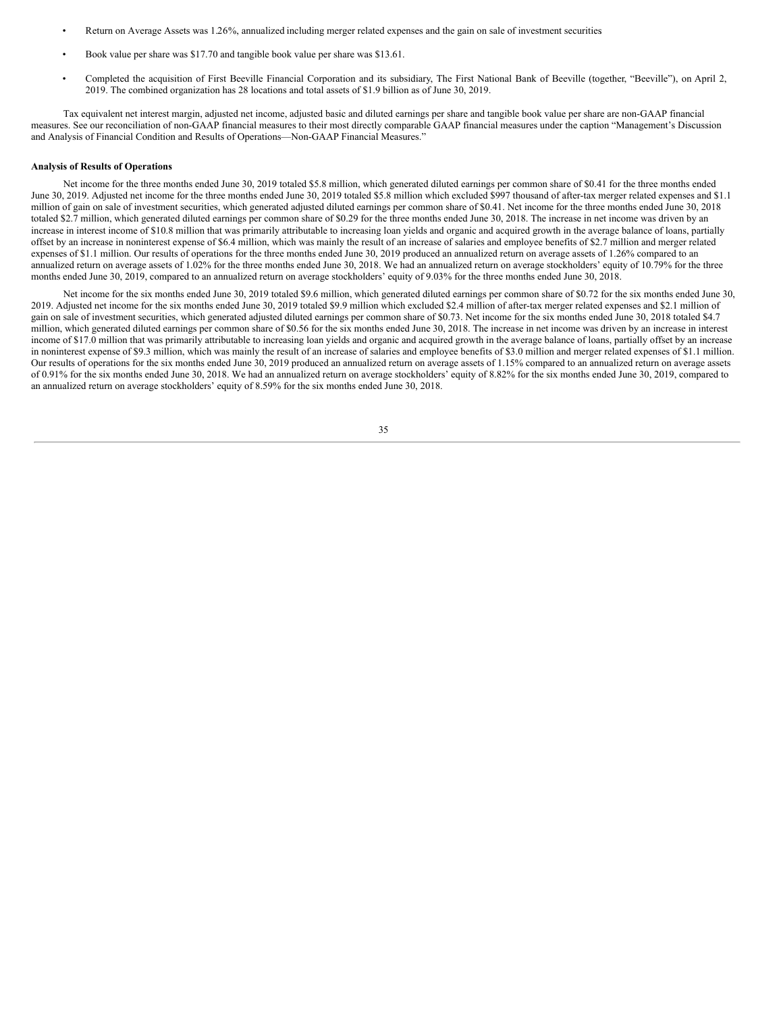- Return on Average Assets was 1.26%, annualized including merger related expenses and the gain on sale of investment securities.
- Book value per share was \$17.70 and tangible book value per share was \$13.61.
- Completed the acquisition of First Beeville Financial Corporation and its subsidiary, The First National Bank of Beeville (together, "Beeville"), on April 2, 2019. The combined organization has 28 locations and total assets of \$1.9 billion as of June 30, 2019.

Tax equivalent net interest margin, adjusted net income, adjusted basic and diluted earnings per share and tangible book value per share are non-GAAP financial measures. See our reconciliation of non-GAAP financial measures to their most directly comparable GAAP financial measures under the caption "Management's Discussion and Analysis of Financial Condition and Results of Operations—Non-GAAP Financial Measures."

# **Analysis of Results of Operations**

Net income for the three months ended June 30, 2019 totaled \$5.8 million, which generated diluted earnings per common share of \$0.41 for the three months ended June 30, 2019. Adjusted net income for the three months ended June 30, 2019 totaled \$5.8 million which excluded \$997 thousand of after-tax merger related expenses and \$1.1 million of gain on sale of investment securities, which generated adjusted diluted earnings per common share of \$0.41. Net income for the three months ended June 30, 2018 totaled \$2.7 million, which generated diluted earnings per common share of \$0.29 for the three months ended June 30, 2018. The increase in net income was driven by an increase in interest income of \$10.8 million that was primarily attributable to increasing loan yields and organic and acquired growth in the average balance of loans, partially offset by an increase in noninterest expense of \$6.4 million, which was mainly the result of an increase of salaries and employee benefits of \$2.7 million and merger related expenses of \$1.1 million. Our results of operations for the three months ended June 30, 2019 produced an annualized return on average assets of 1.26% compared to an annualized return on average assets of 1.02% for the three months ended June 30, 2018. We had an annualized return on average stockholders' equity of 10.79% for the three months ended June 30, 2019, compared to an annualized return on average stockholders' equity of 9.03% for the three months ended June 30, 2018.

Net income for the six months ended June 30, 2019 totaled \$9.6 million, which generated diluted earnings per common share of \$0.72 for the six months ended June 30, 2019. Adjusted net income for the six months ended June 30, 2019 totaled \$9.9 million which excluded \$2.4 million of after-tax merger related expenses and \$2.1 million of gain on sale of investment securities, which generated adjusted diluted earnings per common share of \$0.73. Net income for the six months ended June 30, 2018 totaled \$4.7 million, which generated diluted earnings per common share of \$0.56 for the six months ended June 30, 2018. The increase in net income was driven by an increase in interest income of \$17.0 million that was primarily attributable to increasing loan yields and organic and acquired growth in the average balance of loans, partially offset by an increase in noninterest expense of \$9.3 million, which was mainly the result of an increase of salaries and employee benefits of \$3.0 million and merger related expenses of \$1.1 million. Our results of operations for the six months ended June 30, 2019 produced an annualized return on average assets of 1.15% compared to an annualized return on average assets of 0.91% for the six months ended June 30, 2018. We had an annualized return on average stockholders' equity of 8.82% for the six months ended June 30, 2019, compared to an annualized return on average stockholders' equity of 8.59% for the six months ended June 30, 2018.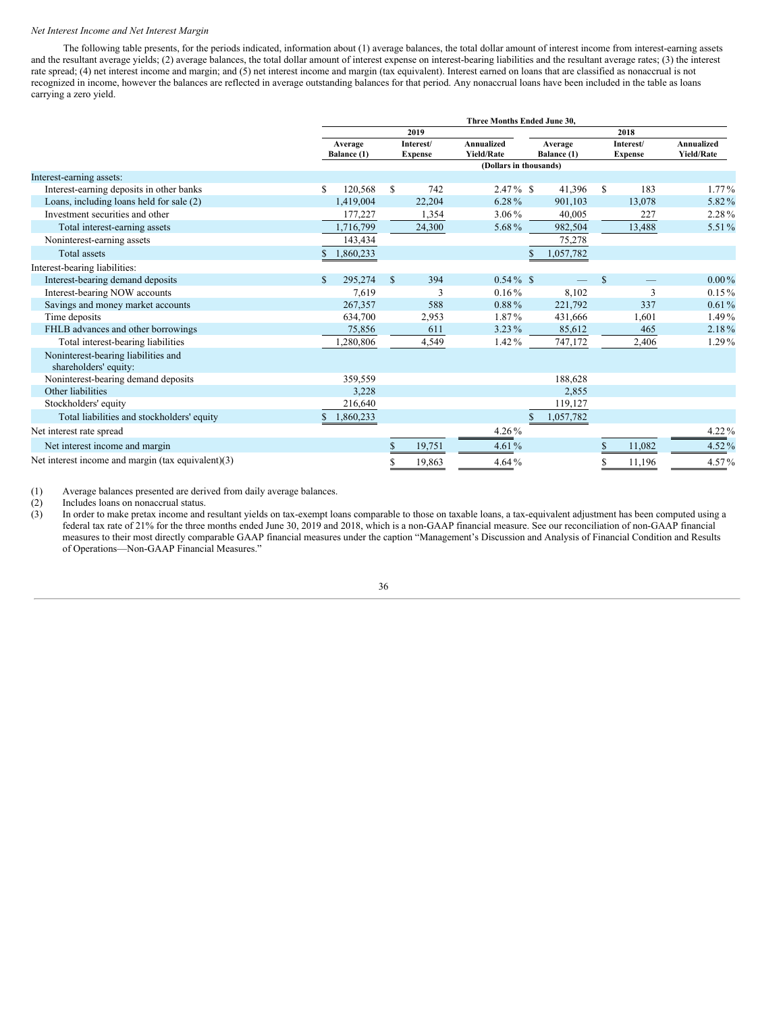#### *Net Interest Income and Net Interest Margin*

The following table presents, for the periods indicated, information about (1) average balances, the total dollar amount of interest income from interest-earning assets and the resultant average yields; (2) average balances, the total dollar amount of interest expense on interest-bearing liabilities and the resultant average rates; (3) the interest rate spread; (4) net interest income and margin; and (5) net interest income and margin (tax equivalent). Interest earned on loans that are classified as nonaccrual is not recognized in income, however the balances are reflected in average outstanding balances for that period. Any nonaccrual loans have been included in the table as loans carrying a zero yield.

|                                                              | Three Months Ended June 30, |                        |              |                             |                                 |  |                        |      |                             |                                 |  |  |  |  |  |
|--------------------------------------------------------------|-----------------------------|------------------------|--------------|-----------------------------|---------------------------------|--|------------------------|------|-----------------------------|---------------------------------|--|--|--|--|--|
|                                                              |                             | 2019                   |              |                             |                                 |  |                        | 2018 |                             |                                 |  |  |  |  |  |
|                                                              |                             | Average<br>Balance (1) |              | Interest/<br><b>Expense</b> | Annualized<br><b>Yield/Rate</b> |  | Average<br>Balance (1) |      | Interest/<br><b>Expense</b> | Annualized<br><b>Yield/Rate</b> |  |  |  |  |  |
|                                                              |                             |                        |              |                             | (Dollars in thousands)          |  |                        |      |                             |                                 |  |  |  |  |  |
| Interest-earning assets:                                     |                             |                        |              |                             |                                 |  |                        |      |                             |                                 |  |  |  |  |  |
| Interest-earning deposits in other banks                     | \$                          | 120,568                | S.           | 742                         | $2.47\%$ \$                     |  | 41,396                 | S    | 183                         | $1.77\%$                        |  |  |  |  |  |
| Loans, including loans held for sale (2)                     |                             | 1.419.004              |              | 22,204                      | 6.28%                           |  | 901,103                |      | 13,078                      | 5.82%                           |  |  |  |  |  |
| Investment securities and other                              |                             | 177,227                |              | 1,354                       | $3.06\%$                        |  | 40,005                 |      | 227                         | 2.28%                           |  |  |  |  |  |
| Total interest-earning assets                                |                             | 1,716,799              |              | 24,300                      | 5.68%                           |  | 982,504                |      | 13,488                      | 5.51%                           |  |  |  |  |  |
| Noninterest-earning assets                                   |                             | 143,434                |              |                             |                                 |  | 75,278                 |      |                             |                                 |  |  |  |  |  |
| Total assets                                                 |                             | 1,860,233              |              |                             |                                 |  | 1,057,782              |      |                             |                                 |  |  |  |  |  |
| Interest-bearing liabilities:                                |                             |                        |              |                             |                                 |  |                        |      |                             |                                 |  |  |  |  |  |
| Interest-bearing demand deposits                             | S.                          | 295,274                | $\mathbb{S}$ | 394                         | $0.54\%$ \$                     |  |                        | S    |                             | $0.00\%$                        |  |  |  |  |  |
| Interest-bearing NOW accounts                                |                             | 7,619                  |              | 3                           | $0.16\%$                        |  | 8,102                  |      | 3                           | $0.15\%$                        |  |  |  |  |  |
| Savings and money market accounts                            |                             | 267,357                |              | 588                         | $0.88\%$                        |  | 221,792                |      | 337                         | 0.61%                           |  |  |  |  |  |
| Time deposits                                                |                             | 634,700                |              | 2,953                       | 1.87%                           |  | 431,666                |      | 1,601                       | 1.49%                           |  |  |  |  |  |
| FHLB advances and other borrowings                           |                             | 75,856                 |              | 611                         | $3.23\%$                        |  | 85,612                 |      | 465                         | 2.18%                           |  |  |  |  |  |
| Total interest-bearing liabilities                           |                             | .280,806               |              | 4,549                       | $1.42\%$                        |  | 747,172                |      | 2,406                       | 1.29%                           |  |  |  |  |  |
| Noninterest-bearing liabilities and<br>shareholders' equity: |                             |                        |              |                             |                                 |  |                        |      |                             |                                 |  |  |  |  |  |
| Noninterest-bearing demand deposits                          |                             | 359,559                |              |                             |                                 |  | 188,628                |      |                             |                                 |  |  |  |  |  |
| Other liabilities                                            |                             | 3,228                  |              |                             |                                 |  | 2,855                  |      |                             |                                 |  |  |  |  |  |
| Stockholders' equity                                         |                             | 216,640                |              |                             |                                 |  | 119,127                |      |                             |                                 |  |  |  |  |  |
| Total liabilities and stockholders' equity                   |                             | 1,860,233              |              |                             |                                 |  | 1,057,782              |      |                             |                                 |  |  |  |  |  |
| Net interest rate spread                                     |                             |                        |              |                             | $4.26\%$                        |  |                        |      |                             | $4.22\%$                        |  |  |  |  |  |
| Net interest income and margin                               |                             |                        |              | 19,751                      | 4.61%                           |  |                        | \$   | 11,082                      | 4.52%                           |  |  |  |  |  |
| Net interest income and margin (tax equivalent)(3)           |                             |                        |              | 19,863                      | 4.64%                           |  |                        | S    | 11,196                      | 4.57%                           |  |  |  |  |  |

(1) Average balances presented are derived from daily average balances.

(2) Includes loans on nonaccrual status.

(3) In order to make pretax income and resultant yields on tax-exempt loans comparable to those on taxable loans, a tax-equivalent adjustment has been computed using a federal tax rate of 21% for the three months ended June 30, 2019 and 2018, which is a non-GAAP financial measure. See our reconciliation of non-GAAP financial measures to their most directly comparable GAAP financial measures under the caption "Management's Discussion and Analysis of Financial Condition and Results of Operations—Non-GAAP Financial Measures."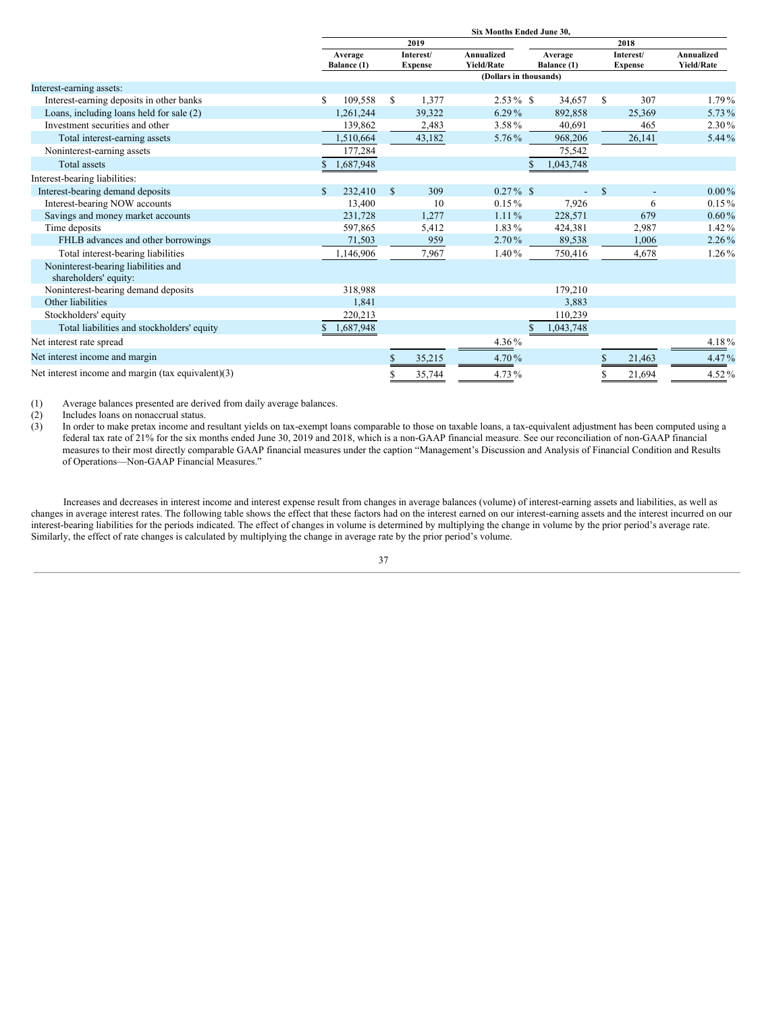|                                                              | Six Months Ended June 30, |                        |              |                             |                                 |  |                        |                             |        |                                 |  |  |  |  |  |
|--------------------------------------------------------------|---------------------------|------------------------|--------------|-----------------------------|---------------------------------|--|------------------------|-----------------------------|--------|---------------------------------|--|--|--|--|--|
|                                                              |                           | 2019                   |              |                             |                                 |  |                        |                             | 2018   |                                 |  |  |  |  |  |
|                                                              |                           | Average<br>Balance (1) |              | Interest/<br><b>Expense</b> | Annualized<br><b>Yield/Rate</b> |  | Average<br>Balance (1) | Interest/<br><b>Expense</b> |        | Annualized<br><b>Yield/Rate</b> |  |  |  |  |  |
|                                                              |                           |                        |              |                             | (Dollars in thousands)          |  |                        |                             |        |                                 |  |  |  |  |  |
| Interest-earning assets:                                     |                           |                        |              |                             |                                 |  |                        |                             |        |                                 |  |  |  |  |  |
| Interest-earning deposits in other banks                     | S                         | 109,558                | S.           | 1,377                       | $2.53\%$ \$                     |  | 34,657                 | S                           | 307    | $1.79\%$                        |  |  |  |  |  |
| Loans, including loans held for sale (2)                     |                           | 1,261,244              |              | 39,322                      | $6.29\%$                        |  | 892,858                |                             | 25,369 | 5.73%                           |  |  |  |  |  |
| Investment securities and other                              |                           | 139,862                |              | 2,483                       | 3.58%                           |  | 40,691                 |                             | 465    | 2.30%                           |  |  |  |  |  |
| Total interest-earning assets                                |                           | 1,510,664              |              | 43,182                      | 5.76%                           |  | 968,206                |                             | 26,141 | 5.44%                           |  |  |  |  |  |
| Noninterest-earning assets                                   |                           | 177,284                |              |                             |                                 |  | 75,542                 |                             |        |                                 |  |  |  |  |  |
| Total assets                                                 |                           | 1,687,948              |              |                             |                                 |  | 1,043,748              |                             |        |                                 |  |  |  |  |  |
| Interest-bearing liabilities:                                |                           |                        |              |                             |                                 |  |                        |                             |        |                                 |  |  |  |  |  |
| Interest-bearing demand deposits                             | $\mathbb{S}$              | 232,410                | $\mathbb{S}$ | 309                         | $0.27\%$ \$                     |  |                        | <sup>\$</sup>               |        | $0.00\%$                        |  |  |  |  |  |
| Interest-bearing NOW accounts                                |                           | 13,400                 |              | 10                          | $0.15\%$                        |  | 7,926                  |                             | 6      | $0.15\%$                        |  |  |  |  |  |
| Savings and money market accounts                            |                           | 231,728                |              | 1,277                       | $1.11\%$                        |  | 228,571                |                             | 679    | $0.60\%$                        |  |  |  |  |  |
| Time deposits                                                |                           | 597,865                |              | 5,412                       | 1.83%                           |  | 424,381                |                             | 2,987  | $1.42\%$                        |  |  |  |  |  |
| FHLB advances and other borrowings                           |                           | 71,503                 |              | 959                         | $2.70\%$                        |  | 89,538                 |                             | 1,006  | $2.26\%$                        |  |  |  |  |  |
| Total interest-bearing liabilities                           |                           | 1,146,906              |              | 7,967                       | 1.40%                           |  | 750,416                |                             | 4,678  | 1.26%                           |  |  |  |  |  |
| Noninterest-bearing liabilities and<br>shareholders' equity: |                           |                        |              |                             |                                 |  |                        |                             |        |                                 |  |  |  |  |  |
| Noninterest-bearing demand deposits                          |                           | 318,988                |              |                             |                                 |  | 179,210                |                             |        |                                 |  |  |  |  |  |
| Other liabilities                                            |                           | 1,841                  |              |                             |                                 |  | 3,883                  |                             |        |                                 |  |  |  |  |  |
| Stockholders' equity                                         |                           | 220,213                |              |                             |                                 |  | 110,239                |                             |        |                                 |  |  |  |  |  |
| Total liabilities and stockholders' equity                   |                           | 1,687,948              |              |                             |                                 |  | 1,043,748              |                             |        |                                 |  |  |  |  |  |
| Net interest rate spread                                     |                           |                        |              |                             | 4.36%                           |  |                        |                             |        | 4.18%                           |  |  |  |  |  |
| Net interest income and margin                               |                           |                        |              | 35,215                      | 4.70%                           |  |                        | S                           | 21,463 | 4.47%                           |  |  |  |  |  |
| Net interest income and margin (tax equivalent)(3)           |                           |                        |              | 35,744                      | 4.73%                           |  |                        |                             | 21,694 | 4.52%                           |  |  |  |  |  |

(1) Average balances presented are derived from daily average balances.

(2) Includes loans on nonaccrual status.<br>(3) In order to make pretax income and i

In order to make pretax income and resultant yields on tax-exempt loans comparable to those on taxable loans, a tax-equivalent adjustment has been computed using a lax-equivalent adjustment has been computed using a federal tax rate of 21% for the six months ended June 30, 2019 and 2018, which is a non-GAAP financial measure. See our reconciliation of non-GAAP financial measures to their most directly comparable GAAP financial measures under the caption "Management's Discussion and Analysis of Financial Condition and Results of Operations—Non-GAAP Financial Measures."

Increases and decreases in interest income and interest expense result from changes in average balances (volume) of interest-earning assets and liabilities, as well as changes in average interest rates. The following table shows the effect that these factors had on the interest earned on our interest-earning assets and the interest incurred on our interest-bearing liabilities for the periods indicated. The effect of changes in volume is determined by multiplying the change in volume by the prior period's average rate. Similarly, the effect of rate changes is calculated by multiplying the change in average rate by the prior period's volume.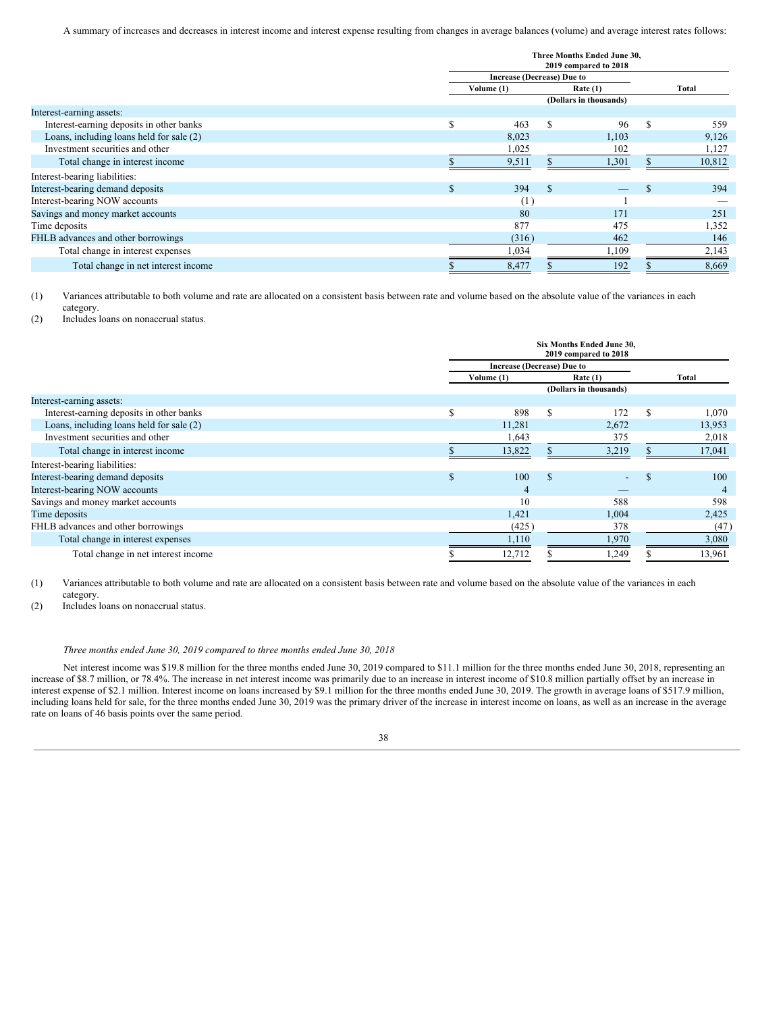A summary of increases and decreases in interest income and interest expense resulting from changes in average balances (volume) and average interest rates follows:

|                                          |              | Three Months Ended June 30,       |               |                        |   |        |
|------------------------------------------|--------------|-----------------------------------|---------------|------------------------|---|--------|
|                                          |              | <b>Increase (Decrease) Due to</b> |               |                        |   |        |
|                                          |              | Volume (1)                        |               | Rate $(1)$             |   | Total  |
|                                          |              |                                   |               | (Dollars in thousands) |   |        |
| Interest-earning assets:                 |              |                                   |               |                        |   |        |
| Interest-earning deposits in other banks | S            | 463                               | S             | 96                     | S | 559    |
| Loans, including loans held for sale (2) |              | 8,023                             |               | 1,103                  |   | 9,126  |
| Investment securities and other          |              | 1,025                             |               | 102                    |   | 1,127  |
| Total change in interest income          |              | 9,511                             |               | 1,301                  |   | 10,812 |
| Interest-bearing liabilities:            |              |                                   |               |                        |   |        |
| Interest-bearing demand deposits         | $\mathbf{S}$ | 394                               | <sup>\$</sup> |                        |   | 394    |
| Interest-bearing NOW accounts            |              | (1)                               |               |                        |   |        |
| Savings and money market accounts        |              | 80                                |               | 171                    |   | 251    |
| Time deposits                            |              | 877                               |               | 475                    |   | 1,352  |
| FHLB advances and other borrowings       |              | (316)                             |               | 462                    |   | 146    |
| Total change in interest expenses        |              | 1,034                             |               | 1,109                  |   | 2,143  |
| Total change in net interest income      |              | 8,477                             |               | 192                    |   | 8,669  |

(1) Variances attributable to both volume and rate are allocated on a consistent basis between rate and volume based on the absolute value of the variances in each category.

(2) Includes loans on nonaccrual status.

|                                          |               | Six Months Ended June 30,         |          |                          |               |        |
|------------------------------------------|---------------|-----------------------------------|----------|--------------------------|---------------|--------|
|                                          |               | <b>Increase (Decrease) Due to</b> |          |                          |               |        |
|                                          |               | Volume (1)                        |          | Rate(1)                  |               | Total  |
|                                          |               |                                   |          | (Dollars in thousands)   |               |        |
| Interest-earning assets:                 |               |                                   |          |                          |               |        |
| Interest-earning deposits in other banks | \$.           | 898                               | S        | 172                      | S             | 1,070  |
| Loans, including loans held for sale (2) |               | 11,281                            |          | 2,672                    |               | 13,953 |
| Investment securities and other          |               | 1,643                             |          | 375                      |               | 2,018  |
| Total change in interest income          |               | 13,822                            |          | 3,219                    |               | 17,041 |
| Interest-bearing liabilities:            |               |                                   |          |                          |               |        |
| Interest-bearing demand deposits         | <sup>\$</sup> | 100                               | <b>S</b> | $\overline{\phantom{0}}$ | <sup>\$</sup> | 100    |
| Interest-bearing NOW accounts            |               | $\overline{4}$                    |          |                          |               |        |
| Savings and money market accounts        |               | 10                                |          | 588                      |               | 598    |
| Time deposits                            |               | 1,421                             |          | 1,004                    |               | 2,425  |
| FHLB advances and other borrowings       |               | (425)                             |          | 378                      |               | (47)   |
| Total change in interest expenses        |               | 1,110                             |          | 1,970                    |               | 3,080  |
| Total change in net interest income      |               | 12,712                            |          | 1,249                    |               | 13,961 |

(1) Variances attributable to both volume and rate are allocated on a consistent basis between rate and volume based on the absolute value of the variances in each category.

(2) Includes loans on nonaccrual status.

# *Three months ended June 30, 2019 compared to three months ended June 30, 2018*

Net interest income was \$19.8 million for the three months ended June 30, 2019 compared to \$11.1 million for the three months ended June 30, 2018, representing an increase of \$8.7 million, or 78.4%. The increase in net interest income was primarily due to an increase in interest income of \$10.8 million partially offset by an increase in interest expense of \$2.1 million. Interest income on loans increased by \$9.1 million for the three months ended June 30, 2019. The growth in average loans of \$517.9 million, including loans held for sale, for the three months ended June 30, 2019 was the primary driver of the increase in interest income on loans, as well as an increase in the average rate on loans of 46 basis points over the same period.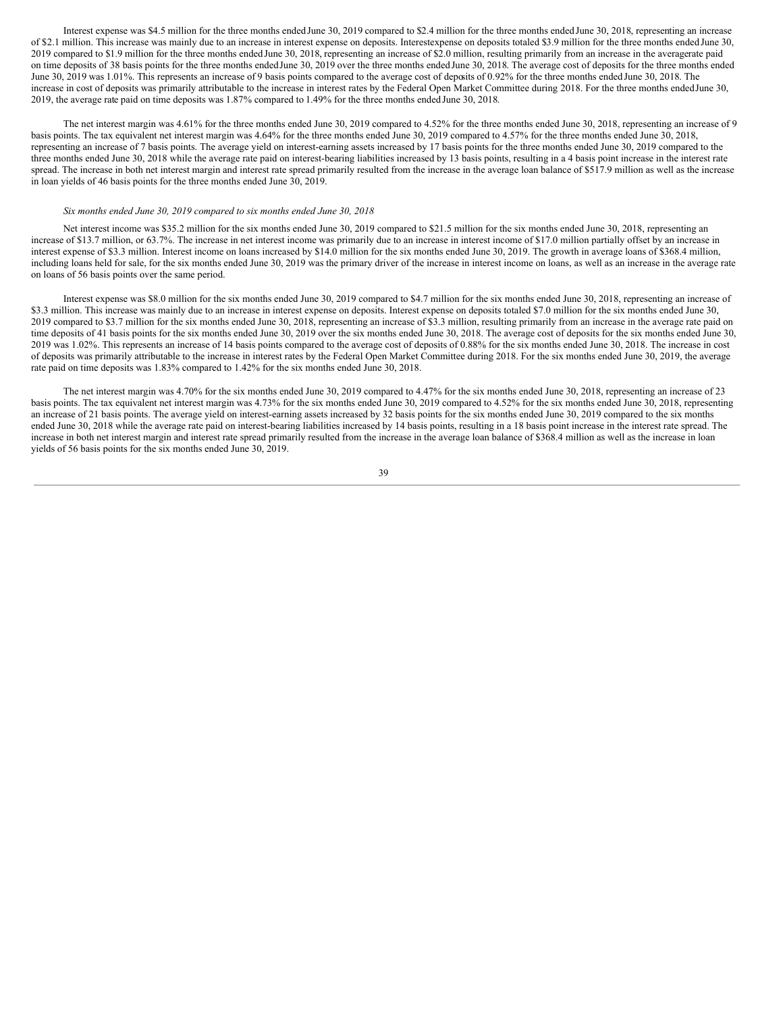Interest expense was \$4.5 million for the three months ended June 30, 2019 compared to \$2.4 million for the three months ended June 30, 2018, representing an increase of \$2.1 million. This increase was mainly due to an increase in interest expense on deposits. Interestexpense on deposits totaled \$3.9 million for the three months ended June 30, 2019 compared to \$1.9 million for the three months ended June 30, 2018, representing an increase of \$2.0 million, resulting primarily from an increase in the averagerate paid on time deposits of 38 basis points for the three months endedJune 30, 2019 over the three months endedJune 30, 2018. The average cost of deposits for the three months ended June 30, 2019 was 1.01%. This represents an increase of 9 basis points compared to the average cost of deposits of 0.92% for the three months ended June 30, 2018. The increase in cost of deposits was primarily attributable to the increase in interest rates by the Federal Open Market Committee during 2018. For the three months endedJune 30, 2019, the average rate paid on time deposits was 1.87% compared to 1.49% for the three months ended June 30, 2018.

The net interest margin was 4.61% for the three months ended June 30, 2019 compared to 4.52% for the three months ended June 30, 2018, representing an increase of 9 basis points. The tax equivalent net interest margin was 4.64% for the three months ended June 30, 2019 compared to 4.57% for the three months ended June 30, 2018, representing an increase of 7 basis points. The average yield on interest-earning assets increased by 17 basis points for the three months ended June 30, 2019 compared to the three months ended June 30, 2018 while the average rate paid on interest-bearing liabilities increased by 13 basis points, resulting in a 4 basis point increase in the interest rate spread. The increase in both net interest margin and interest rate spread primarily resulted from the increase in the average loan balance of \$517.9 million as well as the increase in loan yields of 46 basis points for the three months ended June 30, 2019.

# *Six months ended June 30, 2019 compared to six months ended June 30, 2018*

Net interest income was \$35.2 million for the six months ended June 30, 2019 compared to \$21.5 million for the six months ended June 30, 2018, representing an increase of \$13.7 million, or 63.7%. The increase in net interest income was primarily due to an increase in interest income of \$17.0 million partially offset by an increase in interest expense of \$3.3 million. Interest income on loans increased by \$14.0 million for the six months ended June 30, 2019. The growth in average loans of \$368.4 million, including loans held for sale, for the six months ended June 30, 2019 was the primary driver of the increase in interest income on loans, as well as an increase in the average rate on loans of 56 basis points over the same period.

Interest expense was \$8.0 million for the six months ended June 30, 2019 compared to \$4.7 million for the six months ended June 30, 2018, representing an increase of \$3.3 million. This increase was mainly due to an increase in interest expense on deposits. Interest expense on deposits totaled \$7.0 million for the six months ended June 30, 2019 compared to \$3.7 million for the six months ended June 30, 2018, representing an increase of \$3.3 million, resulting primarily from an increase in the average rate paid on time deposits of 41 basis points for the six months ended June 30, 2019 over the six months ended June 30, 2018. The average cost of deposits for the six months ended June 30, 2019 was 1.02%. This represents an increase of 14 basis points compared to the average cost of deposits of 0.88% for the six months ended June 30, 2018. The increase in cost of deposits was primarily attributable to the increase in interest rates by the Federal Open Market Committee during 2018. For the six months ended June 30, 2019, the average rate paid on time deposits was 1.83% compared to 1.42% for the six months ended June 30, 2018.

The net interest margin was 4.70% for the six months ended June 30, 2019 compared to 4.47% for the six months ended June 30, 2018, representing an increase of 23 basis points. The tax equivalent net interest margin was 4.73% for the six months ended June 30, 2019 compared to 4.52% for the six months ended June 30, 2018, representing an increase of 21 basis points. The average yield on interest-earning assets increased by 32 basis points for the six months ended June 30, 2019 compared to the six months ended June 30, 2018 while the average rate paid on interest-bearing liabilities increased by 14 basis points, resulting in a 18 basis point increase in the interest rate spread. The increase in both net interest margin and interest rate spread primarily resulted from the increase in the average loan balance of \$368.4 million as well as the increase in loan yields of 56 basis points for the six months ended June 30, 2019.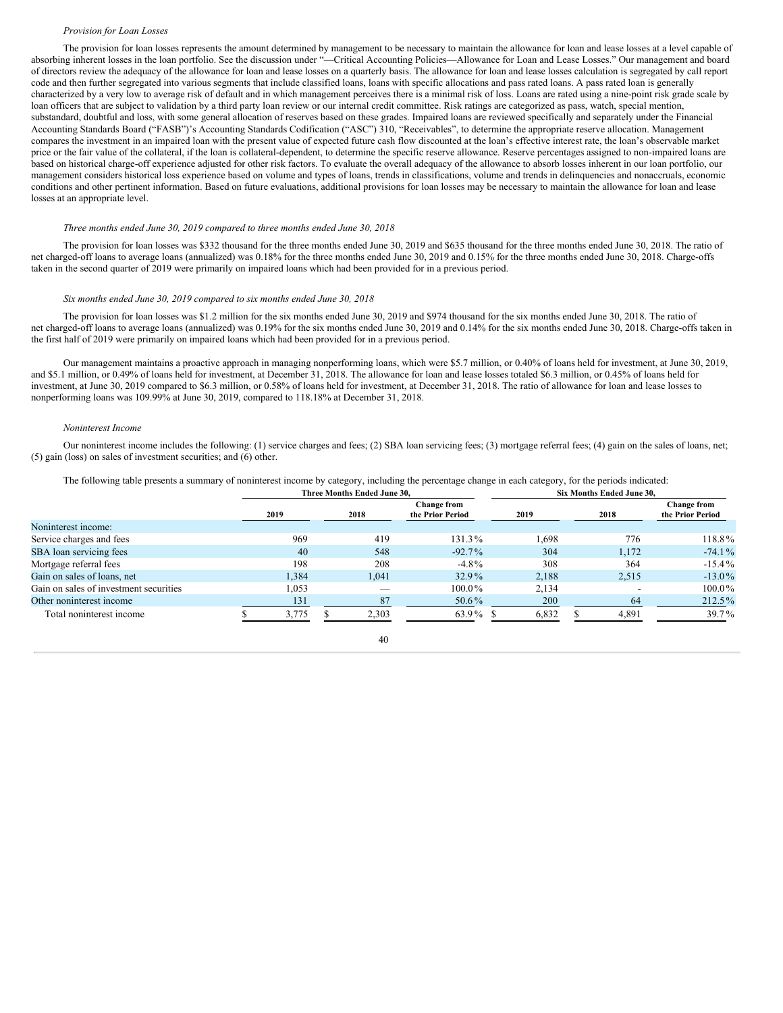# *Provision for Loan Losses*

The provision for loan losses represents the amount determined by management to be necessary to maintain the allowance for loan and lease losses at a level capable of absorbing inherent losses in the loan portfolio. See the discussion under "—Critical Accounting Policies—Allowance for Loan and Lease Losses." Our management and board of directors review the adequacy of the allowance for loan and lease losses on a quarterly basis. The allowance for loan and lease losses calculation is segregated by call report code and then further segregated into various segments that include classified loans, loans with specific allocations and pass rated loans. A pass rated loan is generally characterized by a very low to average risk of default and in which management perceives there is a minimal risk of loss. Loans are rated using a nine-point risk grade scale by loan officers that are subject to validation by a third party loan review or our internal credit committee. Risk ratings are categorized as pass, watch, special mention, substandard, doubtful and loss, with some general allocation of reserves based on these grades. Impaired loans are reviewed specifically and separately under the Financial Accounting Standards Board ("FASB")'s Accounting Standards Codification ("ASC") 310, "Receivables", to determine the appropriate reserve allocation. Management compares the investment in an impaired loan with the present value of expected future cash flow discounted at the loan's effective interest rate, the loan's observable market price or the fair value of the collateral, if the loan is collateral-dependent, to determine the specific reserve allowance. Reserve percentages assigned to non-impaired loans are based on historical charge-off experience adjusted for other risk factors. To evaluate the overall adequacy of the allowance to absorb losses inherent in our loan portfolio, our management considers historical loss experience based on volume and types of loans, trends in classifications, volume and trends in delinquencies and nonaccruals, economic conditions and other pertinent information. Based on future evaluations, additional provisions for loan losses may be necessary to maintain the allowance for loan and lease losses at an appropriate level.

#### *Three months ended June 30, 2019 compared to three months ended June 30, 2018*

The provision for loan losses was \$332 thousand for the three months ended June 30, 2019 and \$635 thousand for the three months ended June 30, 2018. The ratio of net charged-off loans to average loans (annualized) was 0.18% for the three months ended June 30, 2019 and 0.15% for the three months ended June 30, 2018. Charge-offs taken in the second quarter of 2019 were primarily on impaired loans which had been provided for in a previous period.

#### *Six months ended June 30, 2019 compared to six months ended June 30, 2018*

The provision for loan losses was \$1.2 million for the six months ended June 30, 2019 and \$974 thousand for the six months ended June 30, 2018. The ratio of net charged-off loans to average loans (annualized) was 0.19% for the six months ended June 30, 2019 and 0.14% for the six months ended June 30, 2018. Charge-offs taken in the first half of 2019 were primarily on impaired loans which had been provided for in a previous period.

Our management maintains a proactive approach in managing nonperforming loans, which were \$5.7 million, or 0.40% of loans held for investment, at June 30, 2019, and \$5.1 million, or 0.49% of loans held for investment, at December 31, 2018. The allowance for loan and lease losses totaled \$6.3 million, or 0.45% of loans held for investment, at June 30, 2019 compared to \$6.3 million, or 0.58% of loans held for investment, at December 31, 2018. The ratio of allowance for loan and lease losses to nonperforming loans was 109.99% at June 30, 2019, compared to 118.18% at December 31, 2018.

#### *Noninterest Income*

Our noninterest income includes the following: (1) service charges and fees; (2) SBA loan servicing fees; (3) mortgage referral fees; (4) gain on the sales of loans, net; (5) gain (loss) on sales of investment securities; and (6) other.

The following table presents a summary of noninterest income by category, including the percentage change in each category, for the periods indicated:

|                                        |       | Three Months Ended June 30. |                                        |       | <b>Six Months Ended June 30.</b> |                                        |  |  |  |  |  |
|----------------------------------------|-------|-----------------------------|----------------------------------------|-------|----------------------------------|----------------------------------------|--|--|--|--|--|
|                                        | 2019  | 2018                        | <b>Change from</b><br>the Prior Period | 2019  | 2018                             | <b>Change from</b><br>the Prior Period |  |  |  |  |  |
| Noninterest income:                    |       |                             |                                        |       |                                  |                                        |  |  |  |  |  |
| Service charges and fees               | 969   | 419                         | 131.3%                                 | 1.698 | 776                              | 118.8%                                 |  |  |  |  |  |
| SBA loan servicing fees                | 40    | 548                         | $-92.7\%$                              | 304   | 1.172                            | $-74.1%$                               |  |  |  |  |  |
| Mortgage referral fees                 | 198   | 208                         | $-4.8\%$                               | 308   | 364                              | $-15.4\%$                              |  |  |  |  |  |
| Gain on sales of loans, net            | 1.384 | 1.041                       | 32.9%                                  | 2.188 | 2.515                            | $-13.0\%$                              |  |  |  |  |  |
| Gain on sales of investment securities | 1,053 |                             | $100.0\%$                              | 2.134 |                                  | $100.0\%$                              |  |  |  |  |  |
| Other noninterest income               | 131   | 87                          | 50.6%                                  | 200   | 64                               | 212.5%                                 |  |  |  |  |  |
| Total noninterest income               | 3.775 | 2.303                       | 63.9%                                  | 6,832 | 4.891                            | 39.7%                                  |  |  |  |  |  |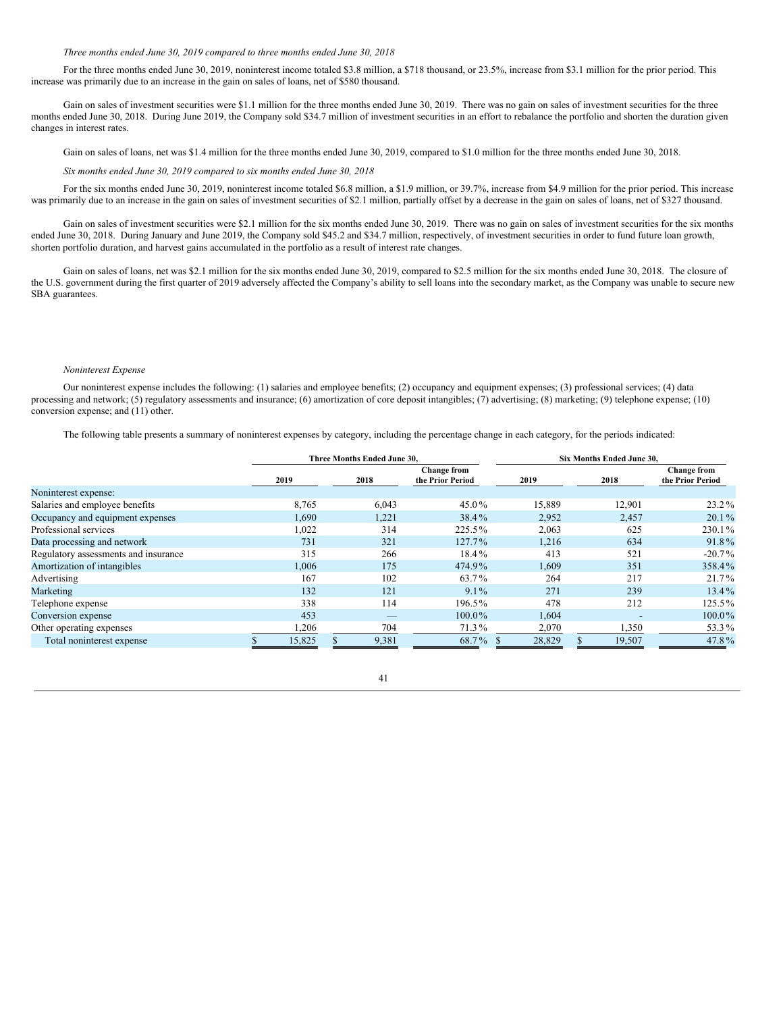#### *Three months ended June 30, 2019 compared to three months ended June 30, 2018*

For the three months ended June 30, 2019, noninterest income totaled \$3.8 million, a \$718 thousand, or 23.5%, increase from \$3.1 million for the prior period. This increase was primarily due to an increase in the gain on sales of loans, net of \$580 thousand.

Gain on sales of investment securities were \$1.1 million for the three months ended June 30, 2019. There was no gain on sales of investment securities for the three months ended June 30, 2018. During June 2019, the Company sold \$34.7 million of investment securities in an effort to rebalance the portfolio and shorten the duration given changes in interest rates.

Gain on sales of loans, net was \$1.4 million for the three months ended June 30, 2019, compared to \$1.0 million for the three months ended June 30, 2018.

*Six months ended June 30, 2019 compared to six months ended June 30, 2018*

For the six months ended June 30, 2019, noninterest income totaled \$6.8 million, a \$1.9 million, or 39.7%, increase from \$4.9 million for the prior period. This increase was primarily due to an increase in the gain on sales of investment securities of \$2.1 million, partially offset by a decrease in the gain on sales of loans, net of \$327 thousand.

Gain on sales of investment securities were \$2.1 million for the six months ended June 30, 2019. There was no gain on sales of investment securities for the six months ended June 30, 2018. During January and June 2019, the Company sold \$45.2 and \$34.7 million, respectively, of investment securities in order to fund future loan growth, shorten portfolio duration, and harvest gains accumulated in the portfolio as a result of interest rate changes.

Gain on sales of loans, net was \$2.1 million for the six months ended June 30, 2019, compared to \$2.5 million for the six months ended June 30, 2018. The closure of the U.S. government during the first quarter of 2019 adversely affected the Company's ability to sell loans into the secondary market, as the Company was unable to secure new SBA guarantees.

#### *Noninterest Expense*

Our noninterest expense includes the following: (1) salaries and employee benefits; (2) occupancy and equipment expenses; (3) professional services; (4) data processing and network; (5) regulatory assessments and insurance; (6) amortization of core deposit intangibles; (7) advertising; (8) marketing; (9) telephone expense; (10) conversion expense; and (11) other.

The following table presents a summary of noninterest expenses by category, including the percentage change in each category, for the periods indicated:

|                                      |        | Three Months Ended June 30, |                                        | Six Months Ended June 30, |  |                          |                                        |  |  |  |
|--------------------------------------|--------|-----------------------------|----------------------------------------|---------------------------|--|--------------------------|----------------------------------------|--|--|--|
|                                      | 2019   | 2018                        | <b>Change from</b><br>the Prior Period | 2019                      |  | 2018                     | <b>Change from</b><br>the Prior Period |  |  |  |
| Noninterest expense:                 |        |                             |                                        |                           |  |                          |                                        |  |  |  |
| Salaries and employee benefits       | 8,765  | 6,043                       | 45.0%                                  | 15,889                    |  | 12,901                   | $23.2\%$                               |  |  |  |
| Occupancy and equipment expenses     | 1,690  | 1,221                       | 38.4%                                  | 2,952                     |  | 2,457                    | $20.1\%$                               |  |  |  |
| Professional services                | 1,022  | 314                         | 225.5%                                 | 2,063                     |  | 625                      | 230.1%                                 |  |  |  |
| Data processing and network          | 731    | 321                         | $127.7\%$                              | 1,216                     |  | 634                      | 91.8%                                  |  |  |  |
| Regulatory assessments and insurance | 315    | 266                         | 18.4%                                  | 413                       |  | 521                      | $-20.7\%$                              |  |  |  |
| Amortization of intangibles          | 1,006  | 175                         | 474.9%                                 | 1,609                     |  | 351                      | 358.4%                                 |  |  |  |
| Advertising                          | 167    | 102                         | 63.7%                                  | 264                       |  | 217                      | $21.7\%$                               |  |  |  |
| Marketing                            | 132    | 121                         | $9.1\%$                                | 271                       |  | 239                      | 13.4%                                  |  |  |  |
| Telephone expense                    | 338    | 114                         | 196.5%                                 | 478                       |  | 212                      | 125.5%                                 |  |  |  |
| Conversion expense                   | 453    | _                           | $100.0\%$                              | 1,604                     |  | $\overline{\phantom{0}}$ | 100.0%                                 |  |  |  |
| Other operating expenses             | ,206   | 704                         | 71.3%                                  | 2,070                     |  | 1,350                    | 53.3%                                  |  |  |  |
| Total noninterest expense            | 15,825 | 9,381                       | 68.7%                                  | 28,829                    |  | 19,507                   | 47.8%                                  |  |  |  |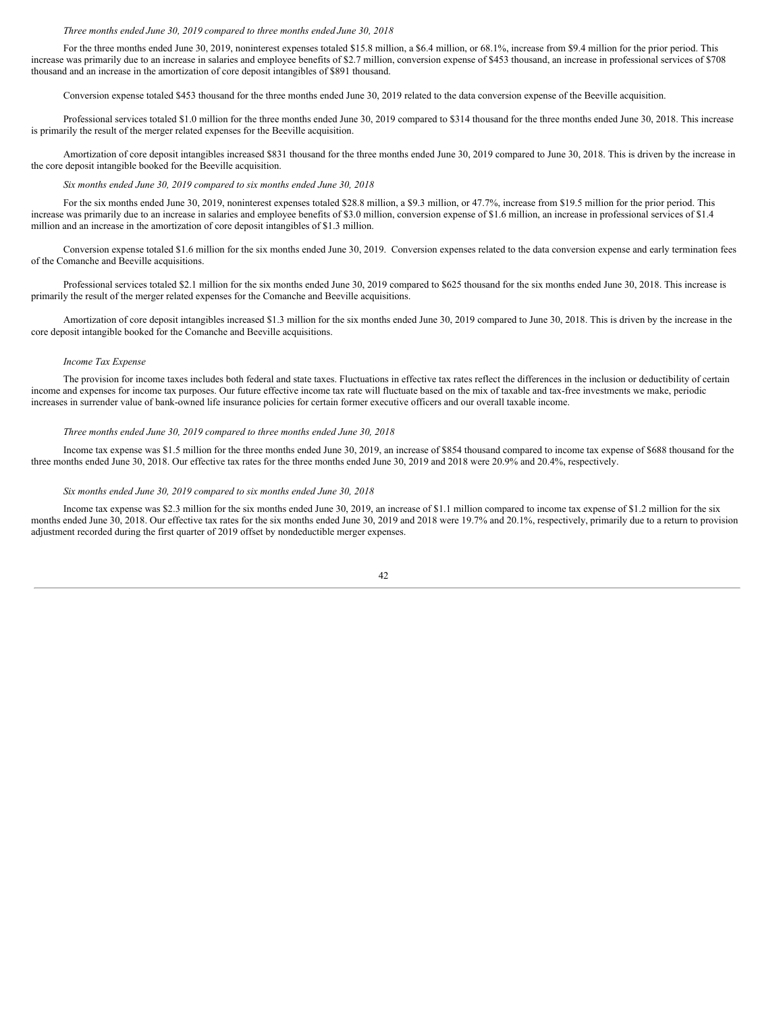#### *Three months ended June 30, 2019 compared to three months ended June 30, 2018*

For the three months ended June 30, 2019, noninterest expenses totaled \$15.8 million, a \$6.4 million, or 68.1%, increase from \$9.4 million for the prior period. This increase was primarily due to an increase in salaries and employee benefits of \$2.7 million, conversion expense of \$453 thousand, an increase in professional services of \$708 thousand and an increase in the amortization of core deposit intangibles of \$891 thousand.

Conversion expense totaled \$453 thousand for the three months ended June 30, 2019 related to the data conversion expense of the Beeville acquisition.

Professional services totaled \$1.0 million for the three months ended June 30, 2019 compared to \$314 thousand for the three months ended June 30, 2018. This increase is primarily the result of the merger related expenses for the Beeville acquisition.

Amortization of core deposit intangibles increased \$831 thousand for the three months ended June 30, 2019 compared to June 30, 2018. This is driven by the increase in the core deposit intangible booked for the Beeville acquisition.

#### *Six months ended June 30, 2019 compared to six months ended June 30, 2018*

For the six months ended June 30, 2019, noninterest expenses totaled \$28.8 million, a \$9.3 million, or 47.7%, increase from \$19.5 million for the prior period. This increase was primarily due to an increase in salaries and employee benefits of \$3.0 million, conversion expense of \$1.6 million, an increase in professional services of \$1.4 million and an increase in the amortization of core deposit intangibles of \$1.3 million.

Conversion expense totaled \$1.6 million for the six months ended June 30, 2019. Conversion expenses related to the data conversion expense and early termination fees of the Comanche and Beeville acquisitions.

Professional services totaled \$2.1 million for the six months ended June 30, 2019 compared to \$625 thousand for the six months ended June 30, 2018. This increase is primarily the result of the merger related expenses for the Comanche and Beeville acquisitions.

Amortization of core deposit intangibles increased \$1.3 million for the six months ended June 30, 2019 compared to June 30, 2018. This is driven by the increase in the core deposit intangible booked for the Comanche and Beeville acquisitions.

# *Income Tax Expense*

The provision for income taxes includes both federal and state taxes. Fluctuations in effective tax rates reflect the differences in the inclusion or deductibility of certain income and expenses for income tax purposes. Our future effective income tax rate will fluctuate based on the mix of taxable and tax-free investments we make, periodic increases in surrender value of bank-owned life insurance policies for certain former executive officers and our overall taxable income.

#### *Three months ended June 30, 2019 compared to three months ended June 30, 2018*

Income tax expense was \$1.5 million for the three months ended June 30, 2019, an increase of \$854 thousand compared to income tax expense of \$688 thousand for the three months ended June 30, 2018. Our effective tax rates for the three months ended June 30, 2019 and 2018 were 20.9% and 20.4%, respectively.

#### *Six months ended June 30, 2019 compared to six months ended June 30, 2018*

Income tax expense was \$2.3 million for the six months ended June 30, 2019, an increase of \$1.1 million compared to income tax expense of \$1.2 million for the six months ended June 30, 2018. Our effective tax rates for the six months ended June 30, 2019 and 2018 were 19.7% and 20.1%, respectively, primarily due to a return to provision adjustment recorded during the first quarter of 2019 offset by nondeductible merger expenses.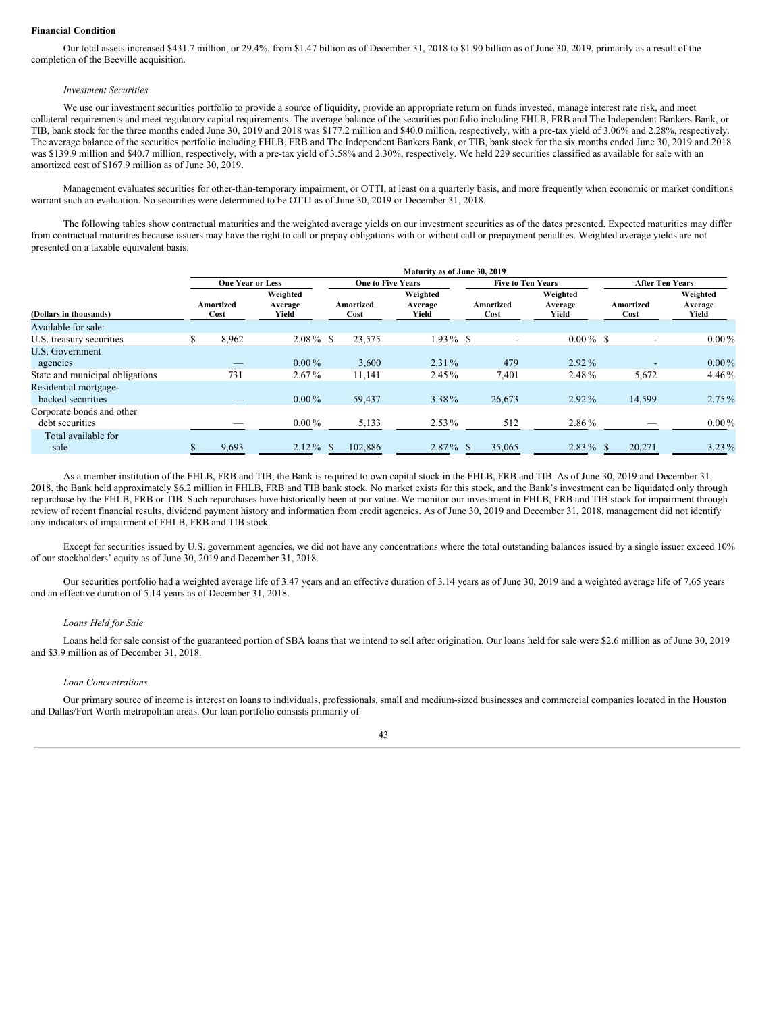# **Financial Condition**

Our total assets increased \$431.7 million, or 29.4%, from \$1.47 billion as of December 31, 2018 to \$1.90 billion as of June 30, 2019, primarily as a result of the completion of the Beeville acquisition.

#### *Investment Securities*

We use our investment securities portfolio to provide a source of liquidity, provide an appropriate return on funds invested, manage interest rate risk, and meet collateral requirements and meet regulatory capital requirements. The average balance of the securities portfolio including FHLB, FRB and The Independent Bankers Bank, or TIB, bank stock for the three months ended June 30, 2019 and 2018 was \$177.2 million and \$40.0 million, respectively, with a pre-tax yield of 3.06% and 2.28%, respectively. The average balance of the securities portfolio including FHLB, FRB and The Independent Bankers Bank, or TIB, bank stock for the six months ended June 30, 2019 and 2018 was \$139.9 million and \$40.7 million, respectively, with a pre-tax yield of 3.58% and 2.30%, respectively. We held 229 securities classified as available for sale with an amortized cost of \$167.9 million as of June 30, 2019.

Management evaluates securities for other-than-temporary impairment, or OTTI, at least on a quarterly basis, and more frequently when economic or market conditions warrant such an evaluation. No securities were determined to be OTTI as of June 30, 2019 or December 31, 2018.

The following tables show contractual maturities and the weighted average yields on our investment securities as of the dates presented. Expected maturities may differ from contractual maturities because issuers may have the right to call or prepay obligations with or without call or prepayment penalties. Weighted average yields are not presented on a taxable equivalent basis:

|                                              |                         |                              |  |                          | Maturity as of June 30, 2019 |                          |                              |                        |        |                              |  |
|----------------------------------------------|-------------------------|------------------------------|--|--------------------------|------------------------------|--------------------------|------------------------------|------------------------|--------|------------------------------|--|
|                                              | <b>One Year or Less</b> |                              |  | <b>One to Five Years</b> |                              | <b>Five to Ten Years</b> |                              | <b>After Ten Years</b> |        |                              |  |
| (Dollars in thousands)                       | Amortized<br>Cost       | Weighted<br>Average<br>Yield |  | Amortized<br>Cost        | Weighted<br>Average<br>Yield | Amortized<br>Cost        | Weighted<br>Average<br>Yield | Amortized<br>Cost      |        | Weighted<br>Average<br>Yield |  |
| Available for sale:                          |                         |                              |  |                          |                              |                          |                              |                        |        |                              |  |
| U.S. treasury securities                     | 8,962                   | $2.08\%$ \$                  |  | 23,575                   | $1.93\%$ \$                  |                          | $0.00\%$ \$                  |                        |        | $0.00\%$                     |  |
| <b>U.S. Government</b><br>agencies           |                         | $0.00\%$                     |  | 3,600                    | $2.31\%$                     | 479                      | $2.92\%$                     |                        |        | $0.00\%$                     |  |
| State and municipal obligations              | 731                     | $2.67\%$                     |  | 11,141                   | $2.45\%$                     | 7,401                    | 2.48%                        |                        | 5,672  | $4.46\%$                     |  |
| Residential mortgage-<br>backed securities   |                         | $0.00\%$                     |  | 59,437                   | 3.38%                        | 26.673                   | $2.92\%$                     |                        | 14,599 | $2.75\%$                     |  |
| Corporate bonds and other<br>debt securities |                         | $0.00\%$                     |  | 5,133                    | $2.53\%$                     | 512                      | 2.86%                        |                        |        | $0.00\%$                     |  |
| Total available for<br>sale                  | 9,693                   | $2.12\%$ \$                  |  | 102,886                  | $2.87\%$ \$                  | 35,065                   | $2.83\%$ \$                  |                        | 20,271 | $3.23\%$                     |  |

As a member institution of the FHLB, FRB and TIB, the Bank is required to own capital stock in the FHLB, FRB and TIB. As of June 30, 2019 and December 31, 2018, the Bank held approximately \$6.2 million in FHLB, FRB and TIB bank stock. No market exists for this stock, and the Bank's investment can be liquidated only through repurchase by the FHLB, FRB or TIB. Such repurchases have historically been at par value. We monitor our investment in FHLB, FRB and TIB stock for impairment through review of recent financial results, dividend payment history and information from credit agencies. As of June 30, 2019 and December 31, 2018, management did not identify any indicators of impairment of FHLB, FRB and TIB stock.

Except for securities issued by U.S. government agencies, we did not have any concentrations where the total outstanding balances issued by a single issuer exceed 10% of our stockholders' equity as of June 30, 2019 and December 31, 2018.

Our securities portfolio had a weighted average life of 3.47 years and an effective duration of 3.14 years as of June 30, 2019 and a weighted average life of 7.65 years and an effective duration of 5.14 years as of December 31, 2018.

#### *Loans Held for Sale*

Loans held for sale consist of the guaranteed portion of SBA loans that we intend to sell after origination. Our loans held for sale were \$2.6 million as of June 30, 2019 and \$3.9 million as of December 31, 2018.

### *Loan Concentrations*

Our primary source of income is interest on loans to individuals, professionals, small and medium-sized businesses and commercial companies located in the Houston and Dallas/Fort Worth metropolitan areas. Our loan portfolio consists primarily of

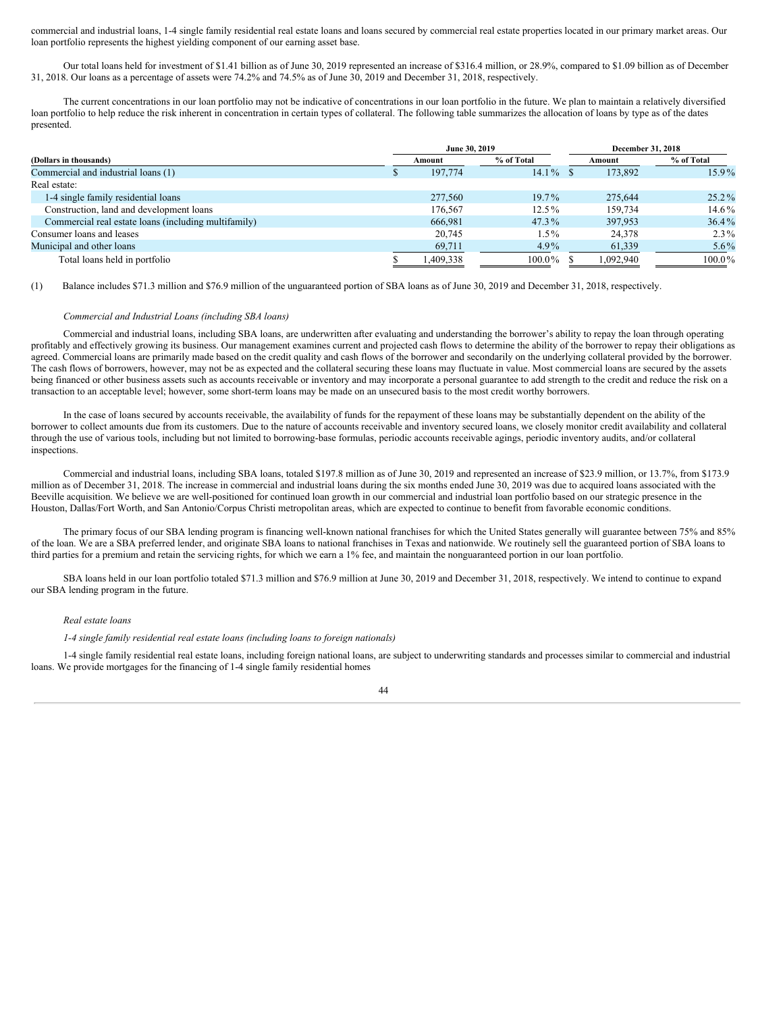commercial and industrial loans, 1-4 single family residential real estate loans and loans secured by commercial real estate properties located in our primary market areas. Our loan portfolio represents the highest yielding component of our earning asset base.

Our total loans held for investment of \$1.41 billion as of June 30, 2019 represented an increase of \$316.4 million, or 28.9%, compared to \$1.09 billion as of December 31, 2018. Our loans as a percentage of assets were 74.2% and 74.5% as of June 30, 2019 and December 31, 2018, respectively.

The current concentrations in our loan portfolio may not be indicative of concentrations in our loan portfolio in the future. We plan to maintain a relatively diversified loan portfolio to help reduce the risk inherent in concentration in certain types of collateral. The following table summarizes the allocation of loans by type as of the dates presented.

|                                                      |  | June 30, 2019 |            | December 31, 2018 |           |            |  |  |  |
|------------------------------------------------------|--|---------------|------------|-------------------|-----------|------------|--|--|--|
| (Dollars in thousands)                               |  | Amount        | % of Total |                   | Amount    | % of Total |  |  |  |
| Commercial and industrial loans (1)                  |  | 197,774       | $14.1\%$   |                   | 173,892   | $15.9\%$   |  |  |  |
| Real estate:                                         |  |               |            |                   |           |            |  |  |  |
| 1-4 single family residential loans                  |  | 277,560       | $19.7\%$   |                   | 275,644   | $25.2\%$   |  |  |  |
| Construction, land and development loans             |  | 176,567       | $12.5\%$   |                   | 159,734   | $14.6\%$   |  |  |  |
| Commercial real estate loans (including multifamily) |  | 666.981       | 47.3%      |                   | 397,953   | $36.4\%$   |  |  |  |
| Consumer loans and leases                            |  | 20.745        | $1.5\%$    |                   | 24,378    | $2.3\%$    |  |  |  |
| Municipal and other loans                            |  | 69,711        | $4.9\%$    |                   | 61,339    | $5.6\%$    |  |  |  |
| Total loans held in portfolio                        |  | 1,409,338     | $100.0\%$  |                   | 1,092,940 | $100.0\%$  |  |  |  |

(1) Balance includes \$71.3 million and \$76.9 million of the unguaranteed portion of SBA loans as of June 30, 2019 and December 31, 2018, respectively.

# *Commercial and Industrial Loans (including SBA loans)*

Commercial and industrial loans, including SBA loans, are underwritten after evaluating and understanding the borrower's ability to repay the loan through operating profitably and effectively growing its business. Our management examines current and projected cash flows to determine the ability of the borrower to repay their obligations as agreed. Commercial loans are primarily made based on the credit quality and cash flows of the borrower and secondarily on the underlying collateral provided by the borrower. The cash flows of borrowers, however, may not be as expected and the collateral securing these loans may fluctuate in value. Most commercial loans are secured by the assets being financed or other business assets such as accounts receivable or inventory and may incorporate a personal guarantee to add strength to the credit and reduce the risk on a transaction to an acceptable level; however, some short-term loans may be made on an unsecured basis to the most credit worthy borrowers.

In the case of loans secured by accounts receivable, the availability of funds for the repayment of these loans may be substantially dependent on the ability of the borrower to collect amounts due from its customers. Due to the nature of accounts receivable and inventory secured loans, we closely monitor credit availability and collateral through the use of various tools, including but not limited to borrowing-base formulas, periodic accounts receivable agings, periodic inventory audits, and/or collateral inspections.

Commercial and industrial loans, including SBA loans, totaled \$197.8 million as of June 30, 2019 and represented an increase of \$23.9 million, or 13.7%, from \$173.9 million as of December 31, 2018. The increase in commercial and industrial loans during the six months ended June 30, 2019 was due to acquired loans associated with the Beeville acquisition. We believe we are well-positioned for continued loan growth in our commercial and industrial loan portfolio based on our strategic presence in the Houston, Dallas/Fort Worth, and San Antonio/Corpus Christi metropolitan areas, which are expected to continue to benefit from favorable economic conditions.

The primary focus of our SBA lending program is financing well-known national franchises for which the United States generally will guarantee between 75% and 85% of the loan. We are a SBA preferred lender, and originate SBA loans to national franchises in Texas and nationwide. We routinely sell the guaranteed portion of SBA loans to third parties for a premium and retain the servicing rights, for which we earn a 1% fee, and maintain the nonguaranteed portion in our loan portfolio.

SBA loans held in our loan portfolio totaled \$71.3 million and \$76.9 million at June 30, 2019 and December 31, 2018, respectively. We intend to continue to expand our SBA lending program in the future.

#### *Real estate loans*

*1-4 single family residential real estate loans (including loans to foreign nationals)*

1-4 single family residential real estate loans, including foreign national loans, are subject to underwriting standards and processes similar to commercial and industrial loans. We provide mortgages for the financing of 1-4 single family residential homes

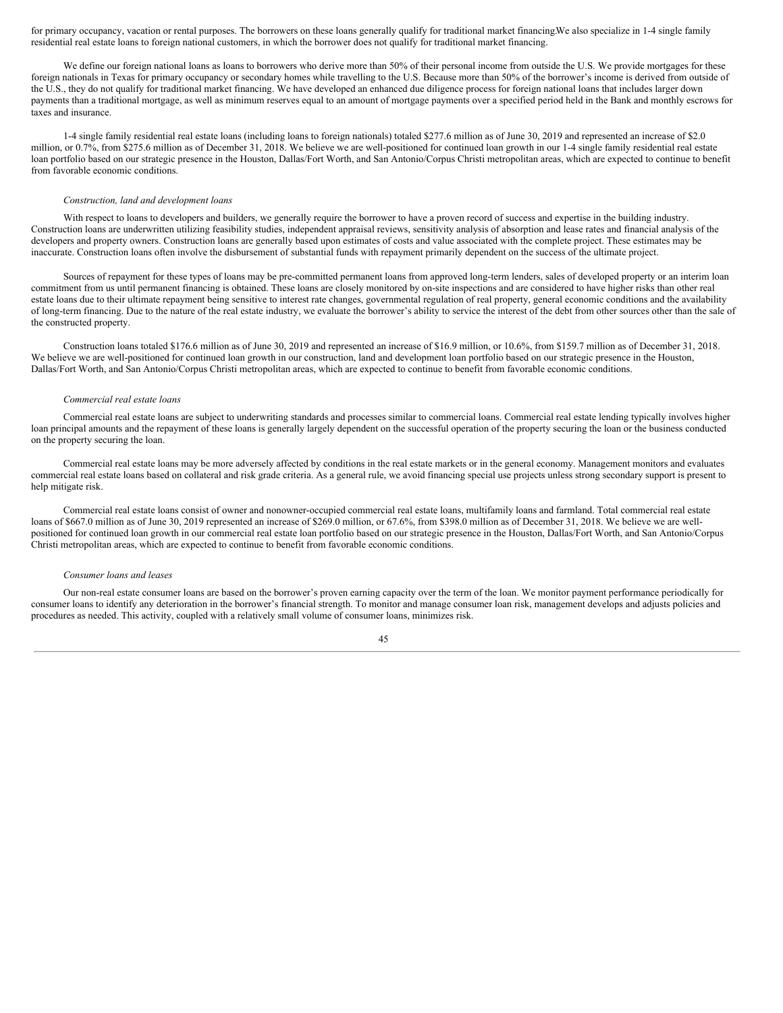for primary occupancy, vacation or rental purposes. The borrowers on these loans generally qualify for traditional market financing.We also specialize in 1-4 single family residential real estate loans to foreign national customers, in which the borrower does not qualify for traditional market financing.

We define our foreign national loans as loans to borrowers who derive more than 50% of their personal income from outside the U.S. We provide mortgages for these foreign nationals in Texas for primary occupancy or secondary homes while travelling to the U.S. Because more than 50% of the borrower's income is derived from outside of the U.S., they do not qualify for traditional market financing. We have developed an enhanced due diligence process for foreign national loans that includes larger down payments than a traditional mortgage, as well as minimum reserves equal to an amount of mortgage payments over a specified period held in the Bank and monthly escrows for taxes and insurance.

1-4 single family residential real estate loans (including loans to foreign nationals) totaled \$277.6 million as of June 30, 2019 and represented an increase of \$2.0 million, or 0.7%, from \$275.6 million as of December 31, 2018. We believe we are well-positioned for continued loan growth in our 1-4 single family residential real estate loan portfolio based on our strategic presence in the Houston, Dallas/Fort Worth, and San Antonio/Corpus Christi metropolitan areas, which are expected to continue to benefit from favorable economic conditions.

# *Construction, land and development loans*

With respect to loans to developers and builders, we generally require the borrower to have a proven record of success and expertise in the building industry. Construction loans are underwritten utilizing feasibility studies, independent appraisal reviews, sensitivity analysis of absorption and lease rates and financial analysis of the developers and property owners. Construction loans are generally based upon estimates of costs and value associated with the complete project. These estimates may be inaccurate. Construction loans often involve the disbursement of substantial funds with repayment primarily dependent on the success of the ultimate project.

Sources of repayment for these types of loans may be pre-committed permanent loans from approved long-term lenders, sales of developed property or an interim loan commitment from us until permanent financing is obtained. These loans are closely monitored by on-site inspections and are considered to have higher risks than other real estate loans due to their ultimate repayment being sensitive to interest rate changes, governmental regulation of real property, general economic conditions and the availability of long-term financing. Due to the nature of the real estate industry, we evaluate the borrower's ability to service the interest of the debt from other sources other than the sale of the constructed property.

Construction loans totaled \$176.6 million as of June 30, 2019 and represented an increase of \$16.9 million, or 10.6%, from \$159.7 million as of December 31, 2018. We believe we are well-positioned for continued loan growth in our construction, land and development loan portfolio based on our strategic presence in the Houston, Dallas/Fort Worth, and San Antonio/Corpus Christi metropolitan areas, which are expected to continue to benefit from favorable economic conditions.

# *Commercial real estate loans*

Commercial real estate loans are subject to underwriting standards and processes similar to commercial loans. Commercial real estate lending typically involves higher loan principal amounts and the repayment of these loans is generally largely dependent on the successful operation of the property securing the loan or the business conducted on the property securing the loan.

Commercial real estate loans may be more adversely affected by conditions in the real estate markets or in the general economy. Management monitors and evaluates commercial real estate loans based on collateral and risk grade criteria. As a general rule, we avoid financing special use projects unless strong secondary support is present to help mitigate risk.

Commercial real estate loans consist of owner and nonowner-occupied commercial real estate loans, multifamily loans and farmland. Total commercial real estate loans of \$667.0 million as of June 30, 2019 represented an increase of \$269.0 million, or 67.6%, from \$398.0 million as of December 31, 2018. We believe we are wellpositioned for continued loan growth in our commercial real estate loan portfolio based on our strategic presence in the Houston, Dallas/Fort Worth, and San Antonio/Corpus Christi metropolitan areas, which are expected to continue to benefit from favorable economic conditions.

#### *Consumer loans and leases*

Our non-real estate consumer loans are based on the borrower's proven earning capacity over the term of the loan. We monitor payment performance periodically for consumer loans to identify any deterioration in the borrower's financial strength. To monitor and manage consumer loan risk, management develops and adjusts policies and procedures as needed. This activity, coupled with a relatively small volume of consumer loans, minimizes risk.

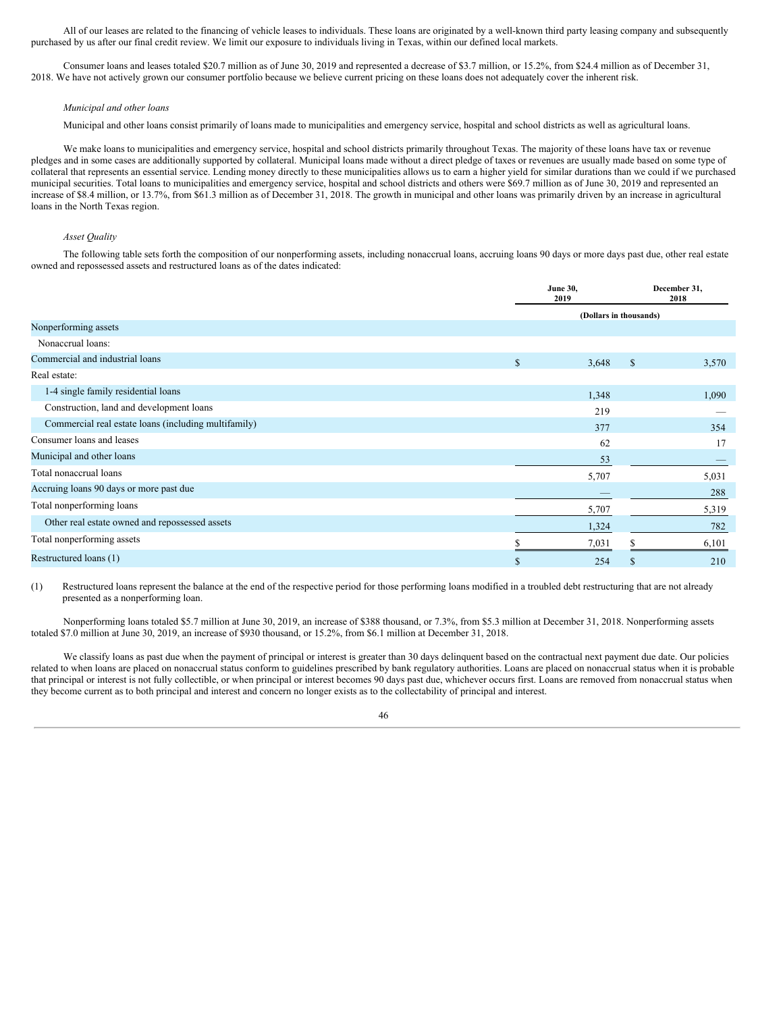All of our leases are related to the financing of vehicle leases to individuals. These loans are originated by a well-known third party leasing company and subsequently purchased by us after our final credit review. We limit our exposure to individuals living in Texas, within our defined local markets.

Consumer loans and leases totaled \$20.7 million as of June 30, 2019 and represented a decrease of \$3.7 million, or 15.2%, from \$24.4 million as of December 31, 2018. We have not actively grown our consumer portfolio because we believe current pricing on these loans does not adequately cover the inherent risk.

#### *Municipal and other loans*

Municipal and other loans consist primarily of loans made to municipalities and emergency service, hospital and school districts as well as agricultural loans.

We make loans to municipalities and emergency service, hospital and school districts primarily throughout Texas. The majority of these loans have tax or revenue pledges and in some cases are additionally supported by collateral. Municipal loans made without a direct pledge of taxes or revenues are usually made based on some type of collateral that represents an essential service. Lending money directly to these municipalities allows us to earn a higher yield for similar durations than we could if we purchased municipal securities. Total loans to municipalities and emergency service, hospital and school districts and others were \$69.7 million as of June 30, 2019 and represented an increase of \$8.4 million, or 13.7%, from \$61.3 million as of December 31, 2018. The growth in municipal and other loans was primarily driven by an increase in agricultural loans in the North Texas region.

# *Asset Quality*

The following table sets forth the composition of our nonperforming assets, including nonaccrual loans, accruing loans 90 days or more days past due, other real estate owned and repossessed assets and restructured loans as of the dates indicated:

|                                                      |             | <b>June 30.</b><br>2019 |              | December 31,<br>2018 |
|------------------------------------------------------|-------------|-------------------------|--------------|----------------------|
|                                                      |             | (Dollars in thousands)  |              |                      |
| Nonperforming assets                                 |             |                         |              |                      |
| Nonaccrual loans:                                    |             |                         |              |                      |
| Commercial and industrial loans                      | $\mathbf S$ | 3,648                   | $\mathbb{S}$ | 3,570                |
| Real estate:                                         |             |                         |              |                      |
| 1-4 single family residential loans                  |             | 1,348                   |              | 1,090                |
| Construction, land and development loans             |             | 219                     |              |                      |
| Commercial real estate loans (including multifamily) |             | 377                     |              | 354                  |
| Consumer loans and leases                            |             | 62                      |              | 17                   |
| Municipal and other loans                            |             | 53                      |              |                      |
| Total nonaccrual loans                               |             | 5,707                   |              | 5,031                |
| Accruing loans 90 days or more past due              |             |                         |              | 288                  |
| Total nonperforming loans                            |             | 5,707                   |              | 5,319                |
| Other real estate owned and repossessed assets       |             | 1,324                   |              | 782                  |
| Total nonperforming assets                           |             | 7,031                   |              | 6,101                |
| Restructured loans (1)                               | \$          | 254                     | S            | 210                  |

(1) Restructured loans represent the balance at the end of the respective period for those performing loans modified in a troubled debt restructuring that are not already presented as a nonperforming loan.

Nonperforming loans totaled \$5.7 million at June 30, 2019, an increase of \$388 thousand, or 7.3%, from \$5.3 million at December 31, 2018. Nonperforming assets totaled \$7.0 million at June 30, 2019, an increase of \$930 thousand, or 15.2%, from \$6.1 million at December 31, 2018.

We classify loans as past due when the payment of principal or interest is greater than 30 days delinquent based on the contractual next payment due date. Our policies related to when loans are placed on nonaccrual status conform to guidelines prescribed by bank regulatory authorities. Loans are placed on nonaccrual status when it is probable that principal or interest is not fully collectible, or when principal or interest becomes 90 days past due, whichever occurs first. Loans are removed from nonaccrual status when they become current as to both principal and interest and concern no longer exists as to the collectability of principal and interest.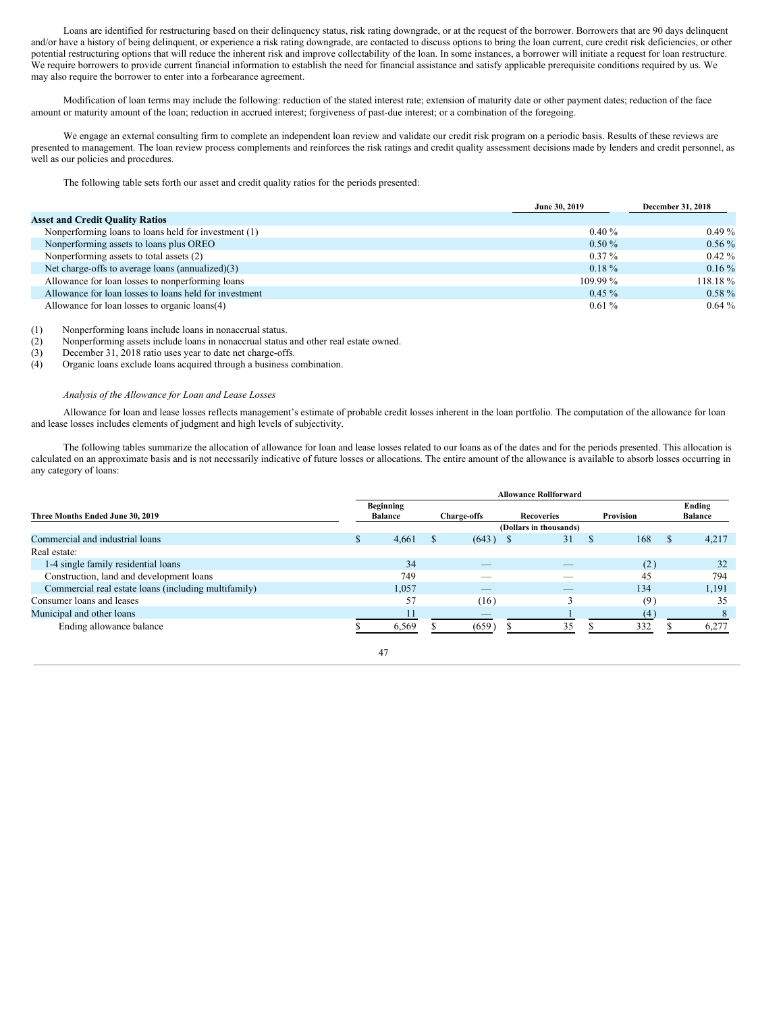Loans are identified for restructuring based on their delinquency status, risk rating downgrade, or at the request of the borrower. Borrowers that are 90 days delinquent and/or have a history of being delinquent, or experience a risk rating downgrade, are contacted to discuss options to bring the loan current, cure credit risk deficiencies, or other potential restructuring options that will reduce the inherent risk and improve collectability of the loan. In some instances, a borrower will initiate a request for loan restructure. We require borrowers to provide current financial information to establish the need for financial assistance and satisfy applicable prerequisite conditions required by us. We may also require the borrower to enter into a forbearance agreement.

Modification of loan terms may include the following: reduction of the stated interest rate; extension of maturity date or other payment dates; reduction of the face amount or maturity amount of the loan; reduction in accrued interest; forgiveness of past-due interest; or a combination of the foregoing.

We engage an external consulting firm to complete an independent loan review and validate our credit risk program on a periodic basis. Results of these reviews are presented to management. The loan review process complements and reinforces the risk ratings and credit quality assessment decisions made by lenders and credit personnel, as well as our policies and procedures.

The following table sets forth our asset and credit quality ratios for the periods presented:

|                                                        | June 30, 2019 | December 31, 2018 |
|--------------------------------------------------------|---------------|-------------------|
| <b>Asset and Credit Quality Ratios</b>                 |               |                   |
| Nonperforming loans to loans held for investment (1)   | $0.40\%$      | $0.49\%$          |
| Nonperforming assets to loans plus OREO                | $0.50\%$      | $0.56\%$          |
| Nonperforming assets to total assets (2)               | $0.37\%$      | $0.42\%$          |
| Net charge-offs to average loans (annualized)(3)       | $0.18 \%$     | $0.16\%$          |
| Allowance for loan losses to nonperforming loans       | $109.99\%$    | $118.18\%$        |
| Allowance for loan losses to loans held for investment | $0.45 \%$     | $0.58\%$          |
| Allowance for loan losses to organic loans(4)          | $0.61\%$      | $0.64\%$          |

(1) Nonperforming loans include loans in nonaccrual status.

(2) Nonperforming assets include loans in nonaccrual status and other real estate owned.

(3) December 31, 2018 ratio uses year to date net charge-offs.

(4) Organic loans exclude loans acquired through a business combination.

# *Analysis of the Allowance for Loan and Lease Losses*

Allowance for loan and lease losses reflects management's estimate of probable credit losses inherent in the loan portfolio. The computation of the allowance for loan and lease losses includes elements of judgment and high levels of subjectivity.

The following tables summarize the allocation of allowance for loan and lease losses related to our loans as of the dates and for the periods presented. This allocation is calculated on an approximate basis and is not necessarily indicative of future losses or allocations. The entire amount of the allowance is available to absorb losses occurring in any category of loans:

| Three Months Ended June 30, 2019                     |  | <b>Beginning</b><br><b>Balance</b> |  | Charge-offs              |  | <b>Recoveries</b> |   | Provision |          | Ending<br><b>Balance</b> |
|------------------------------------------------------|--|------------------------------------|--|--------------------------|--|-------------------|---|-----------|----------|--------------------------|
|                                                      |  | (Dollars in thousands)             |  |                          |  |                   |   |           |          |                          |
| Commercial and industrial loans                      |  | 4,661                              |  | $(643)$ \$               |  | 31                | S | 168       | <b>S</b> | 4,217                    |
| Real estate:                                         |  |                                    |  |                          |  |                   |   |           |          |                          |
| 1-4 single family residential loans                  |  | 34                                 |  | _                        |  | __                |   | (2)       |          | 32                       |
| Construction, land and development loans             |  | 749                                |  | __                       |  |                   |   | 45        |          | 794                      |
| Commercial real estate loans (including multifamily) |  | 1,057                              |  | _                        |  |                   |   | 134       |          | 1,191                    |
| Consumer loans and leases                            |  | 57                                 |  | (16)                     |  |                   |   | (9)       |          | 35                       |
| Municipal and other loans                            |  | 11                                 |  | $\overline{\phantom{a}}$ |  |                   |   | (4)       |          |                          |
| Ending allowance balance                             |  | 6.569                              |  | (659)                    |  | 35                |   | 332       |          | 6,277                    |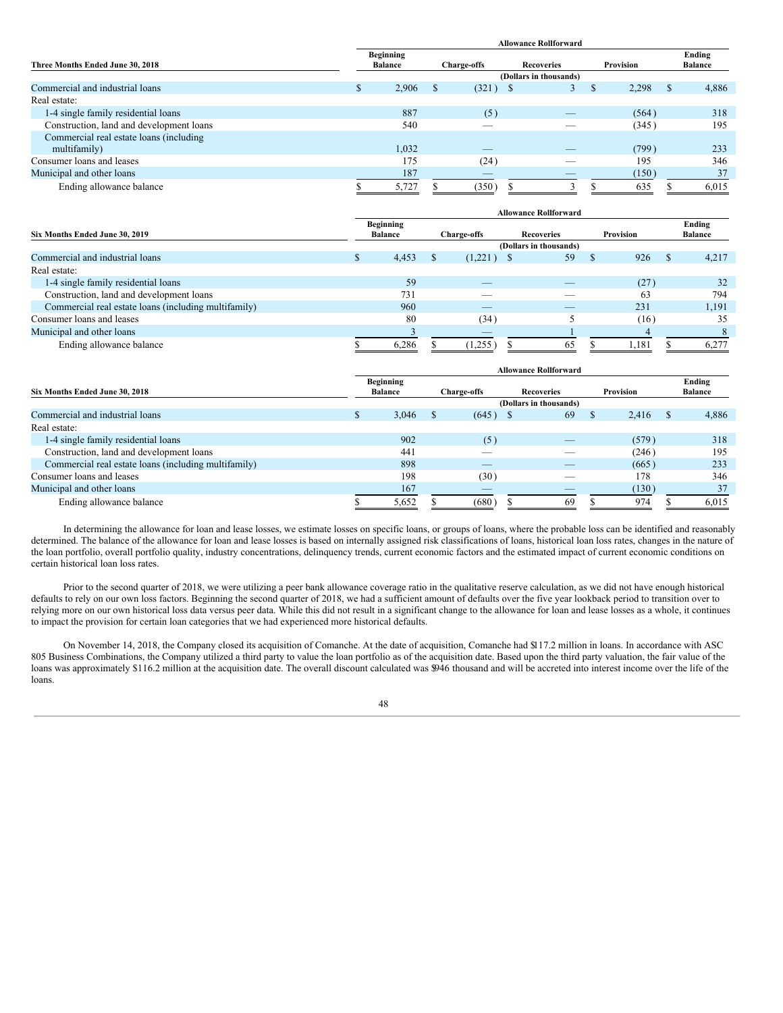|                                          | <b>Allowance Rollforward</b> |          |                          |                               |           |              |                          |  |  |  |  |
|------------------------------------------|------------------------------|----------|--------------------------|-------------------------------|-----------|--------------|--------------------------|--|--|--|--|
| Three Months Ended June 30, 2018         | Beginning<br><b>Balance</b>  |          | <b>Charge-offs</b>       | <b>Recoveries</b>             | Provision |              | Ending<br><b>Balance</b> |  |  |  |  |
|                                          |                              |          |                          | (Dollars in thousands)        |           |              |                          |  |  |  |  |
| Commercial and industrial loans          | 2,906<br>S                   | <b>S</b> | (321)                    | $\mathbf{s}$<br>$\mathcal{F}$ | 2,298     | <sup>S</sup> | 4,886                    |  |  |  |  |
| Real estate:                             |                              |          |                          |                               |           |              |                          |  |  |  |  |
| 1-4 single family residential loans      | 887                          |          | (5)                      | __                            | (564)     |              | 318                      |  |  |  |  |
| Construction, land and development loans | 540                          |          |                          |                               | (345)     |              | 195                      |  |  |  |  |
| Commercial real estate loans (including  |                              |          |                          |                               |           |              |                          |  |  |  |  |
| multifamily)                             | 1,032                        |          |                          |                               | (799)     |              | 233                      |  |  |  |  |
| Consumer loans and leases                | 175                          |          | (24)                     | $\overline{\phantom{a}}$      | 195       |              | 346                      |  |  |  |  |
| Municipal and other loans                | 187                          |          | $\overline{\phantom{a}}$ | $-$                           | (150)     |              | 37                       |  |  |  |  |
| Ending allowance balance                 | 5,727                        |          | (350)                    |                               | 635       |              | 6,015                    |  |  |  |  |

|                                                      |  |                                    |  |                    | <b>Allowance Rollforward</b> |    |           |    |                          |
|------------------------------------------------------|--|------------------------------------|--|--------------------|------------------------------|----|-----------|----|--------------------------|
| Six Months Ended June 30, 2019                       |  | <b>Beginning</b><br><b>Balance</b> |  | <b>Charge-offs</b> | <b>Recoveries</b>            |    | Provision |    | Ending<br><b>Balance</b> |
|                                                      |  |                                    |  |                    | (Dollars in thousands)       |    |           |    |                          |
| Commercial and industrial loans                      |  | 4,453                              |  | (1,221)            | 59                           | -S | 926       | -S | 4,217                    |
| Real estate:                                         |  |                                    |  |                    |                              |    |           |    |                          |
| 1-4 single family residential loans                  |  | 59                                 |  |                    |                              |    | (27)      |    | 32                       |
| Construction, land and development loans             |  | 731                                |  |                    |                              |    | 63        |    | 794                      |
| Commercial real estate loans (including multifamily) |  | 960                                |  | _                  | _                            |    | 231       |    | 1,191                    |
| Consumer loans and leases                            |  | 80                                 |  | (34)               |                              |    | (16)      |    | 35                       |
| Municipal and other loans                            |  |                                    |  | _                  |                              |    |           |    |                          |
| Ending allowance balance                             |  | 6,286                              |  | (1,255)            | 65                           |    | 1,181     |    | 6,277                    |

|                                                      |          |                  |                        |                          |  | <b>Allowance Rollforward</b> |  |           |          |                |
|------------------------------------------------------|----------|------------------|------------------------|--------------------------|--|------------------------------|--|-----------|----------|----------------|
|                                                      |          | <b>Beginning</b> |                        |                          |  |                              |  |           |          | Ending         |
| Six Months Ended June 30, 2018                       |          | <b>Balance</b>   |                        | <b>Charge-offs</b>       |  | <b>Recoveries</b>            |  | Provision |          | <b>Balance</b> |
|                                                      |          |                  | (Dollars in thousands) |                          |  |                              |  |           |          |                |
| Commercial and industrial loans                      | <b>S</b> | 3,046            |                        | (645)                    |  | 69                           |  | 2.416     | <b>S</b> | 4,886          |
| Real estate:                                         |          |                  |                        |                          |  |                              |  |           |          |                |
| 1-4 single family residential loans                  |          | 902              |                        | (5)                      |  | _                            |  | (579)     |          | 318            |
| Construction, land and development loans             |          | 441              |                        |                          |  |                              |  | (246)     |          | 195            |
| Commercial real estate loans (including multifamily) |          | 898              |                        | _                        |  |                              |  | (665)     |          | 233            |
| Consumer loans and leases                            |          | 198              |                        | (30)                     |  |                              |  | 178       |          | 346            |
| Municipal and other loans                            |          | 167              |                        | $\overline{\phantom{a}}$ |  |                              |  | (130)     |          | 37             |
| Ending allowance balance                             |          | 5,652            |                        | (680)                    |  | 69                           |  | 974       |          | 6,015          |

In determining the allowance for loan and lease losses, we estimate losses on specific loans, or groups of loans, where the probable loss can be identified and reasonably determined. The balance of the allowance for loan and lease losses is based on internally assigned risk classifications of loans, historical loan loss rates, changes in the nature of the loan portfolio, overall portfolio quality, industry concentrations, delinquency trends, current economic factors and the estimated impact of current economic conditions on certain historical loan loss rates.

Prior to the second quarter of 2018, we were utilizing a peer bank allowance coverage ratio in the qualitative reserve calculation, as we did not have enough historical defaults to rely on our own loss factors. Beginning the second quarter of 2018, we had a sufficient amount of defaults over the five year lookback period to transition over to relying more on our own historical loss data versus peer data. While this did not result in a significant change to the allowance for loan and lease losses as a whole, it continues to impact the provision for certain loan categories that we had experienced more historical defaults.

On November 14, 2018, the Company closed its acquisition of Comanche. At the date of acquisition, Comanche had \$117.2 million in loans. In accordance with ASC 805 Business Combinations, the Company utilized a third party to value the loan portfolio as of the acquisition date. Based upon the third party valuation, the fair value of the loans was approximately \$116.2 million at the acquisition date. The overall discount calculated was \$946 thousand and will be accreted into interest income over the life of the loans.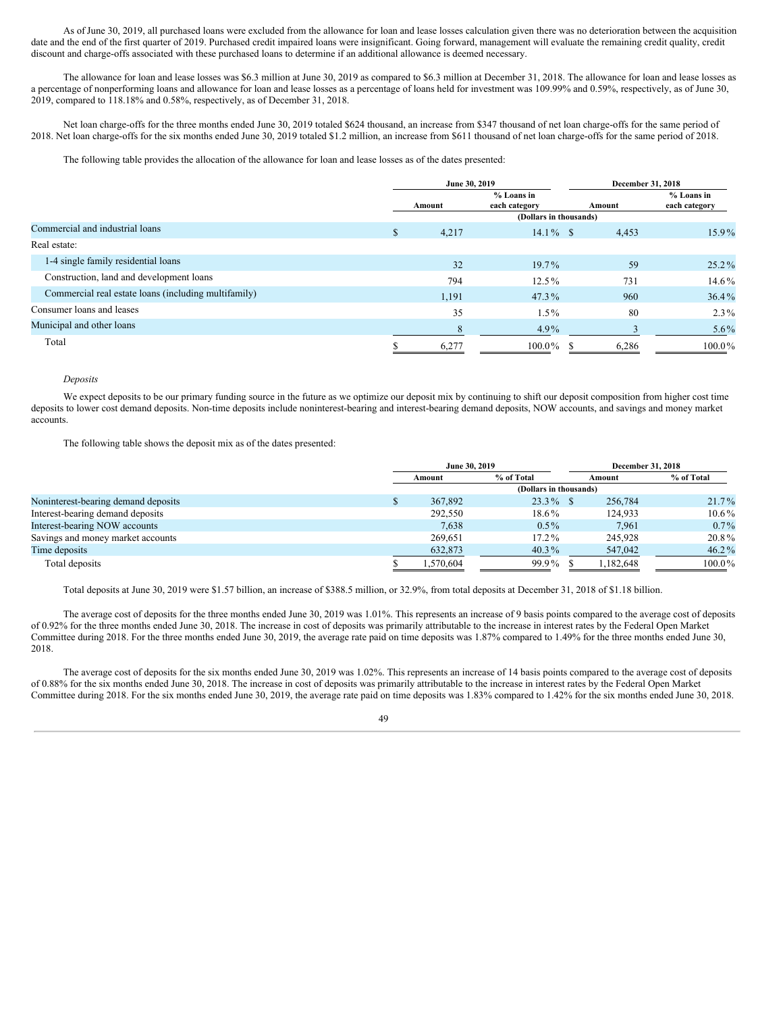As of June 30, 2019, all purchased loans were excluded from the allowance for loan and lease losses calculation given there was no deterioration between the acquisition date and the end of the first quarter of 2019. Purchased credit impaired loans were insignificant. Going forward, management will evaluate the remaining credit quality, credit discount and charge-offs associated with these purchased loans to determine if an additional allowance is deemed necessary.

The allowance for loan and lease losses was \$6.3 million at June 30, 2019 as compared to \$6.3 million at December 31, 2018. The allowance for loan and lease losses as a percentage of nonperforming loans and allowance for loan and lease losses as a percentage of loans held for investment was 109.99% and 0.59%, respectively, as of June 30, 2019, compared to 118.18% and 0.58%, respectively, as of December 31, 2018.

Net loan charge-offs for the three months ended June 30, 2019 totaled \$624 thousand, an increase from \$347 thousand of net loan charge-offs for the same period of 2018. Net loan charge-offs for the six months ended June 30, 2019 totaled \$1.2 million, an increase from \$611 thousand of net loan charge-offs for the same period of 2018.

The following table provides the allocation of the allowance for loan and lease losses as of the dates presented:

|                                                      |    | June 30, 2019 |                               |        | December 31, 2018             |
|------------------------------------------------------|----|---------------|-------------------------------|--------|-------------------------------|
|                                                      |    | Amount        | $%$ Loans in<br>each category | Amount | $%$ Loans in<br>each category |
|                                                      |    |               | (Dollars in thousands)        |        |                               |
| Commercial and industrial loans                      | \$ | 4,217         | $14.1\%$ \$                   | 4,453  | 15.9%                         |
| Real estate:                                         |    |               |                               |        |                               |
| 1-4 single family residential loans                  |    | 32            | $19.7\%$                      | 59     | $25.2\%$                      |
| Construction, land and development loans             |    | 794           | $12.5\%$                      | 731    | 14.6%                         |
| Commercial real estate loans (including multifamily) |    | 1,191         | $47.3\%$                      | 960    | $36.4\%$                      |
| Consumer loans and leases                            |    | 35            | $1.5\%$                       | 80     | $2.3\%$                       |
| Municipal and other loans                            |    | 8             | $4.9\%$                       |        | $5.6\%$                       |
| Total                                                | S  | 6,277         | $100.0\%$                     | 6,286  | $100.0\%$                     |

## *Deposits*

We expect deposits to be our primary funding source in the future as we optimize our deposit mix by continuing to shift our deposit composition from higher cost time deposits to lower cost demand deposits. Non-time deposits include noninterest-bearing and interest-bearing demand deposits, NOW accounts, and savings and money market accounts.

The following table shows the deposit mix as of the dates presented:

|                                     | June 30, 2019 |           |                        |        | December 31, 2018 |            |  |  |
|-------------------------------------|---------------|-----------|------------------------|--------|-------------------|------------|--|--|
|                                     | Amount        |           | % of Total             | Amount |                   | % of Total |  |  |
|                                     |               |           | (Dollars in thousands) |        |                   |            |  |  |
| Noninterest-bearing demand deposits | Ф             | 367,892   | $23.3\%$ \$            |        | 256,784           | $21.7\%$   |  |  |
| Interest-bearing demand deposits    |               | 292,550   | 18.6%                  |        | 124.933           | $10.6\%$   |  |  |
| Interest-bearing NOW accounts       |               | 7,638     | $0.5\%$                |        | 7.961             | $0.7\%$    |  |  |
| Savings and money market accounts   |               | 269.651   | $17.2\%$               |        | 245,928           | 20.8%      |  |  |
| Time deposits                       |               | 632,873   | $40.3\%$               |        | 547,042           | $46.2\%$   |  |  |
| Total deposits                      |               | 1,570,604 | 99.9%                  |        | 1,182,648         | $100.0\%$  |  |  |

Total deposits at June 30, 2019 were \$1.57 billion, an increase of \$388.5 million, or 32.9%, from total deposits at December 31, 2018 of \$1.18 billion.

The average cost of deposits for the three months ended June 30, 2019 was 1.01%. This represents an increase of 9 basis points compared to the average cost of deposits of 0.92% for the three months ended June 30, 2018. The increase in cost of deposits was primarily attributable to the increase in interest rates by the Federal Open Market Committee during 2018. For the three months ended June 30, 2019, the average rate paid on time deposits was 1.87% compared to 1.49% for the three months ended June 30, 2018.

The average cost of deposits for the six months ended June 30, 2019 was 1.02%. This represents an increase of 14 basis points compared to the average cost of deposits of 0.88% for the six months ended June 30, 2018. The increase in cost of deposits was primarily attributable to the increase in interest rates by the Federal Open Market Committee during 2018. For the six months ended June 30, 2019, the average rate paid on time deposits was 1.83% compared to 1.42% for the six months ended June 30, 2018.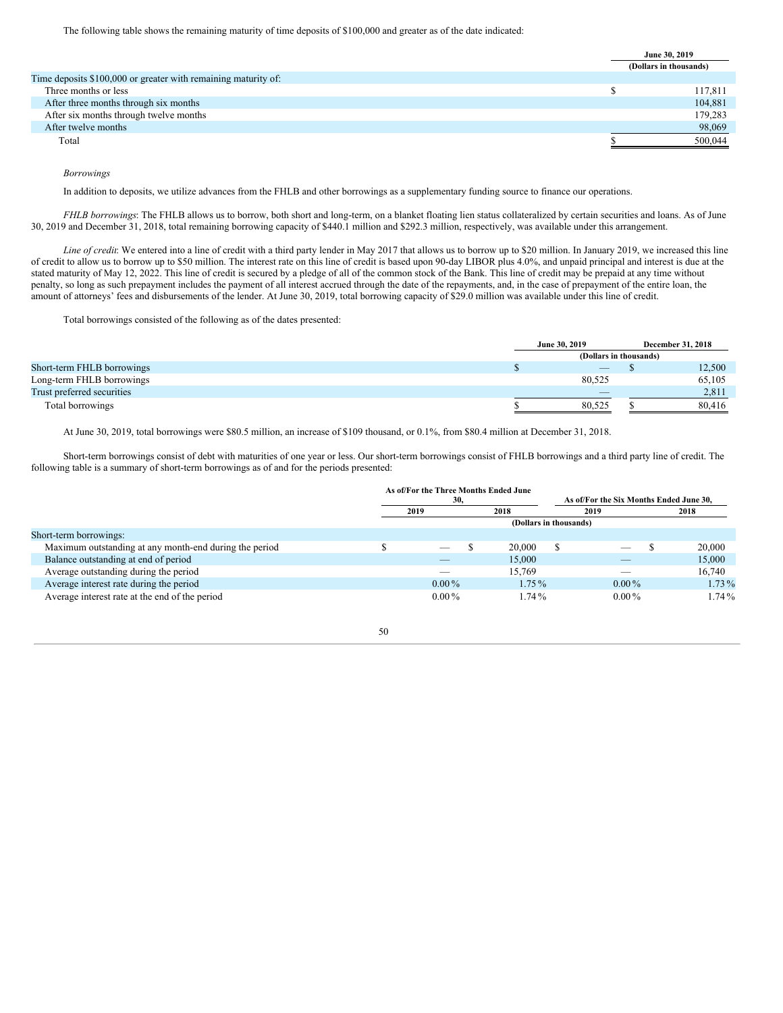|                                                                | June 30, 2019          |
|----------------------------------------------------------------|------------------------|
|                                                                | (Dollars in thousands) |
| Time deposits \$100,000 or greater with remaining maturity of: |                        |
| Three months or less                                           | 117,811                |
| After three months through six months                          | 104,881                |
| After six months through twelve months                         | 179,283                |
| After twelve months                                            | 98,069                 |
| Total                                                          | 500,044                |
|                                                                |                        |

### *Borrowings*

In addition to deposits, we utilize advances from the FHLB and other borrowings as a supplementary funding source to finance our operations.

*FHLB borrowings*: The FHLB allows us to borrow, both short and long-term, on a blanket floating lien status collateralized by certain securities and loans. As of June 30, 2019 and December 31, 2018, total remaining borrowing capacity of \$440.1 million and \$292.3 million, respectively, was available under this arrangement.

*Line of credit*: We entered into a line of credit with a third party lender in May 2017 that allows us to borrow up to \$20 million. In January 2019, we increased this line of credit to allow us to borrow up to \$50 million. The interest rate on this line of credit is based upon 90-day LIBOR plus 4.0%, and unpaid principal and interest is due at the stated maturity of May 12, 2022. This line of credit is secured by a pledge of all of the common stock of the Bank. This line of credit may be prepaid at any time without penalty, so long as such prepayment includes the payment of all interest accrued through the date of the repayments, and, in the case of prepayment of the entire loan, the amount of attorneys' fees and disbursements of the lender. At June 30, 2019, total borrowing capacity of \$29.0 million was available under this line of credit.

Total borrowings consisted of the following as of the dates presented:

|                            | June 30, 2019                   |                        | December 31, 2018 |
|----------------------------|---------------------------------|------------------------|-------------------|
|                            |                                 | (Dollars in thousands) |                   |
| Short-term FHLB borrowings | $\hspace{0.1mm}-\hspace{0.1mm}$ |                        | 12,500            |
| Long-term FHLB borrowings  | 80.525                          |                        | 65,105            |
| Trust preferred securities | $\overline{\phantom{a}}$        |                        | 2,811             |
| Total borrowings           | 80.525                          |                        | 80.416            |

At June 30, 2019, total borrowings were \$80.5 million, an increase of \$109 thousand, or 0.1%, from \$80.4 million at December 31, 2018.

Short-term borrowings consist of debt with maturities of one year or less. Our short-term borrowings consist of FHLB borrowings and a third party line of credit. The following table is a summary of short-term borrowings as of and for the periods presented:

|                                                        | As of/For the Three Months Ended June |                        |                                         |          |
|--------------------------------------------------------|---------------------------------------|------------------------|-----------------------------------------|----------|
|                                                        | 30,                                   |                        | As of/For the Six Months Ended June 30. |          |
|                                                        | 2019                                  | 2018                   | 2019                                    | 2018     |
|                                                        |                                       | (Dollars in thousands) |                                         |          |
| Short-term borrowings:                                 |                                       |                        |                                         |          |
| Maximum outstanding at any month-end during the period | _                                     | 20,000                 |                                         | 20,000   |
| Balance outstanding at end of period                   |                                       | 15,000                 |                                         | 15,000   |
| Average outstanding during the period                  |                                       | 15.769                 |                                         | 16,740   |
| Average interest rate during the period                | $0.00\%$                              | $1.75\%$               | $0.00\%$                                | $1.73\%$ |
| Average interest rate at the end of the period         | $0.00\%$                              | 1.74%                  | $0.00\%$                                | $1.74\%$ |

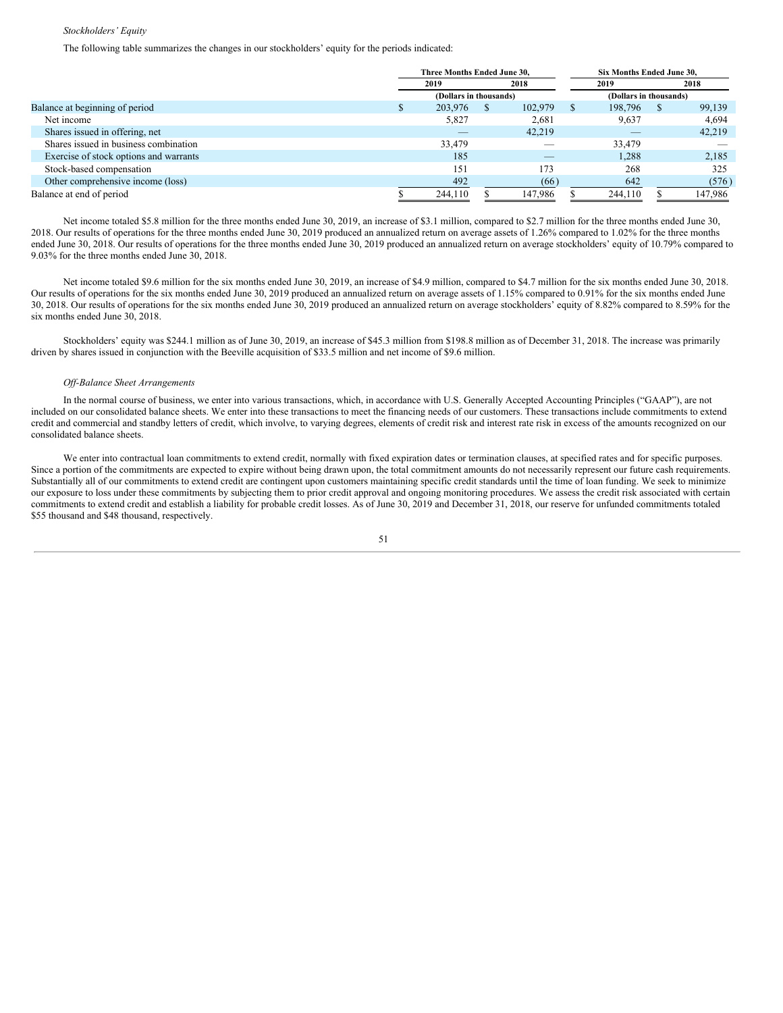#### *Stockholders' Equity*

The following table summarizes the changes in our stockholders' equity for the periods indicated:

|                                        | Three Months Ended June 30, |                        |   |         |      | Six Months Ended June 30. |                        |         |
|----------------------------------------|-----------------------------|------------------------|---|---------|------|---------------------------|------------------------|---------|
|                                        |                             | 2019                   |   | 2018    | 2019 |                           |                        | 2018    |
|                                        |                             | (Dollars in thousands) |   |         |      |                           | (Dollars in thousands) |         |
| Balance at beginning of period         |                             | 203,976                | S | 102,979 |      | 198,796                   |                        | 99,139  |
| Net income                             |                             | 5,827                  |   | 2,681   |      | 9,637                     |                        | 4,694   |
| Shares issued in offering, net         |                             |                        |   | 42,219  |      |                           |                        | 42,219  |
| Shares issued in business combination  |                             | 33,479                 |   |         |      | 33,479                    |                        |         |
| Exercise of stock options and warrants |                             | 185                    |   | $-$     |      | 1,288                     |                        | 2,185   |
| Stock-based compensation               |                             | 151                    |   | 173     |      | 268                       |                        | 325     |
| Other comprehensive income (loss)      |                             | 492                    |   | (66)    |      | 642                       |                        | (576)   |
| Balance at end of period               |                             | 244,110                |   | 147,986 |      | 244,110                   |                        | 147,986 |

Net income totaled \$5.8 million for the three months ended June 30, 2019, an increase of \$3.1 million, compared to \$2.7 million for the three months ended June 30, 2018. Our results of operations for the three months ended June 30, 2019 produced an annualized return on average assets of 1.26% compared to 1.02% for the three months ended June 30, 2018. Our results of operations for the three months ended June 30, 2019 produced an annualized return on average stockholders' equity of 10.79% compared to 9.03% for the three months ended June 30, 2018.

Net income totaled \$9.6 million for the six months ended June 30, 2019, an increase of \$4.9 million, compared to \$4.7 million for the six months ended June 30, 2018. Our results of operations for the six months ended June 30, 2019 produced an annualized return on average assets of 1.15% compared to 0.91% for the six months ended June 30, 2018. Our results of operations for the six months ended June 30, 2019 produced an annualized return on average stockholders' equity of 8.82% compared to 8.59% for the six months ended June 30, 2018.

Stockholders' equity was \$244.1 million as of June 30, 2019, an increase of \$45.3 million from \$198.8 million as of December 31, 2018. The increase was primarily driven by shares issued in conjunction with the Beeville acquisition of \$33.5 million and net income of \$9.6 million.

#### *Of -Balance Sheet Arrangements*

In the normal course of business, we enter into various transactions, which, in accordance with U.S. Generally Accepted Accounting Principles ("GAAP"), are not included on our consolidated balance sheets. We enter into these transactions to meet the financing needs of our customers. These transactions include commitments to extend credit and commercial and standby letters of credit, which involve, to varying degrees, elements of credit risk and interest rate risk in excess of the amounts recognized on our consolidated balance sheets.

We enter into contractual loan commitments to extend credit, normally with fixed expiration dates or termination clauses, at specified rates and for specific purposes. Since a portion of the commitments are expected to expire without being drawn upon, the total commitment amounts do not necessarily represent our future cash requirements. Substantially all of our commitments to extend credit are contingent upon customers maintaining specific credit standards until the time of loan funding. We seek to minimize our exposure to loss under these commitments by subjecting them to prior credit approval and ongoing monitoring procedures. We assess the credit risk associated with certain commitments to extend credit and establish a liability for probable credit losses. As of June 30, 2019 and December 31, 2018, our reserve for unfunded commitments totaled \$55 thousand and \$48 thousand, respectively.

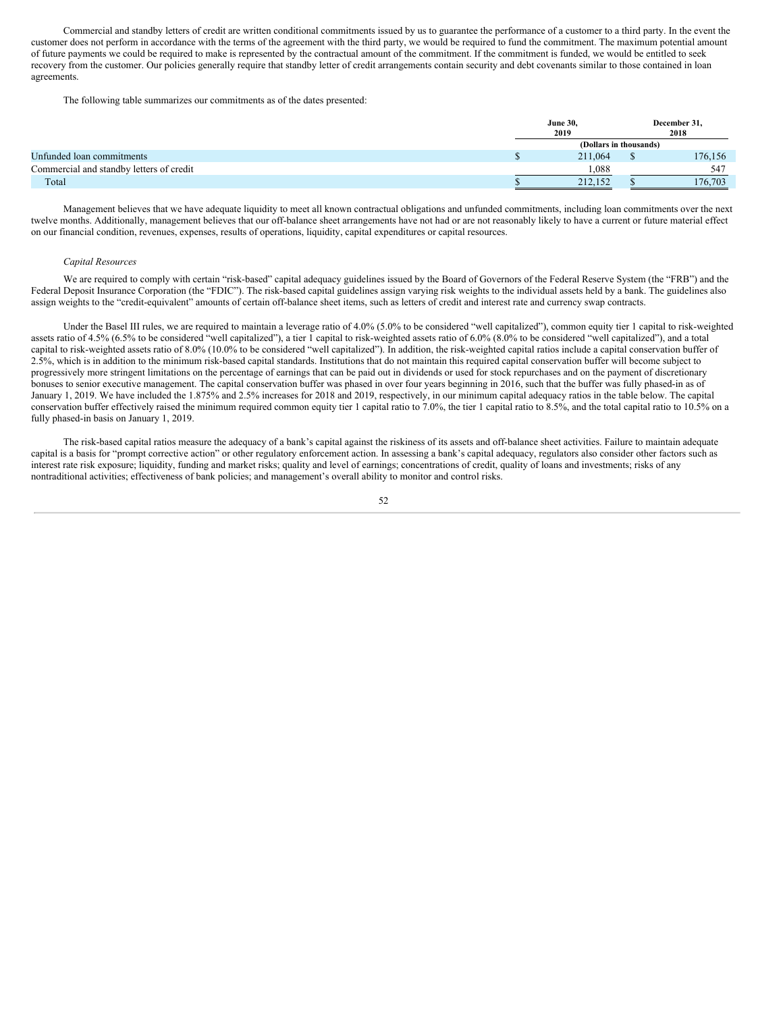Commercial and standby letters of credit are written conditional commitments issued by us to guarantee the performance of a customer to a third party. In the event the customer does not perform in accordance with the terms of the agreement with the third party, we would be required to fund the commitment. The maximum potential amount of future payments we could be required to make is represented by the contractual amount of the commitment. If the commitment is funded, we would be entitled to seek recovery from the customer. Our policies generally require that standby letter of credit arrangements contain security and debt covenants similar to those contained in loan agreements.

The following table summarizes our commitments as of the dates presented:

|                                          | <b>June 30,</b>        |  | December 31, |
|------------------------------------------|------------------------|--|--------------|
|                                          | 2019                   |  | 2018         |
|                                          | (Dollars in thousands) |  |              |
| Unfunded loan commitments                | 211,064                |  | 176,156      |
| Commercial and standby letters of credit | 1.088                  |  | 547          |
| Total                                    | 212.152                |  | 176,703      |

Management believes that we have adequate liquidity to meet all known contractual obligations and unfunded commitments, including loan commitments over the next twelve months. Additionally, management believes that our off-balance sheet arrangements have not had or are not reasonably likely to have a current or future material effect on our financial condition, revenues, expenses, results of operations, liquidity, capital expenditures or capital resources.

#### *Capital Resources*

We are required to comply with certain "risk-based" capital adequacy guidelines issued by the Board of Governors of the Federal Reserve System (the "FRB") and the Federal Deposit Insurance Corporation (the "FDIC"). The risk-based capital guidelines assign varying risk weights to the individual assets held by a bank. The guidelines also assign weights to the "credit-equivalent" amounts of certain off-balance sheet items, such as letters of credit and interest rate and currency swap contracts.

Under the Basel III rules, we are required to maintain a leverage ratio of 4.0% (5.0% to be considered "well capitalized"), common equity tier 1 capital to risk-weighted assets ratio of 4.5% (6.5% to be considered "well capitalized"), a tier 1 capital to risk-weighted assets ratio of 6.0% (8.0% to be considered "well capitalized"), and a total capital to risk-weighted assets ratio of 8.0% (10.0% to be considered "well capitalized"). In addition, the risk-weighted capital ratios include a capital conservation buffer of 2.5%, which is in addition to the minimum risk-based capital standards. Institutions that do not maintain this required capital conservation buffer will become subject to progressively more stringent limitations on the percentage of earnings that can be paid out in dividends or used for stock repurchases and on the payment of discretionary bonuses to senior executive management. The capital conservation buffer was phased in over four years beginning in 2016, such that the buffer was fully phased-in as of January 1, 2019. We have included the 1.875% and 2.5% increases for 2018 and 2019, respectively, in our minimum capital adequacy ratios in the table below. The capital conservation buffer effectively raised the minimum required common equity tier 1 capital ratio to 7.0%, the tier 1 capital ratio to 8.5%, and the total capital ratio to 10.5% on a fully phased-in basis on January 1, 2019.

The risk-based capital ratios measure the adequacy of a bank's capital against the riskiness of its assets and off-balance sheet activities. Failure to maintain adequate capital is a basis for "prompt corrective action" or other regulatory enforcement action. In assessing a bank's capital adequacy, regulators also consider other factors such as interest rate risk exposure; liquidity, funding and market risks; quality and level of earnings; concentrations of credit, quality of loans and investments; risks of any nontraditional activities; effectiveness of bank policies; and management's overall ability to monitor and control risks.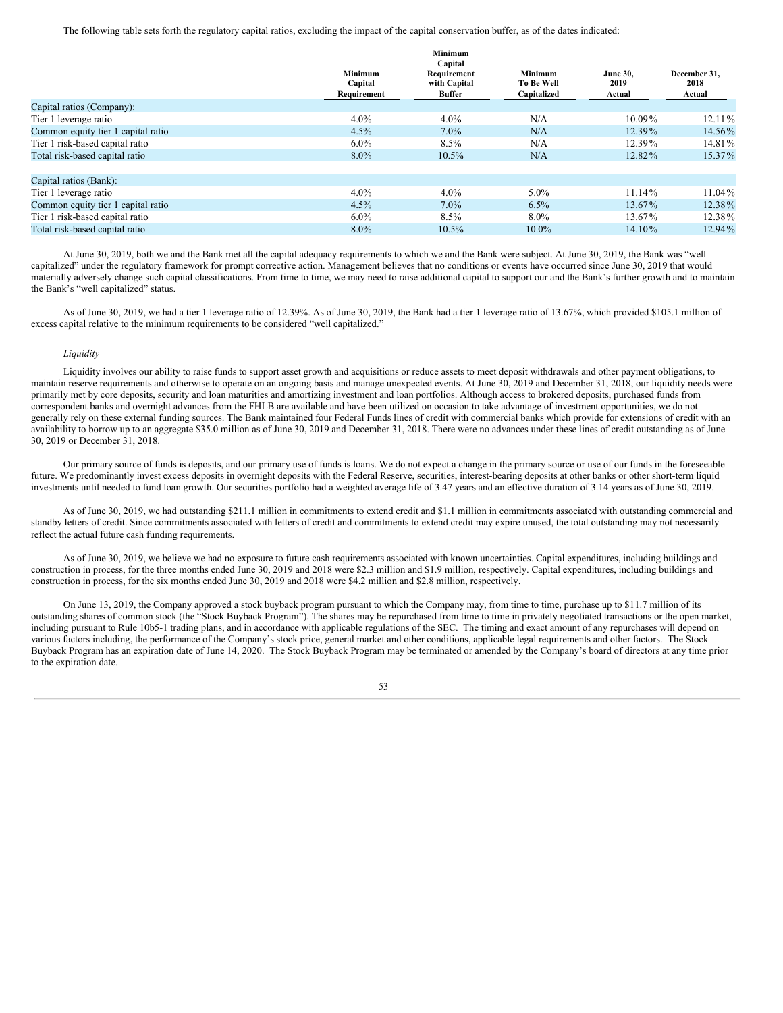The following table sets forth the regulatory capital ratios, excluding the impact of the capital conservation buffer, as of the dates indicated:

|                                    |                                          | Minimum<br>Capital                    |                                                    |                                   |                                |
|------------------------------------|------------------------------------------|---------------------------------------|----------------------------------------------------|-----------------------------------|--------------------------------|
|                                    | <b>Minimum</b><br>Capital<br>Requirement | Requirement<br>with Capital<br>Buffer | <b>Minimum</b><br><b>To Be Well</b><br>Capitalized | <b>June 30,</b><br>2019<br>Actual | December 31,<br>2018<br>Actual |
| Capital ratios (Company):          |                                          |                                       |                                                    |                                   |                                |
| Tier 1 leverage ratio              | $4.0\%$                                  | $4.0\%$                               | N/A                                                | 10.09%                            | $12.11\%$                      |
| Common equity tier 1 capital ratio | 4.5%                                     | $7.0\%$                               | N/A                                                | $12.39\%$                         | 14.56%                         |
| Tier 1 risk-based capital ratio    | $6.0\%$                                  | 8.5%                                  | N/A                                                | 12.39%                            | 14.81%                         |
| Total risk-based capital ratio     | $8.0\%$                                  | $10.5\%$                              | N/A                                                | 12.82%                            | 15.37%                         |
| Capital ratios (Bank):             |                                          |                                       |                                                    |                                   |                                |
| Tier 1 leverage ratio              | $4.0\%$                                  | $4.0\%$                               | $5.0\%$                                            | 11.14%                            | $11.04\%$                      |
| Common equity tier 1 capital ratio | $4.5\%$                                  | $7.0\%$                               | $6.5\%$                                            | 13.67%                            | 12.38%                         |
| Tier 1 risk-based capital ratio    | $6.0\%$                                  | 8.5%                                  | $8.0\%$                                            | 13.67%                            | 12.38%                         |
| Total risk-based capital ratio     | $8.0\%$                                  | $10.5\%$                              | $10.0\%$                                           | 14.10%                            | 12.94%                         |

At June 30, 2019, both we and the Bank met all the capital adequacy requirements to which we and the Bank were subject. At June 30, 2019, the Bank was "well capitalized" under the regulatory framework for prompt corrective action. Management believes that no conditions or events have occurred since June 30, 2019 that would materially adversely change such capital classifications. From time to time, we may need to raise additional capital to support our and the Bank's further growth and to maintain the Bank's "well capitalized" status.

As of June 30, 2019, we had a tier 1 leverage ratio of 12.39%. As of June 30, 2019, the Bank had a tier 1 leverage ratio of 13.67%, which provided \$105.1 million of excess capital relative to the minimum requirements to be considered "well capitalized."

#### *Liquidity*

Liquidity involves our ability to raise funds to support asset growth and acquisitions or reduce assets to meet deposit withdrawals and other payment obligations, to maintain reserve requirements and otherwise to operate on an ongoing basis and manage unexpected events. At June 30, 2019 and December 31, 2018, our liquidity needs were primarily met by core deposits, security and loan maturities and amortizing investment and loan portfolios. Although access to brokered deposits, purchased funds from correspondent banks and overnight advances from the FHLB are available and have been utilized on occasion to take advantage of investment opportunities, we do not generally rely on these external funding sources. The Bank maintained four Federal Funds lines of credit with commercial banks which provide for extensions of credit with an availability to borrow up to an aggregate \$35.0 million as of June 30, 2019 and December 31, 2018. There were no advances under these lines of credit outstanding as of June 30, 2019 or December 31, 2018.

Our primary source of funds is deposits, and our primary use of funds is loans. We do not expect a change in the primary source or use of our funds in the foreseeable future. We predominantly invest excess deposits in overnight deposits with the Federal Reserve, securities, interest-bearing deposits at other banks or other short-term liquid investments until needed to fund loan growth. Our securities portfolio had a weighted average life of 3.47 years and an effective duration of 3.14 years as of June 30, 2019.

As of June 30, 2019, we had outstanding \$211.1 million in commitments to extend credit and \$1.1 million in commitments associated with outstanding commercial and standby letters of credit. Since commitments associated with letters of credit and commitments to extend credit may expire unused, the total outstanding may not necessarily reflect the actual future cash funding requirements.

As of June 30, 2019, we believe we had no exposure to future cash requirements associated with known uncertainties. Capital expenditures, including buildings and construction in process, for the three months ended June 30, 2019 and 2018 were \$2.3 million and \$1.9 million, respectively. Capital expenditures, including buildings and construction in process, for the six months ended June 30, 2019 and 2018 were \$4.2 million and \$2.8 million, respectively.

On June 13, 2019, the Company approved a stock buyback program pursuant to which the Company may, from time to time, purchase up to \$11.7 million of its outstanding shares of common stock (the "Stock Buyback Program"). The shares may be repurchased from time to time in privately negotiated transactions or the open market, including pursuant to Rule 10b5-1 trading plans, and in accordance with applicable regulations of the SEC. The timing and exact amount of any repurchases will depend on various factors including, the performance of the Company's stock price, general market and other conditions, applicable legal requirements and other factors. The Stock Buyback Program has an expiration date of June 14, 2020. The Stock Buyback Program may be terminated or amended by the Company's board of directors at any time prior to the expiration date.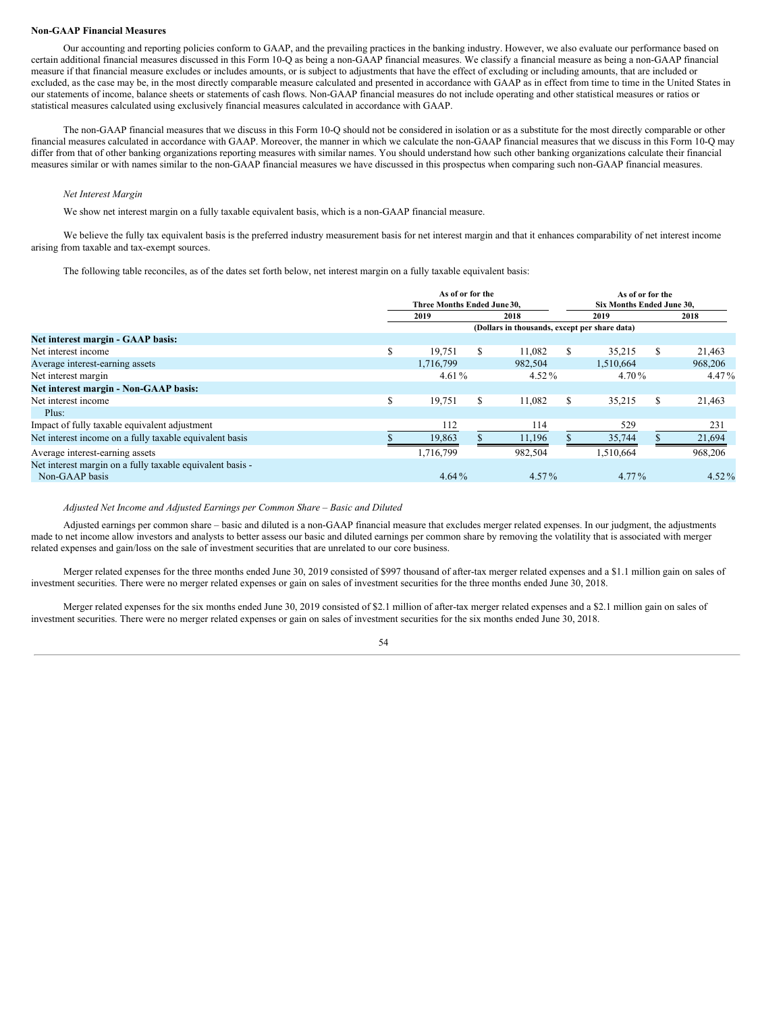#### **Non-GAAP Financial Measures**

Our accounting and reporting policies conform to GAAP, and the prevailing practices in the banking industry. However, we also evaluate our performance based on certain additional financial measures discussed in this Form 10-Q as being a non-GAAP financial measures. We classify a financial measure as being a non-GAAP financial measure if that financial measure excludes or includes amounts, or is subject to adjustments that have the effect of excluding or including amounts, that are included or excluded, as the case may be, in the most directly comparable measure calculated and presented in accordance with GAAP as in effect from time to time in the United States in our statements of income, balance sheets or statements of cash flows. Non-GAAP financial measures do not include operating and other statistical measures or ratios or statistical measures calculated using exclusively financial measures calculated in accordance with GAAP.

The non-GAAP financial measures that we discuss in this Form 10-Q should not be considered in isolation or as a substitute for the most directly comparable or other financial measures calculated in accordance with GAAP. Moreover, the manner in which we calculate the non-GAAP financial measures that we discuss in this Form 10-Q may differ from that of other banking organizations reporting measures with similar names. You should understand how such other banking organizations calculate their financial measures similar or with names similar to the non-GAAP financial measures we have discussed in this prospectus when comparing such non-GAAP financial measures.

### *Net Interest Margin*

We show net interest margin on a fully taxable equivalent basis, which is a non-GAAP financial measure.

We believe the fully tax equivalent basis is the preferred industry measurement basis for net interest margin and that it enhances comparability of net interest income arising from taxable and tax-exempt sources.

The following table reconciles, as of the dates set forth below, net interest margin on a fully taxable equivalent basis:

|                                                           | As of or for the<br>Three Months Ended June 30. |           |     | As of or for the<br><b>Six Months Ended June 30.</b> |               |           |   |          |
|-----------------------------------------------------------|-------------------------------------------------|-----------|-----|------------------------------------------------------|---------------|-----------|---|----------|
|                                                           |                                                 | 2019      |     | 2018                                                 |               | 2019      |   | 2018     |
|                                                           |                                                 |           |     | (Dollars in thousands, except per share data)        |               |           |   |          |
| Net interest margin - GAAP basis:                         |                                                 |           |     |                                                      |               |           |   |          |
| Net interest income                                       | S.                                              | 19,751    | \$. | 11,082                                               | <sup>\$</sup> | 35.215    | S | 21,463   |
| Average interest-earning assets                           |                                                 | 1.716.799 |     | 982,504                                              |               | 1.510.664 |   | 968,206  |
| Net interest margin                                       |                                                 | 4.61 $%$  |     | $4.52\%$                                             |               | 4.70%     |   | 4.47%    |
| Net interest margin - Non-GAAP basis:                     |                                                 |           |     |                                                      |               |           |   |          |
| Net interest income                                       | \$                                              | 19,751    | S   | 11,082                                               | S.            | 35,215    | S | 21,463   |
| Plus:                                                     |                                                 |           |     |                                                      |               |           |   |          |
| Impact of fully taxable equivalent adjustment             |                                                 | 112       |     | 114                                                  |               | 529       |   | 231      |
| Net interest income on a fully taxable equivalent basis   |                                                 | 19,863    |     | 11,196                                               |               | 35,744    |   | 21,694   |
| Average interest-earning assets                           |                                                 | 1.716.799 |     | 982,504                                              |               | 1,510,664 |   | 968,206  |
| Net interest margin on a fully taxable equivalent basis - |                                                 |           |     |                                                      |               |           |   |          |
| Non-GAAP basis                                            |                                                 | $4.64\%$  |     | $4.57\%$                                             |               | 4.77%     |   | $4.52\%$ |

*Adjusted Net Income and Adjusted Earnings per Common Share – Basic and Diluted*

Adjusted earnings per common share – basic and diluted is a non-GAAP financial measure that excludes merger related expenses. In our judgment, the adjustments made to net income allow investors and analysts to better assess our basic and diluted earnings per common share by removing the volatility that is associated with merger related expenses and gain/loss on the sale of investment securities that are unrelated to our core business.

Merger related expenses for the three months ended June 30, 2019 consisted of \$997 thousand of after-tax merger related expenses and a \$1.1 million gain on sales of investment securities. There were no merger related expenses or gain on sales of investment securities for the three months ended June 30, 2018.

Merger related expenses for the six months ended June 30, 2019 consisted of \$2.1 million of after-tax merger related expenses and a \$2.1 million gain on sales of investment securities. There were no merger related expenses or gain on sales of investment securities for the six months ended June 30, 2018.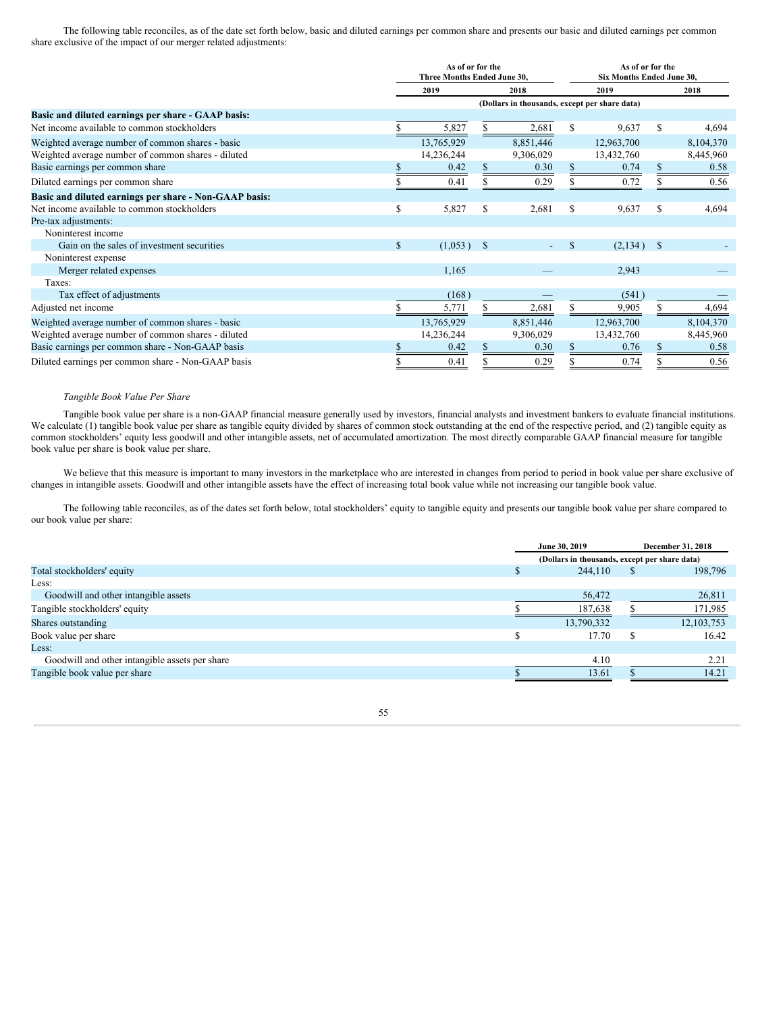The following table reconciles, as of the date set forth below, basic and diluted earnings per common share and presents our basic and diluted earnings per common share exclusive of the impact of our merger related adjustments:

|                                                        | As of or for the<br>Three Months Ended June 30. |              |      |                                               |               | As of or for the<br><b>Six Months Ended June 30.</b> |    |           |
|--------------------------------------------------------|-------------------------------------------------|--------------|------|-----------------------------------------------|---------------|------------------------------------------------------|----|-----------|
|                                                        |                                                 | 2019         | 2018 |                                               | 2019          |                                                      |    | 2018      |
|                                                        |                                                 |              |      | (Dollars in thousands, except per share data) |               |                                                      |    |           |
| Basic and diluted earnings per share - GAAP basis:     |                                                 |              |      |                                               |               |                                                      |    |           |
| Net income available to common stockholders            |                                                 | 5,827        |      | 2,681                                         | S             | 9,637                                                | S. | 4,694     |
| Weighted average number of common shares - basic       |                                                 | 13,765,929   |      | 8,851,446                                     |               | 12,963,700                                           |    | 8,104,370 |
| Weighted average number of common shares - diluted     |                                                 | 14,236,244   |      | 9,306,029                                     |               | 13,432,760                                           |    | 8,445,960 |
| Basic earnings per common share                        |                                                 | 0.42         |      | 0.30                                          |               | 0.74                                                 |    | 0.58      |
| Diluted earnings per common share                      |                                                 | 0.41         |      | 0.29                                          |               | 0.72                                                 |    | 0.56      |
| Basic and diluted earnings per share - Non-GAAP basis: |                                                 |              |      |                                               |               |                                                      |    |           |
| Net income available to common stockholders            | \$                                              | 5,827        | S    | 2,681                                         | S             | 9,637                                                | S  | 4,694     |
| Pre-tax adjustments:                                   |                                                 |              |      |                                               |               |                                                      |    |           |
| Noninterest income                                     |                                                 |              |      |                                               |               |                                                      |    |           |
| Gain on the sales of investment securities             | $\mathbb{S}$                                    | $(1,053)$ \$ |      | ٠                                             | <sup>\$</sup> | $(2,134)$ \$                                         |    |           |
| Noninterest expense                                    |                                                 |              |      |                                               |               |                                                      |    |           |
| Merger related expenses                                |                                                 | 1,165        |      |                                               |               | 2,943                                                |    |           |
| Taxes:                                                 |                                                 |              |      |                                               |               |                                                      |    |           |
| Tax effect of adjustments                              |                                                 | (168)        |      |                                               |               | (541)                                                |    |           |
| Adjusted net income                                    |                                                 | 5,771        |      | 2,681                                         |               | 9,905                                                |    | 4,694     |
| Weighted average number of common shares - basic       |                                                 | 13,765,929   |      | 8,851,446                                     |               | 12,963,700                                           |    | 8,104,370 |
| Weighted average number of common shares - diluted     |                                                 | 14,236,244   |      | 9,306,029                                     |               | 13,432,760                                           |    | 8,445,960 |
| Basic earnings per common share - Non-GAAP basis       |                                                 | 0.42         |      | 0.30                                          |               | 0.76                                                 |    | 0.58      |
| Diluted earnings per common share - Non-GAAP basis     |                                                 | 0.41         |      | 0.29                                          |               | 0.74                                                 |    | 0.56      |

#### *Tangible Book Value Per Share*

Tangible book value per share is a non-GAAP financial measure generally used by investors, financial analysts and investment bankers to evaluate financial institutions. We calculate (1) tangible book value per share as tangible equity divided by shares of common stock outstanding at the end of the respective period, and (2) tangible equity as common stockholders' equity less goodwill and other intangible assets, net of accumulated amortization. The most directly comparable GAAP financial measure for tangible book value per share is book value per share.

We believe that this measure is important to many investors in the marketplace who are interested in changes from period to period in book value per share exclusive of changes in intangible assets. Goodwill and other intangible assets have the effect of increasing total book value while not increasing our tangible book value.

The following table reconciles, as of the dates set forth below, total stockholders' equity to tangible equity and presents our tangible book value per share compared to our book value per share:

|                                                |   | June 30, 2019                                 | December 31, 2018 |              |  |
|------------------------------------------------|---|-----------------------------------------------|-------------------|--------------|--|
|                                                |   | (Dollars in thousands, except per share data) |                   |              |  |
| Total stockholders' equity                     |   | 244,110                                       |                   | 198,796      |  |
| Less:                                          |   |                                               |                   |              |  |
| Goodwill and other intangible assets           |   | 56,472                                        |                   | 26,811       |  |
| Tangible stockholders' equity                  |   | 187,638                                       |                   | 171,985      |  |
| Shares outstanding                             |   | 13,790,332                                    |                   | 12, 103, 753 |  |
| Book value per share                           | ¢ | 17.70                                         |                   | 16.42        |  |
| Less:                                          |   |                                               |                   |              |  |
| Goodwill and other intangible assets per share |   | 4.10                                          |                   | 2.21         |  |
| Tangible book value per share                  |   | 13.61                                         |                   | 14.21        |  |

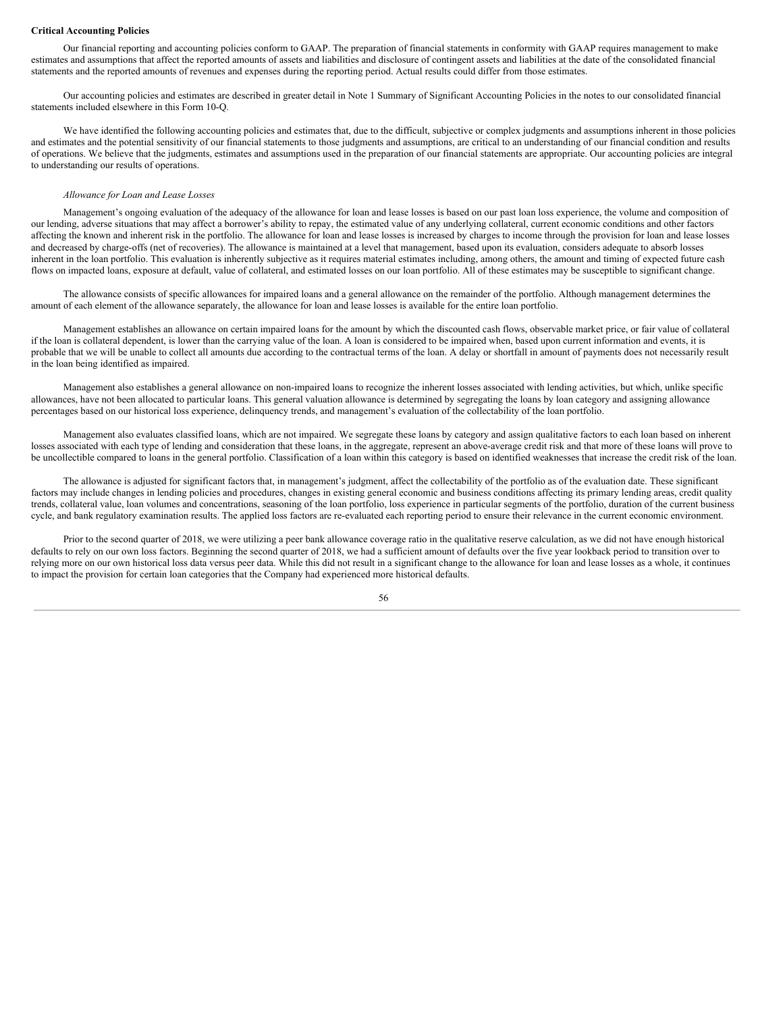#### **Critical Accounting Policies**

Our financial reporting and accounting policies conform to GAAP. The preparation of financial statements in conformity with GAAP requires management to make estimates and assumptions that affect the reported amounts of assets and liabilities and disclosure of contingent assets and liabilities at the date of the consolidated financial statements and the reported amounts of revenues and expenses during the reporting period. Actual results could differ from those estimates.

Our accounting policies and estimates are described in greater detail in Note 1 Summary of Significant Accounting Policies in the notes to our consolidated financial statements included elsewhere in this Form 10-Q.

We have identified the following accounting policies and estimates that, due to the difficult, subjective or complex judgments and assumptions inherent in those policies and estimates and the potential sensitivity of our financial statements to those judgments and assumptions, are critical to an understanding of our financial condition and results of operations. We believe that the judgments, estimates and assumptions used in the preparation of our financial statements are appropriate. Our accounting policies are integral to understanding our results of operations.

# *Allowance for Loan and Lease Losses*

Management's ongoing evaluation of the adequacy of the allowance for loan and lease losses is based on our past loan loss experience, the volume and composition of our lending, adverse situations that may affect a borrower's ability to repay, the estimated value of any underlying collateral, current economic conditions and other factors affecting the known and inherent risk in the portfolio. The allowance for loan and lease losses is increased by charges to income through the provision for loan and lease losses and decreased by charge-offs (net of recoveries). The allowance is maintained at a level that management, based upon its evaluation, considers adequate to absorb losses inherent in the loan portfolio. This evaluation is inherently subjective as it requires material estimates including, among others, the amount and timing of expected future cash flows on impacted loans, exposure at default, value of collateral, and estimated losses on our loan portfolio. All of these estimates may be susceptible to significant change.

The allowance consists of specific allowances for impaired loans and a general allowance on the remainder of the portfolio. Although management determines the amount of each element of the allowance separately, the allowance for loan and lease losses is available for the entire loan portfolio.

Management establishes an allowance on certain impaired loans for the amount by which the discounted cash flows, observable market price, or fair value of collateral if the loan is collateral dependent, is lower than the carrying value of the loan. A loan is considered to be impaired when, based upon current information and events, it is probable that we will be unable to collect all amounts due according to the contractual terms of the loan. A delay or shortfall in amount of payments does not necessarily result in the loan being identified as impaired.

Management also establishes a general allowance on non-impaired loans to recognize the inherent losses associated with lending activities, but which, unlike specific allowances, have not been allocated to particular loans. This general valuation allowance is determined by segregating the loans by loan category and assigning allowance percentages based on our historical loss experience, delinquency trends, and management's evaluation of the collectability of the loan portfolio.

Management also evaluates classified loans, which are not impaired. We segregate these loans by category and assign qualitative factors to each loan based on inherent losses associated with each type of lending and consideration that these loans, in the aggregate, represent an above-average credit risk and that more of these loans will prove to be uncollectible compared to loans in the general portfolio. Classification of a loan within this category is based on identified weaknesses that increase the credit risk of the loan.

The allowance is adjusted for significant factors that, in management's judgment, affect the collectability of the portfolio as of the evaluation date. These significant factors may include changes in lending policies and procedures, changes in existing general economic and business conditions affecting its primary lending areas, credit quality trends, collateral value, loan volumes and concentrations, seasoning of the loan portfolio, loss experience in particular segments of the portfolio, duration of the current business cycle, and bank regulatory examination results. The applied loss factors are re-evaluated each reporting period to ensure their relevance in the current economic environment.

Prior to the second quarter of 2018, we were utilizing a peer bank allowance coverage ratio in the qualitative reserve calculation, as we did not have enough historical defaults to rely on our own loss factors. Beginning the second quarter of 2018, we had a sufficient amount of defaults over the five year lookback period to transition over to relying more on our own historical loss data versus peer data. While this did not result in a significant change to the allowance for loan and lease losses as a whole, it continues to impact the provision for certain loan categories that the Company had experienced more historical defaults.

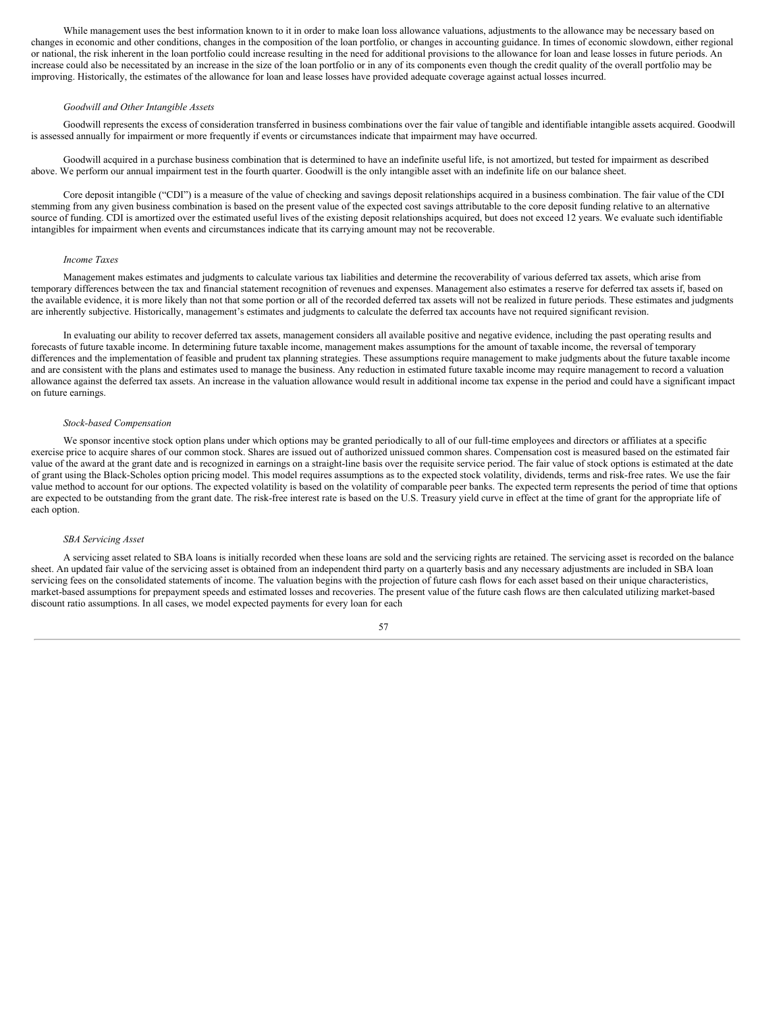While management uses the best information known to it in order to make loan loss allowance valuations, adjustments to the allowance may be necessary based on changes in economic and other conditions, changes in the composition of the loan portfolio, or changes in accounting guidance. In times of economic slowdown, either regional or national, the risk inherent in the loan portfolio could increase resulting in the need for additional provisions to the allowance for loan and lease losses in future periods. An increase could also be necessitated by an increase in the size of the loan portfolio or in any of its components even though the credit quality of the overall portfolio may be improving. Historically, the estimates of the allowance for loan and lease losses have provided adequate coverage against actual losses incurred.

#### *Goodwill and Other Intangible Assets*

Goodwill represents the excess of consideration transferred in business combinations over the fair value of tangible and identifiable intangible assets acquired. Goodwill is assessed annually for impairment or more frequently if events or circumstances indicate that impairment may have occurred.

Goodwill acquired in a purchase business combination that is determined to have an indefinite useful life, is not amortized, but tested for impairment as described above. We perform our annual impairment test in the fourth quarter. Goodwill is the only intangible asset with an indefinite life on our balance sheet.

Core deposit intangible ("CDI") is a measure of the value of checking and savings deposit relationships acquired in a business combination. The fair value of the CDI stemming from any given business combination is based on the present value of the expected cost savings attributable to the core deposit funding relative to an alternative source of funding. CDI is amortized over the estimated useful lives of the existing deposit relationships acquired, but does not exceed 12 years. We evaluate such identifiable intangibles for impairment when events and circumstances indicate that its carrying amount may not be recoverable.

## *Income Taxes*

Management makes estimates and judgments to calculate various tax liabilities and determine the recoverability of various deferred tax assets, which arise from temporary differences between the tax and financial statement recognition of revenues and expenses. Management also estimates a reserve for deferred tax assets if, based on the available evidence, it is more likely than not that some portion or all of the recorded deferred tax assets will not be realized in future periods. These estimates and judgments are inherently subjective. Historically, management's estimates and judgments to calculate the deferred tax accounts have not required significant revision.

In evaluating our ability to recover deferred tax assets, management considers all available positive and negative evidence, including the past operating results and forecasts of future taxable income. In determining future taxable income, management makes assumptions for the amount of taxable income, the reversal of temporary differences and the implementation of feasible and prudent tax planning strategies. These assumptions require management to make judgments about the future taxable income and are consistent with the plans and estimates used to manage the business. Any reduction in estimated future taxable income may require management to record a valuation allowance against the deferred tax assets. An increase in the valuation allowance would result in additional income tax expense in the period and could have a significant impact on future earnings.

### *Stock-based Compensation*

We sponsor incentive stock option plans under which options may be granted periodically to all of our full-time employees and directors or affiliates at a specific exercise price to acquire shares of our common stock. Shares are issued out of authorized unissued common shares. Compensation cost is measured based on the estimated fair value of the award at the grant date and is recognized in earnings on a straight-line basis over the requisite service period. The fair value of stock options is estimated at the date of grant using the Black-Scholes option pricing model. This model requires assumptions as to the expected stock volatility, dividends, terms and risk-free rates. We use the fair value method to account for our options. The expected volatility is based on the volatility of comparable peer banks. The expected term represents the period of time that options are expected to be outstanding from the grant date. The risk-free interest rate is based on the U.S. Treasury yield curve in effect at the time of grant for the appropriate life of each option.

### *SBA Servicing Asset*

A servicing asset related to SBA loans is initially recorded when these loans are sold and the servicing rights are retained. The servicing asset is recorded on the balance sheet. An updated fair value of the servicing asset is obtained from an independent third party on a quarterly basis and any necessary adjustments are included in SBA loan servicing fees on the consolidated statements of income. The valuation begins with the projection of future cash flows for each asset based on their unique characteristics, market-based assumptions for prepayment speeds and estimated losses and recoveries. The present value of the future cash flows are then calculated utilizing market-based discount ratio assumptions. In all cases, we model expected payments for every loan for each

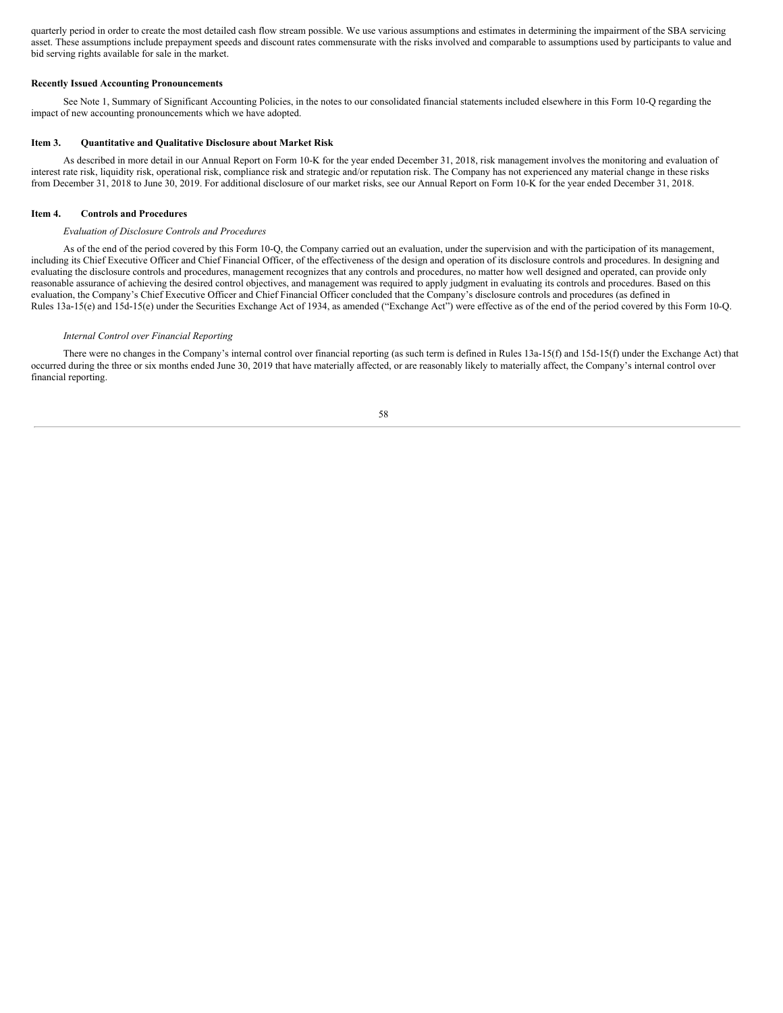quarterly period in order to create the most detailed cash flow stream possible. We use various assumptions and estimates in determining the impairment of the SBA servicing asset. These assumptions include prepayment speeds and discount rates commensurate with the risks involved and comparable to assumptions used by participants to value and bid serving rights available for sale in the market.

# **Recently Issued Accounting Pronouncements**

See Note 1, Summary of Significant Accounting Policies, in the notes to our consolidated financial statements included elsewhere in this Form 10-Q regarding the impact of new accounting pronouncements which we have adopted.

# <span id="page-57-0"></span>**Item 3. Quantitative and Qualitative Disclosure about Market Risk**

As described in more detail in our Annual Report on Form 10-K for the year ended December 31, 2018, risk management involves the monitoring and evaluation of interest rate risk, liquidity risk, operational risk, compliance risk and strategic and/or reputation risk. The Company has not experienced any material change in these risks from December 31, 2018 to June 30, 2019. For additional disclosure of our market risks, see our Annual Report on Form 10-K for the year ended December 31, 2018.

# <span id="page-57-1"></span>**Item 4. Controls and Procedures**

### *Evaluation of Disclosure Controls and Procedures*

As of the end of the period covered by this Form 10-Q, the Company carried out an evaluation, under the supervision and with the participation of its management, including its Chief Executive Officer and Chief Financial Officer, of the effectiveness of the design and operation of its disclosure controls and procedures. In designing and evaluating the disclosure controls and procedures, management recognizes that any controls and procedures, no matter how well designed and operated, can provide only reasonable assurance of achieving the desired control objectives, and management was required to apply judgment in evaluating its controls and procedures. Based on this evaluation, the Company's Chief Executive Officer and Chief Financial Officer concluded that the Company's disclosure controls and procedures (as defined in Rules 13a-15(e) and 15d-15(e) under the Securities Exchange Act of 1934, as amended ("Exchange Act") were effective as of the end of the period covered by this Form 10-Q.

#### *Internal Control over Financial Reporting*

There were no changes in the Company's internal control over financial reporting (as such term is defined in Rules 13a-15(f) and 15d-15(f) under the Exchange Act) that occurred during the three or six months ended June 30, 2019 that have materially affected, or are reasonably likely to materially affect, the Company's internal control over financial reporting.

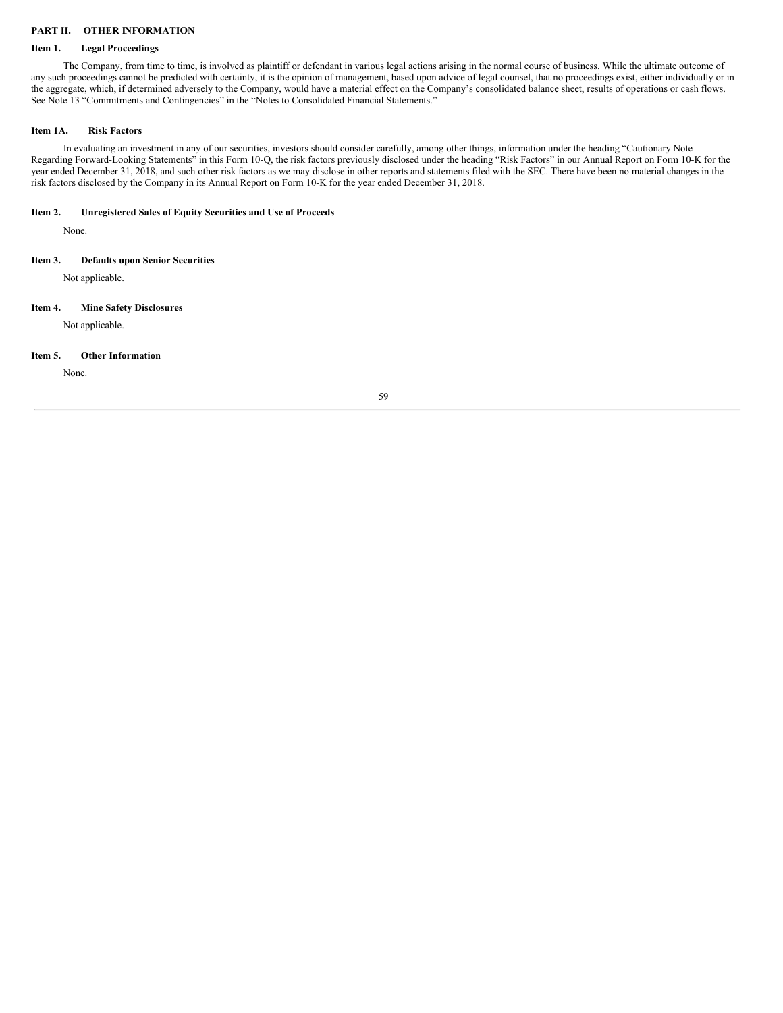# <span id="page-58-0"></span>**PART II. OTHER INFORMATION**

# <span id="page-58-1"></span>**Item 1. Legal Proceedings**

The Company, from time to time, is involved as plaintiff or defendant in various legal actions arising in the normal course of business. While the ultimate outcome of any such proceedings cannot be predicted with certainty, it is the opinion of management, based upon advice of legal counsel, that no proceedings exist, either individually or in the aggregate, which, if determined adversely to the Company, would have a material effect on the Company's consolidated balance sheet, results of operations or cash flows. See Note 13 "Commitments and Contingencies" in the "Notes to Consolidated Financial Statements."

# <span id="page-58-2"></span>**Item 1A. Risk Factors**

In evaluating an investment in any of our securities, investors should consider carefully, among other things, information under the heading "Cautionary Note Regarding Forward-Looking Statements" in this Form 10-Q, the risk factors previously disclosed under the heading "Risk Factors" in our Annual Report on Form 10-K for the year ended December 31, 2018, and such other risk factors as we may disclose in other reports and statements filed with the SEC. There have been no material changes in the risk factors disclosed by the Company in its Annual Report on Form 10-K for the year ended December 31, 2018.

# <span id="page-58-3"></span>**Item 2. Unregistered Sales of Equity Securities and Use of Proceeds**

None.

# <span id="page-58-4"></span>**Item 3. Defaults upon Senior Securities**

Not applicable.

# <span id="page-58-5"></span>**Item 4. Mine Safety Disclosures**

Not applicable.

#### <span id="page-58-6"></span>**Item 5. Other Information**

None.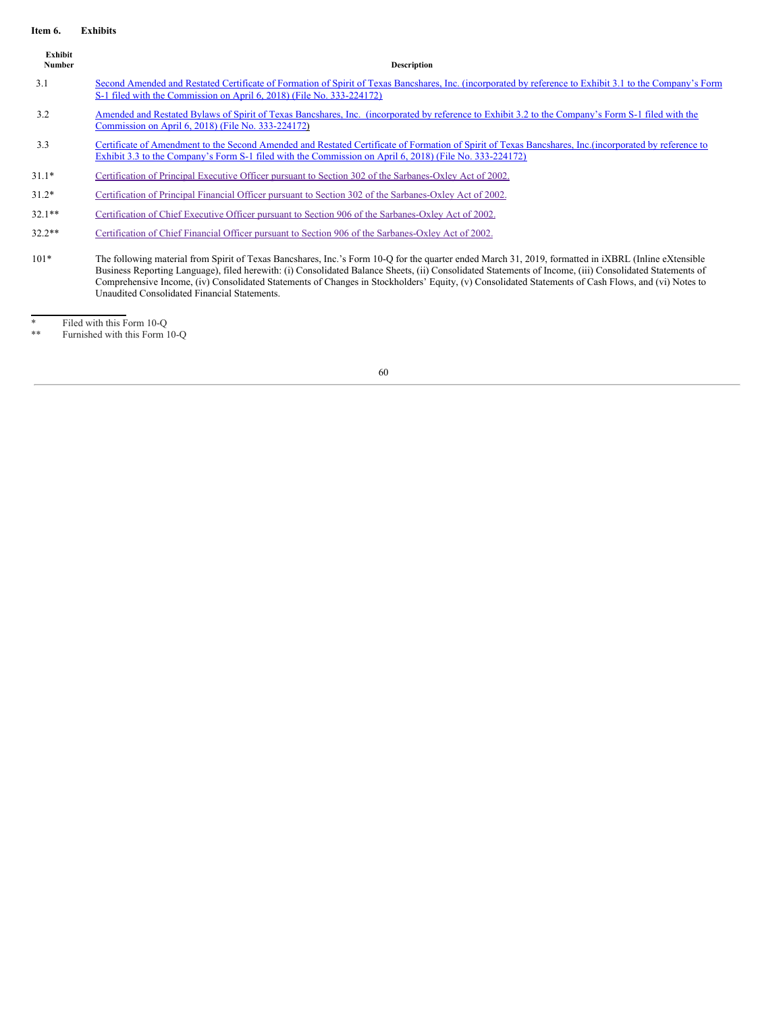# <span id="page-59-0"></span>**Item 6. Exhibits**

| Exhibit<br><b>Number</b> | <b>Description</b>                                                                                                                                                                                                                                                                                                                                                                                                                                                                                                     |
|--------------------------|------------------------------------------------------------------------------------------------------------------------------------------------------------------------------------------------------------------------------------------------------------------------------------------------------------------------------------------------------------------------------------------------------------------------------------------------------------------------------------------------------------------------|
| 3.1                      | Second Amended and Restated Certificate of Formation of Spirit of Texas Bancshares, Inc. (incorporated by reference to Exhibit 3.1 to the Company's Form<br>S-1 filed with the Commission on April 6, 2018) (File No. 333-224172)                                                                                                                                                                                                                                                                                      |
| 3.2                      | Amended and Restated Bylaws of Spirit of Texas Bancshares, Inc. (incorporated by reference to Exhibit 3.2 to the Company's Form S-1 filed with the<br>Commission on April 6, 2018) (File No. 333-224172)                                                                                                                                                                                                                                                                                                               |
| 3.3                      | Certificate of Amendment to the Second Amended and Restated Certificate of Formation of Spirit of Texas Bancshares, Inc. (incorporated by reference to<br>Exhibit 3.3 to the Company's Form S-1 filed with the Commission on April 6, 2018) (File No. 333-224172)                                                                                                                                                                                                                                                      |
| $31.1*$                  | Certification of Principal Executive Officer pursuant to Section 302 of the Sarbanes-Oxley Act of 2002.                                                                                                                                                                                                                                                                                                                                                                                                                |
| $31.2*$                  | Certification of Principal Financial Officer pursuant to Section 302 of the Sarbanes-Oxley Act of 2002.                                                                                                                                                                                                                                                                                                                                                                                                                |
| $32.1**$                 | Certification of Chief Executive Officer pursuant to Section 906 of the Sarbanes-Oxley Act of 2002.                                                                                                                                                                                                                                                                                                                                                                                                                    |
| $32.2**$                 | Certification of Chief Financial Officer pursuant to Section 906 of the Sarbanes-Oxley Act of 2002.                                                                                                                                                                                                                                                                                                                                                                                                                    |
| $101*$                   | The following material from Spirit of Texas Bancshares, Inc.'s Form 10-Q for the quarter ended March 31, 2019, formatted in iXBRL (Inline eXtensible<br>Business Reporting Language), filed herewith: (i) Consolidated Balance Sheets, (ii) Consolidated Statements of Income, (iii) Consolidated Statements of<br>Comprehensive Income, (iv) Consolidated Statements of Changes in Stockholders' Equity, (v) Consolidated Statements of Cash Flows, and (vi) Notes to<br>Unaudited Consolidated Financial Statements. |

\* Filed with this Form 10-Q

\*\* Furnished with this Form 10-Q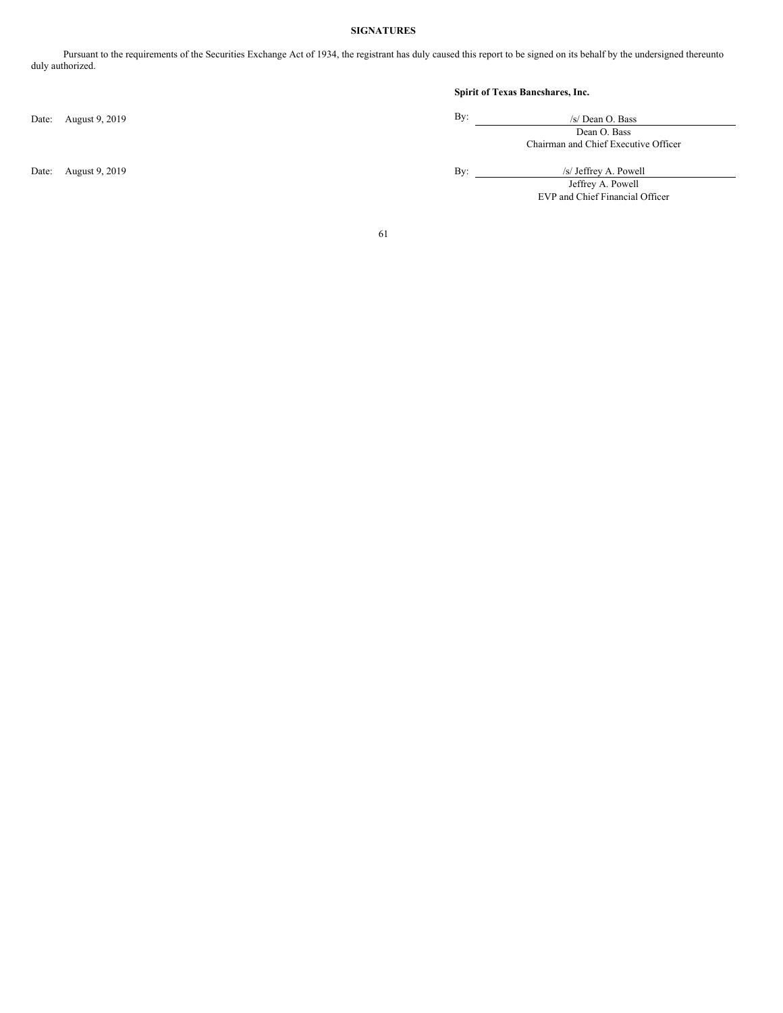# **SIGNATURES**

<span id="page-60-0"></span>Pursuant to the requirements of the Securities Exchange Act of 1934, the registrant has duly caused this report to be signed on its behalf by the undersigned thereunto duly authorized.

Date: August 9, 2019 By:

# **Spirit of Texas Bancshares, Inc.**

| /s/ Dean O. Bass                     |  |  |  |  |  |
|--------------------------------------|--|--|--|--|--|
| Dean O. Bass                         |  |  |  |  |  |
| Chairman and Chief Executive Officer |  |  |  |  |  |

Date: August 9, 2019 <br>By: /s/ Jeffrey A. Powell Jeffrey A. Powell

EVP and Chief Financial Officer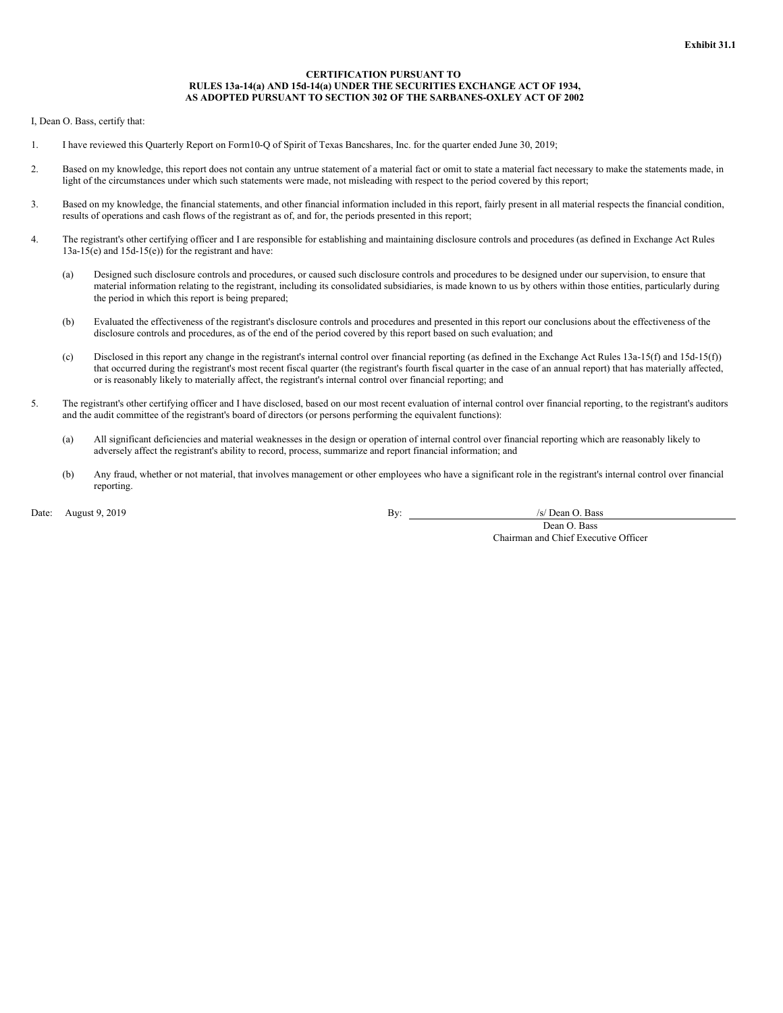## **CERTIFICATION PURSUANT TO RULES 13a-14(a) AND 15d-14(a) UNDER THE SECURITIES EXCHANGE ACT OF 1934, AS ADOPTED PURSUANT TO SECTION 302 OF THE SARBANES-OXLEY ACT OF 2002**

<span id="page-61-0"></span>I, Dean O. Bass, certify that:

- 1. I have reviewed this Quarterly Report on Form10-Q of Spirit of Texas Bancshares, Inc. for the quarter ended June 30, 2019;
- 2. Based on my knowledge, this report does not contain any untrue statement of a material fact or omit to state a material fact necessary to make the statements made, in light of the circumstances under which such statements were made, not misleading with respect to the period covered by this report;
- 3. Based on my knowledge, the financial statements, and other financial information included in this report, fairly present in all material respects the financial condition, results of operations and cash flows of the registrant as of, and for, the periods presented in this report;
- 4. The registrant's other certifying officer and I are responsible for establishing and maintaining disclosure controls and procedures (as defined in Exchange Act Rules 13a-15(e) and 15d-15(e)) for the registrant and have:
	- (a) Designed such disclosure controls and procedures, or caused such disclosure controls and procedures to be designed under our supervision, to ensure that material information relating to the registrant, including its consolidated subsidiaries, is made known to us by others within those entities, particularly during the period in which this report is being prepared;
	- (b) Evaluated the effectiveness of the registrant's disclosure controls and procedures and presented in this report our conclusions about the effectiveness of the disclosure controls and procedures, as of the end of the period covered by this report based on such evaluation; and
	- (c) Disclosed in this report any change in the registrant's internal control over financial reporting (as defined in the Exchange Act Rules 13a-15(f) and 15d-15(f)) that occurred during the registrant's most recent fiscal quarter (the registrant's fourth fiscal quarter in the case of an annual report) that has materially affected, or is reasonably likely to materially affect, the registrant's internal control over financial reporting; and
- 5. The registrant's other certifying officer and I have disclosed, based on our most recent evaluation of internal control over financial reporting, to the registrant's auditors and the audit committee of the registrant's board of directors (or persons performing the equivalent functions):
	- (a) All significant deficiencies and material weaknesses in the design or operation of internal control over financial reporting which are reasonably likely to adversely affect the registrant's ability to record, process, summarize and report financial information; and
	- (b) Any fraud, whether or not material, that involves management or other employees who have a significant role in the registrant's internal control over financial reporting.

Date: August 9, 2019 **By:** /s/ Dean O. Bass **By:** /s/ Dean O. Bass **By:** /s/ Dean O. Bass **By:** /s/ Dean O. Bass **By:** /s/ Dean O. Bass **By:** /s/ Dean O. Bass **By:** /s/ Dean O. Bass **By:** /s/ Dean O. Bass **By:** /s/ Dean O.

Dean O. Bass Chairman and Chief Executive Officer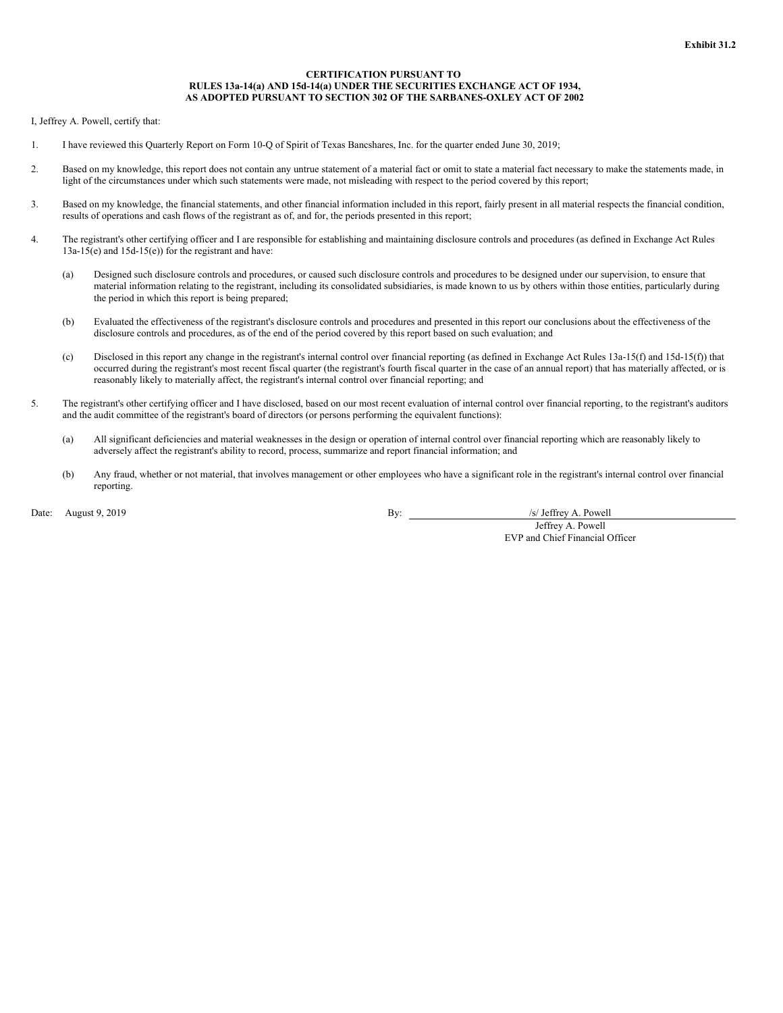### **CERTIFICATION PURSUANT TO RULES 13a-14(a) AND 15d-14(a) UNDER THE SECURITIES EXCHANGE ACT OF 1934, AS ADOPTED PURSUANT TO SECTION 302 OF THE SARBANES-OXLEY ACT OF 2002**

<span id="page-62-0"></span>I, Jeffrey A. Powell, certify that:

- 1. I have reviewed this Quarterly Report on Form 10-Q of Spirit of Texas Bancshares, Inc. for the quarter ended June 30, 2019;
- 2. Based on my knowledge, this report does not contain any untrue statement of a material fact or omit to state a material fact necessary to make the statements made, in light of the circumstances under which such statements were made, not misleading with respect to the period covered by this report;
- 3. Based on my knowledge, the financial statements, and other financial information included in this report, fairly present in all material respects the financial condition, results of operations and cash flows of the registrant as of, and for, the periods presented in this report;
- 4. The registrant's other certifying officer and I are responsible for establishing and maintaining disclosure controls and procedures (as defined in Exchange Act Rules 13a-15(e) and 15d-15(e)) for the registrant and have:
	- (a) Designed such disclosure controls and procedures, or caused such disclosure controls and procedures to be designed under our supervision, to ensure that material information relating to the registrant, including its consolidated subsidiaries, is made known to us by others within those entities, particularly during the period in which this report is being prepared;
	- (b) Evaluated the effectiveness of the registrant's disclosure controls and procedures and presented in this report our conclusions about the effectiveness of the disclosure controls and procedures, as of the end of the period covered by this report based on such evaluation; and
	- (c) Disclosed in this report any change in the registrant's internal control over financial reporting (as defined in Exchange Act Rules 13a-15(f) and 15d-15(f)) that occurred during the registrant's most recent fiscal quarter (the registrant's fourth fiscal quarter in the case of an annual report) that has materially affected, or is reasonably likely to materially affect, the registrant's internal control over financial reporting; and
- 5. The registrant's other certifying officer and I have disclosed, based on our most recent evaluation of internal control over financial reporting, to the registrant's auditors and the audit committee of the registrant's board of directors (or persons performing the equivalent functions):
	- (a) All significant deficiencies and material weaknesses in the design or operation of internal control over financial reporting which are reasonably likely to adversely affect the registrant's ability to record, process, summarize and report financial information; and
	- (b) Any fraud, whether or not material, that involves management or other employees who have a significant role in the registrant's internal control over financial reporting.

Date: August 9, 2019 **By:** /s/ Jeffrey A. Powell

Jeffrey A. Powell EVP and Chief Financial Officer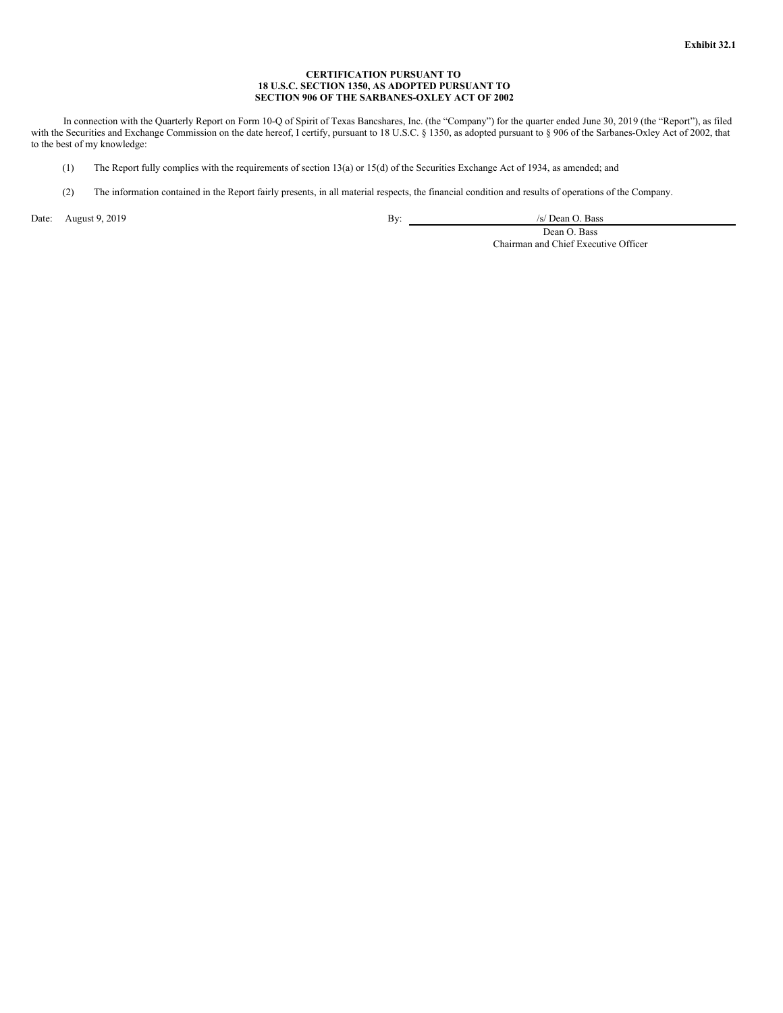# **CERTIFICATION PURSUANT TO 18 U.S.C. SECTION 1350, AS ADOPTED PURSUANT TO SECTION 906 OF THE SARBANES-OXLEY ACT OF 2002**

<span id="page-63-0"></span>In connection with the Quarterly Report on Form 10-Q of Spirit of Texas Bancshares, Inc. (the "Company") for the quarter ended June 30, 2019 (the "Report"), as filed with the Securities and Exchange Commission on the date hereof, I certify, pursuant to 18 U.S.C. § 1350, as adopted pursuant to § 906 of the Sarbanes-Oxley Act of 2002, that to the best of my knowledge:

- (1) The Report fully complies with the requirements of section 13(a) or 15(d) of the Securities Exchange Act of 1934, as amended; and
- (2) The information contained in the Report fairly presents, in all material respects, the financial condition and results of operations of the Company.

Date: August 9, 2019 **By:** /s/ Dean O. Bass **By:** /s/ Dean O. Bass **By:** /s/ Dean O. Bass **By:** /s/ Dean O. Bass **By:** /s/ Dean O. Bass **By:** /s/ Dean O. Bass **By:** /s/ Dean O. Bass **By:** /s/ Dean O. Bass **By:** /s/ Dean O.

Dean O. Bass Chairman and Chief Executive Officer